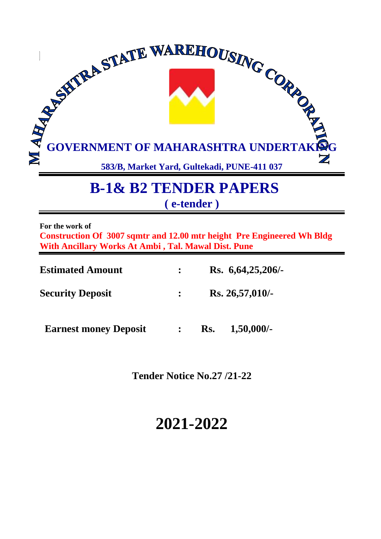

# **B-1& B2 TENDER PAPERS ( e-tender )**

**For the work of**

**Construction Of 3007 sqmtr and 12.00 mtr height Pre Engineered Wh Bldg With Ancillary Works At Ambi , Tal. Mawal Dist. Pune** 

| <b>Estimated Amount</b>      | Rs. 6,64,25,206/-    |  |
|------------------------------|----------------------|--|
| <b>Security Deposit</b>      | Rs. 26,57,010/-      |  |
| <b>Earnest money Deposit</b> | $1,50,000/$ -<br>Rs. |  |

**Tender Notice No.27 /21-22** 

# **2021-2022**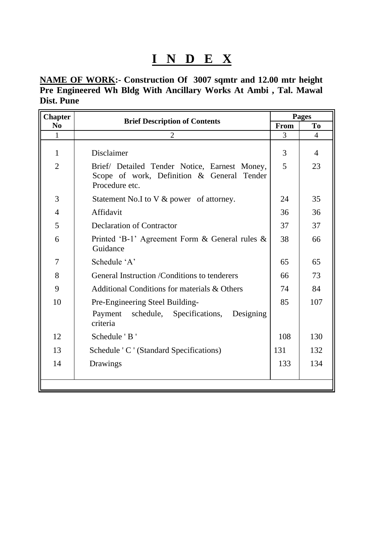# **I N D E X**

**NAME OF WORK:- Construction Of 3007 sqmtr and 12.00 mtr height Pre Engineered Wh Bldg With Ancillary Works At Ambi , Tal. Mawal Dist. Pune**

| <b>Chapter</b> | <b>Brief Description of Contents</b>                                                                          |      |                |  |  |  |  |
|----------------|---------------------------------------------------------------------------------------------------------------|------|----------------|--|--|--|--|
| N <sub>0</sub> |                                                                                                               | From | T <sub>0</sub> |  |  |  |  |
| $\mathbf{1}$   | $\overline{2}$                                                                                                | 3    | 4              |  |  |  |  |
| 1              | Disclaimer                                                                                                    | 3    | $\overline{4}$ |  |  |  |  |
| $\overline{2}$ | Brief/ Detailed Tender Notice, Earnest Money,<br>Scope of work, Definition & General Tender<br>Procedure etc. | 5    | 23             |  |  |  |  |
| 3              | Statement No.I to V & power of attorney.                                                                      | 24   | 35             |  |  |  |  |
| $\overline{4}$ | Affidavit                                                                                                     | 36   | 36             |  |  |  |  |
| 5              | <b>Declaration of Contractor</b>                                                                              | 37   | 37             |  |  |  |  |
| 6              | Printed 'B-1' Agreement Form $\&$ General rules $\&$<br>Guidance                                              | 38   | 66             |  |  |  |  |
| 7              | Schedule 'A'                                                                                                  | 65   | 65             |  |  |  |  |
| 8              | General Instruction / Conditions to tenderers                                                                 | 66   | 73             |  |  |  |  |
| 9              | Additional Conditions for materials & Others                                                                  | 74   | 84             |  |  |  |  |
| 10             | Pre-Engineering Steel Building-                                                                               | 85   | 107            |  |  |  |  |
|                | schedule, Specifications,<br>Designing<br>Payment<br>criteria                                                 |      |                |  |  |  |  |
| 12             | Schedule 'B'                                                                                                  | 108  | 130            |  |  |  |  |
| 13             | Schedule 'C ' (Standard Specifications)                                                                       | 131  | 132            |  |  |  |  |
| 14             | Drawings                                                                                                      | 133  | 134            |  |  |  |  |
|                |                                                                                                               |      |                |  |  |  |  |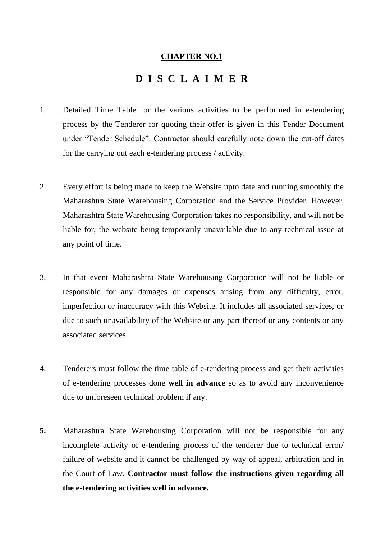#### **CHAPTER NO.1**

# **D I S C L A I M E R**

- 1. Detailed Time Table for the various activities to be performed in e-tendering process by the Tenderer for quoting their offer is given in this Tender Document under "Tender Schedule". Contractor should carefully note down the cut-off dates for the carrying out each e-tendering process / activity.
- 2. Every effort is being made to keep the Website upto date and running smoothly the Maharashtra State Warehousing Corporation and the Service Provider. However, Maharashtra State Warehousing Corporation takes no responsibility, and will not be liable for, the website being temporarily unavailable due to any technical issue at any point of time.
- 3. In that event Maharashtra State Warehousing Corporation will not be liable or responsible for any damages or expenses arising from any difficulty, error, imperfection or inaccuracy with this Website. It includes all associated services, or due to such unavailability of the Website or any part thereof or any contents or any associated services.
- 4. Tenderers must follow the time table of e-tendering process and get their activities of e-tendering processes done **well in advance** so as to avoid any inconvenience due to unforeseen technical problem if any.
- **5.** Maharashtra State Warehousing Corporation will not be responsible for any incomplete activity of e-tendering process of the tenderer due to technical error/ failure of website and it cannot be challenged by way of appeal, arbitration and in the Court of Law. **Contractor must follow the instructions given regarding all the e-tendering activities well in advance.**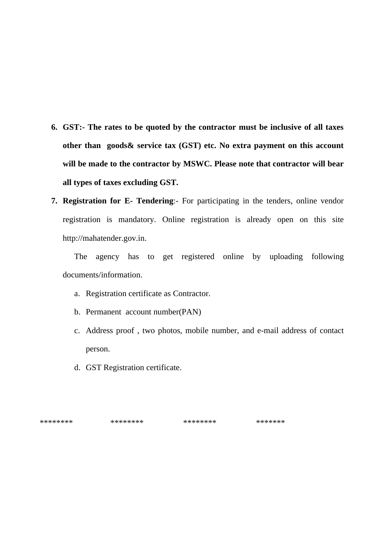- **6. GST:- The rates to be quoted by the contractor must be inclusive of all taxes other than goods& service tax (GST) etc. No extra payment on this account will be made to the contractor by MSWC. Please note that contractor will bear all types of taxes excluding GST.**
- **7. Registration for E- Tendering**:- For participating in the tenders, online vendor registration is mandatory. Online registration is already open on this site [http://mahatender.gov.in.](http://mahatender.gov.in/)

The agency has to get registered online by uploading following documents/information.

- a. Registration certificate as Contractor.
- b. Permanent account number(PAN)
- c. Address proof , two photos, mobile number, and e-mail address of contact person.
- d. GST Registration certificate.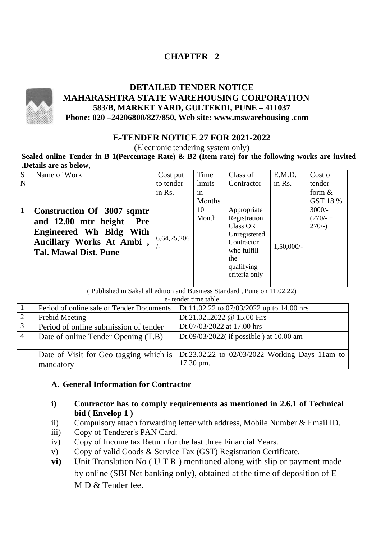# **CHAPTER –2**



# **E-TENDER NOTICE 27 FOR 2021-2022**

(Electronic tendering system only)

**Sealed online Tender in B-1(Percentage Rate) & B2 (Item rate) for the following works are invited .Details are as below,**

| S<br>N       | Name of Work                                                                                                                                            | Cost put<br>to tender | Time<br>limits | Class of<br>Contractor                                                                                                             | E.M.D.<br>in Rs. | Cost of<br>tender                   |
|--------------|---------------------------------------------------------------------------------------------------------------------------------------------------------|-----------------------|----------------|------------------------------------------------------------------------------------------------------------------------------------|------------------|-------------------------------------|
|              |                                                                                                                                                         | in Rs.                | in<br>Months   |                                                                                                                                    |                  | form $\&$<br>GST 18 %               |
| $\mathbf{1}$ | Construction Of 3007 sqmtr<br>and 12.00 mtr height<br><b>Pre</b><br>Engineered Wh Bldg With<br>Ancillary Works At Ambi,<br><b>Tal. Mawal Dist. Pune</b> | 6,64,25,206<br>– ا    | 10<br>Month    | Appropriate<br>Registration<br><b>Class OR</b><br>Unregistered<br>Contractor,<br>who fulfill<br>the<br>qualifying<br>criteria only | $1,50,000/$ -    | $3000/-$<br>$(270/- +$<br>$270/-$ ) |

( Published in Sakal all edition and Business Standard , Pune on 11.02.22)

e- tender time table

|   | Period of online sale of Tender Documents           | Dt.11.02.22 to $07/03/2022$ up to 14.00 hrs                 |
|---|-----------------------------------------------------|-------------------------------------------------------------|
|   | Prebid Meeting                                      | Dt.21.022022 @ 15.00 Hrs                                    |
| 3 | Period of online submission of tender               | Dt.07/03/2022 at 17.00 hrs                                  |
| 4 | Date of online Tender Opening (T.B)                 | Dt.09/03/2022( if possible) at $10.00$ am                   |
|   | Date of Visit for Geo tagging which is<br>mandatory | Dt.23.02.22 to 02/03/2022 Working Days 11am to<br>17.30 pm. |

#### **A. General Information for Contractor**

- **i) Contractor has to comply requirements as mentioned in 2.6.1 of Technical bid ( Envelop 1 )**
- ii) Compulsory attach forwarding letter with address, Mobile Number & Email ID.
- iii) Copy of Tenderer's PAN Card.
- iv) Copy of Income tax Return for the last three Financial Years.
- v) Copy of valid Goods & Service Tax (GST) Registration Certificate.
- **vi**) Unit Translation No (U T R ) mentioned along with slip or payment made by online (SBI Net banking only), obtained at the time of deposition of E M D & Tender fee.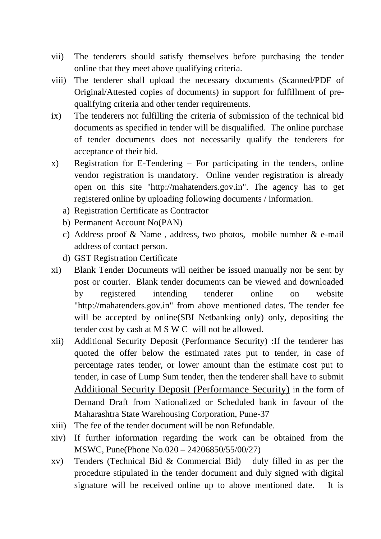- vii) The tenderers should satisfy themselves before purchasing the tender online that they meet above qualifying criteria.
- viii) The tenderer shall upload the necessary documents (Scanned/PDF of Original/Attested copies of documents) in support for fulfillment of prequalifying criteria and other tender requirements.
- ix) The tenderers not fulfilling the criteria of submission of the technical bid documents as specified in tender will be disqualified. The online purchase of tender documents does not necessarily qualify the tenderers for acceptance of their bid.
- x) Registration for E-Tendering For participating in the tenders, online vendor registration is mandatory. Online vender registration is already open on this site "http://mahatenders.gov.in". The agency has to get registered online by uploading following documents / information.
	- a) Registration Certificate as Contractor
	- b) Permanent Account No(PAN)
	- c) Address proof & Name , address, two photos, mobile number & e-mail address of contact person.
	- d) GST Registration Certificate
- xi) Blank Tender Documents will neither be issued manually nor be sent by post or courier. Blank tender documents can be viewed and downloaded by registered intending tenderer online on website "http://mahatenders.gov.in" from above mentioned dates. The tender fee will be accepted by online (SBI Netbanking only) only, depositing the tender cost by cash at M S W C will not be allowed.
- xii) Additional Security Deposit (Performance Security) :If the tenderer has quoted the offer below the estimated rates put to tender, in case of percentage rates tender, or lower amount than the estimate cost put to tender, in case of Lump Sum tender, then the tenderer shall have to submit Additional Security Deposit (Performance Security) in the form of Demand Draft from Nationalized or Scheduled bank in favour of the Maharashtra State Warehousing Corporation, Pune-37
- xiii) The fee of the tender document will be non Refundable.
- xiv) If further information regarding the work can be obtained from the MSWC, Pune(Phone No.020 – 24206850/55/00/27)
- xv) Tenders (Technical Bid & Commercial Bid) duly filled in as per the procedure stipulated in the tender document and duly signed with digital signature will be received online up to above mentioned date. It is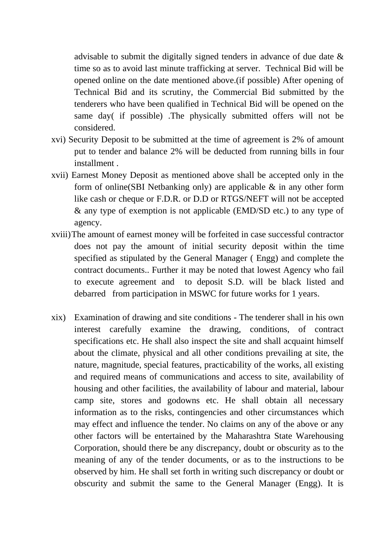advisable to submit the digitally signed tenders in advance of due date & time so as to avoid last minute trafficking at server. Technical Bid will be opened online on the date mentioned above.(if possible) After opening of Technical Bid and its scrutiny, the Commercial Bid submitted by the tenderers who have been qualified in Technical Bid will be opened on the same day( if possible) .The physically submitted offers will not be considered.

- xvi) Security Deposit to be submitted at the time of agreement is 2% of amount put to tender and balance 2% will be deducted from running bills in four installment .
- xvii) Earnest Money Deposit as mentioned above shall be accepted only in the form of online(SBI Netbanking only) are applicable & in any other form like cash or cheque or F.D.R. or D.D or RTGS/NEFT will not be accepted & any type of exemption is not applicable (EMD/SD etc.) to any type of agency.
- xviii)The amount of earnest money will be forfeited in case successful contractor does not pay the amount of initial security deposit within the time specified as stipulated by the General Manager ( Engg) and complete the contract documents.. Further it may be noted that lowest Agency who fail to execute agreement and to deposit S.D. will be black listed and debarred from participation in MSWC for future works for 1 years.
- xix) Examination of drawing and site conditions The tenderer shall in his own interest carefully examine the drawing, conditions, of contract specifications etc. He shall also inspect the site and shall acquaint himself about the climate, physical and all other conditions prevailing at site, the nature, magnitude, special features, practicability of the works, all existing and required means of communications and access to site, availability of housing and other facilities, the availability of labour and material, labour camp site, stores and godowns etc. He shall obtain all necessary information as to the risks, contingencies and other circumstances which may effect and influence the tender. No claims on any of the above or any other factors will be entertained by the Maharashtra State Warehousing Corporation, should there be any discrepancy, doubt or obscurity as to the meaning of any of the tender documents, or as to the instructions to be observed by him. He shall set forth in writing such discrepancy or doubt or obscurity and submit the same to the General Manager (Engg). It is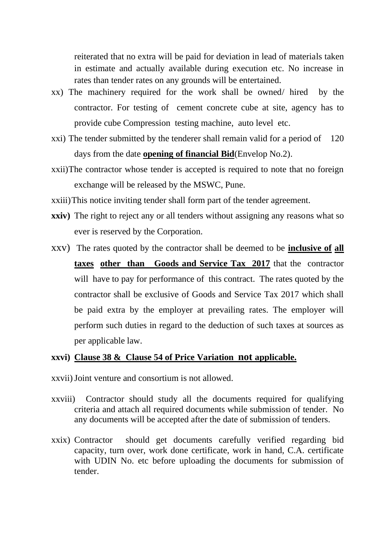reiterated that no extra will be paid for deviation in lead of materials taken in estimate and actually available during execution etc. No increase in rates than tender rates on any grounds will be entertained.

- xx) The machinery required for the work shall be owned/ hired by the contractor. For testing of cement concrete cube at site, agency has to provide cube Compression testing machine, auto level etc.
- xxi) The tender submitted by the tenderer shall remain valid for a period of 120 days from the date **opening of financial Bid**(Envelop No.2).
- xxii)The contractor whose tender is accepted is required to note that no foreign exchange will be released by the MSWC, Pune.
- xxiii)This notice inviting tender shall form part of the tender agreement.
- **xxiv**) The right to reject any or all tenders without assigning any reasons what so ever is reserved by the Corporation.
- xxv) The rates quoted by the contractor shall be deemed to be **inclusive of all taxes other than Goods and Service Tax 2017** that the contractor will have to pay for performance of this contract. The rates quoted by the contractor shall be exclusive of Goods and Service Tax 2017 which shall be paid extra by the employer at prevailing rates. The employer will perform such duties in regard to the deduction of such taxes at sources as per applicable law.

# **xxvi) Clause 38 & Clause 54 of Price Variation not applicable.**

- xxvii)Joint venture and consortium is not allowed.
- xxviii) Contractor should study all the documents required for qualifying criteria and attach all required documents while submission of tender. No any documents will be accepted after the date of submission of tenders.
- xxix) Contractor should get documents carefully verified regarding bid capacity, turn over, work done certificate, work in hand, C.A. certificate with UDIN No. etc before uploading the documents for submission of tender.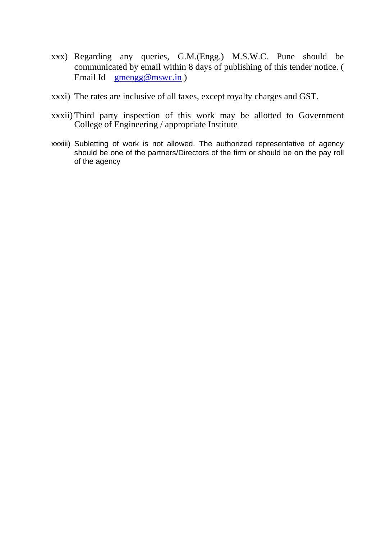- xxx) Regarding any queries, G.M.(Engg.) M.S.W.C. Pune should be communicated by email within 8 days of publishing of this tender notice. ( Email Id [gmengg@mswc.in](mailto:gmengg@mswc.in) )
- xxxi) The rates are inclusive of all taxes, except royalty charges and GST.
- xxxii) Third party inspection of this work may be allotted to Government College of Engineering / appropriate Institute
- xxxiii) Subletting of work is not allowed. The authorized representative of agency should be one of the partners/Directors of the firm or should be on the pay roll of the agency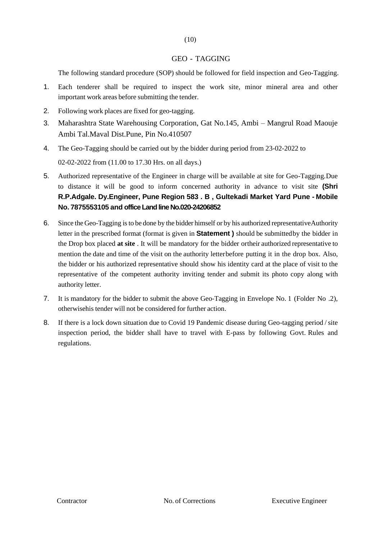#### GEO - TAGGING

The following standard procedure (SOP) should be followed for field inspection and Geo-Tagging.

- 1. Each tenderer shall be required to inspect the work site, minor mineral area and other important work areas before submitting the tender.
- 2. Following work places are fixed for geo-tagging.
- 3. Maharashtra State Warehousing Corporation, Gat No.145, Ambi Mangrul Road Maouje Ambi Tal.Maval Dist.Pune, Pin No.410507
- 4. The Geo-Tagging should be carried out by the bidder during period from 23-02-2022 to 02-02-2022 from (11.00 to 17.30 Hrs. on all days.)
- 5. Authorized representative of the Engineer in charge will be available at site for Geo-Tagging.Due to distance it will be good to inform concerned authority in advance to visit site **(Shri R.P.Adgale. Dy.Engineer, Pune Region 583 . B , Gultekadi Market Yard Pune - Mobile No. 7875553105 and office Land line No.020-24206852**
- 6. Since theGeo-Tagging isto be done by the bidder himself or by his authorized representativeAuthority letter in the prescribed format (format is given in **Statement )** should be submittedby the bidder in the Drop box placed **at site** . It will be mandatory for the bidder ortheir authorized representative to mention the date and time of the visit on the authority letterbefore putting it in the drop box. Also, the bidder or his authorized representative should show his identity card at the place of visit to the representative of the competent authority inviting tender and submit its photo copy along with authority letter.
- 7. It is mandatory for the bidder to submit the above Geo-Tagging in Envelope No. 1 (Folder No .2), otherwisehis tender will not be considered for further action.
- 8. If there is a lock down situation due to Covid 19 Pandemic disease during Geo-tagging period/site inspection period, the bidder shall have to travel with E-pass by following Govt. Rules and regulations.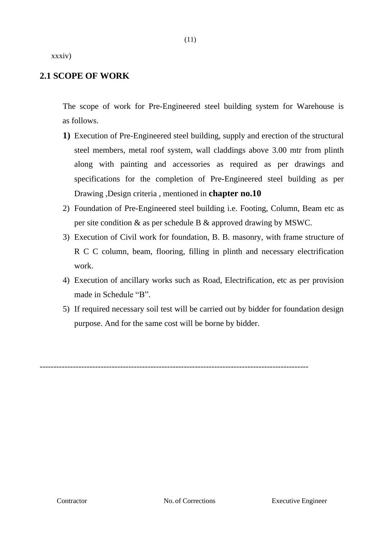xxxiv)

# **2.1 SCOPE OF WORK**

The scope of work for Pre-Engineered steel building system for Warehouse is as follows.

- **1)** Execution of Pre-Engineered steel building, supply and erection of the structural steel members, metal roof system, wall claddings above 3.00 mtr from plinth along with painting and accessories as required as per drawings and specifications for the completion of Pre-Engineered steel building as per Drawing ,Design criteria , mentioned in **chapter no.10**
- 2) Foundation of Pre-Engineered steel building i.e. Footing, Column, Beam etc as per site condition & as per schedule B & approved drawing by MSWC.
- 3) Execution of Civil work for foundation, B. B. masonry, with frame structure of R C C column, beam, flooring, filling in plinth and necessary electrification work.
- 4) Execution of ancillary works such as Road, Electrification, etc as per provision made in Schedule "B".
- 5) If required necessary soil test will be carried out by bidder for foundation design purpose. And for the same cost will be borne by bidder.

-------------------------------------------------------------------------------------------------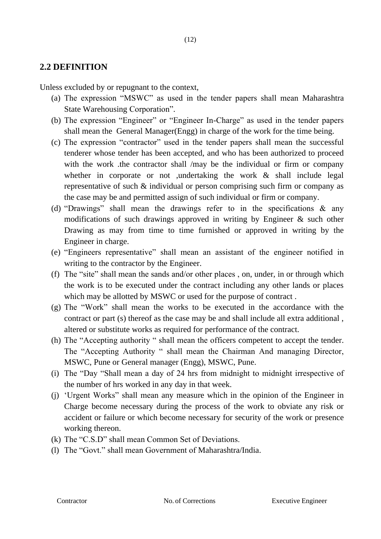# **2.2 DEFINITION**

Unless excluded by or repugnant to the context,

- (a) The expression "MSWC" as used in the tender papers shall mean Maharashtra State Warehousing Corporation".
- (b) The expression "Engineer" or "Engineer In-Charge" as used in the tender papers shall mean the General Manager(Engg) in charge of the work for the time being.
- (c) The expression "contractor" used in the tender papers shall mean the successful tenderer whose tender has been accepted, and who has been authorized to proceed with the work .the contractor shall /may be the individual or firm or company whether in corporate or not ,undertaking the work & shall include legal representative of such & individual or person comprising such firm or company as the case may be and permitted assign of such individual or firm or company.
- (d) "Drawings" shall mean the drawings refer to in the specifications & any modifications of such drawings approved in writing by Engineer & such other Drawing as may from time to time furnished or approved in writing by the Engineer in charge.
- (e) "Engineers representative" shall mean an assistant of the engineer notified in writing to the contractor by the Engineer.
- (f) The "site" shall mean the sands and/or other places , on, under, in or through which the work is to be executed under the contract including any other lands or places which may be allotted by MSWC or used for the purpose of contract .
- (g) The "Work" shall mean the works to be executed in the accordance with the contract or part (s) thereof as the case may be and shall include all extra additional , altered or substitute works as required for performance of the contract.
- (h) The "Accepting authority " shall mean the officers competent to accept the tender. The "Accepting Authority " shall mean the Chairman And managing Director, MSWC, Pune or General manager (Engg), MSWC, Pune.
- (i) The "Day "Shall mean a day of 24 hrs from midnight to midnight irrespective of the number of hrs worked in any day in that week.
- (j) 'Urgent Works" shall mean any measure which in the opinion of the Engineer in Charge become necessary during the process of the work to obviate any risk or accident or failure or which become necessary for security of the work or presence working thereon.
- (k) The "C.S.D" shall mean Common Set of Deviations.
- (l) The "Govt." shall mean Government of Maharashtra/India.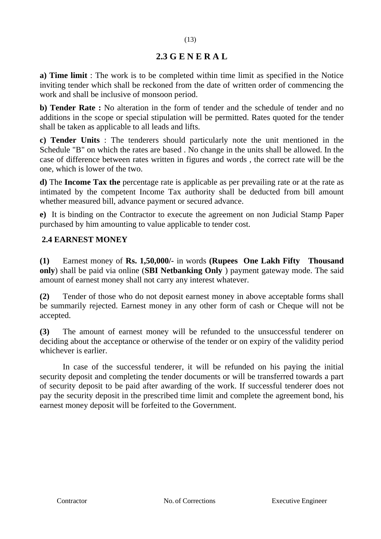# **2.3 G E N E R A L**

**a) Time limit** : The work is to be completed within time limit as specified in the Notice inviting tender which shall be reckoned from the date of written order of commencing the work and shall be inclusive of monsoon period.

**b) Tender Rate :** No alteration in the form of tender and the schedule of tender and no additions in the scope or special stipulation will be permitted. Rates quoted for the tender shall be taken as applicable to all leads and lifts.

**c) Tender Units** : The tenderers should particularly note the unit mentioned in the Schedule "B" on which the rates are based . No change in the units shall be allowed. In the case of difference between rates written in figures and words , the correct rate will be the one, which is lower of the two.

**d)** The **Income Tax the** percentage rate is applicable as per prevailing rate or at the rate as intimated by the competent Income Tax authority shall be deducted from bill amount whether measured bill, advance payment or secured advance.

**e)** It is binding on the Contractor to execute the agreement on non Judicial Stamp Paper purchased by him amounting to value applicable to tender cost.

# **2.4 EARNEST MONEY**

**(1)** Earnest money of **Rs. 1,50,000/-** in words **(Rupees One Lakh Fifty Thousand only**) shall be paid via online (**SBI Netbanking Only** ) payment gateway mode. The said amount of earnest money shall not carry any interest whatever.

**(2)** Tender of those who do not deposit earnest money in above acceptable forms shall be summarily rejected. Earnest money in any other form of cash or Cheque will not be accepted.

**(3)** The amount of earnest money will be refunded to the unsuccessful tenderer on deciding about the acceptance or otherwise of the tender or on expiry of the validity period whichever is earlier.

In case of the successful tenderer, it will be refunded on his paying the initial security deposit and completing the tender documents or will be transferred towards a part of security deposit to be paid after awarding of the work. If successful tenderer does not pay the security deposit in the prescribed time limit and complete the agreement bond, his earnest money deposit will be forfeited to the Government.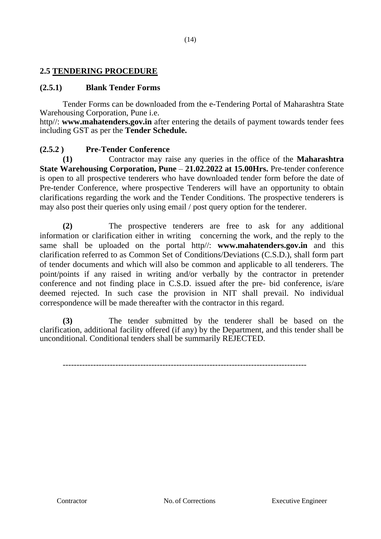# **2.5 TENDERING PROCEDURE**

## **(2.5.1) Blank Tender Forms**

Tender Forms can be downloaded from the e-Tendering Portal of Maharashtra State Warehousing Corporation, Pune i.e.

http//: **www.mahatenders.gov.in** after entering the details of payment towards tender fees including GST as per the **Tender Schedule.** 

## **(2.5.2 ) Pre-Tender Conference**

**(1)** Contractor may raise any queries in the office of the **Maharashtra State Warehousing Corporation, Pune** – **21.02.2022 at 15.00Hrs.** Pre-tender conference is open to all prospective tenderers who have downloaded tender form before the date of Pre-tender Conference, where prospective Tenderers will have an opportunity to obtain clarifications regarding the work and the Tender Conditions. The prospective tenderers is may also post their queries only using email / post query option for the tenderer.

**(2)** The prospective tenderers are free to ask for any additional information or clarification either in writing concerning the work, and the reply to the same shall be uploaded on the portal http//: **www.mahatenders.gov.in** and this clarification referred to as Common Set of Conditions/Deviations (C.S.D.), shall form part of tender documents and which will also be common and applicable to all tenderers. The point/points if any raised in writing and/or verbally by the contractor in pretender conference and not finding place in C.S.D. issued after the pre- bid conference, is/are deemed rejected. In such case the provision in NIT shall prevail. No individual correspondence will be made thereafter with the contractor in this regard.

**(3)** The tender submitted by the tenderer shall be based on the clarification, additional facility offered (if any) by the Department, and this tender shall be unconditional. Conditional tenders shall be summarily REJECTED.

----------------------------------------------------------------------------------------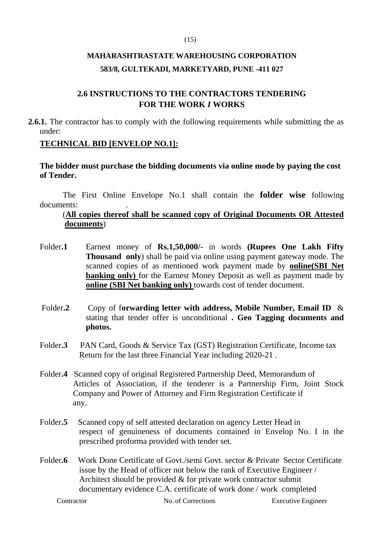#### (15)

# **MAHARASHTRASTATE WAREHOUSING CORPORATION 583/8, GULTEKADI, MARKETYARD, PUNE -411 027**

# **2.6 INSTRUCTIONS TO THE CONTRACTORS TENDERING FOR THE WORK** *I* **WORKS**

**2.6.1.** The contractor has to comply with the following requirements while submitting the as under:

## **TECHNICAL BID [ENVELOP NO.1]:**

**The bidder must purchase the bidding documents via online mode by paying the cost of Tender.**

The First Online Envelope No.1 shall contain the **folder wise** following documents:

## (**All copies thereof shall be scanned copy of Original Documents OR Attested documents**)

- Folder**.1** Earnest money of **Rs.1,50,000/-** in words **(Rupees One Lakh Fifty Thousand only**) shall be paid via online using payment gateway mode. The scanned copies of as mentioned work payment made by **online(SBI Net banking only**) for the Earnest Money Deposit as well as payment made by **online (SBI Net banking only)** towards cost of tender document.
- Folder**.2** Copy of f**orwarding letter with address, Mobile Number, Email ID** & stating that tender offer is unconditional **. Geo Tagging documents and photos.**
- Folder**.3** PAN Card, Goods & Service Tax (GST) Registration Certificate, Income tax Return for the last three Financial Year including 2020-21 .
- Folder**.4** Scanned copy of original Registered Partnership Deed, Memorandum of Articles of Association, if the tenderer is a Partnership Firm, Joint Stock Company and Power of Attorney and Firm Registration Certificate if any.
- Folder.<sup>5</sup> Scanned copy of self attested declaration on agency Letter Head in respect of genuineness of documents contained in Envelop No. I in the prescribed proforma provided with tender set.
- Folder.6 Work Done Certificate of Govt./semi Govt. sector & Private Sector Certificate issue by the Head of officer not below the rank of Executive Engineer / Architect should be provided & for private work contractor submit documentary evidence C.A. certificate of work done / work completed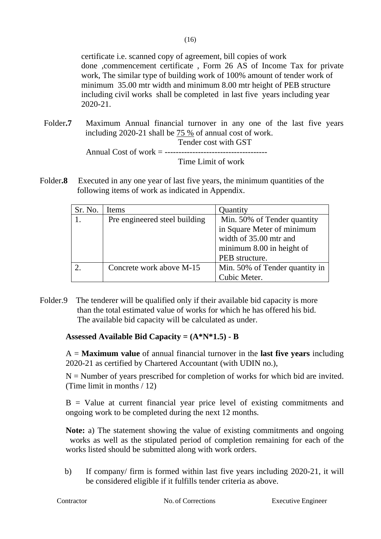certificate i.e. scanned copy of agreement, bill copies of work done ,commencement certificate , Form 26 AS of Income Tax for private work, The similar type of building work of 100% amount of tender work of minimum 35.00 mtr width and minimum 8.00 mtr height of PEB structure including civil works shall be completed in last five years including year 2020-21.

- Folder**.7** Maximum Annual financial turnover in any one of the last five years including 2020-21 shall be 75 % of annual cost of work. Tender cost with GST Annual Cost of work = ------------------------------------- Time Limit of work
- Folder<sub>.8</sub> Executed in any one year of last five years, the minimum quantities of the following items of work as indicated in Appendix.

| Sr. No. | Items                         | Quantity                       |  |
|---------|-------------------------------|--------------------------------|--|
|         | Pre engineered steel building | Min. 50% of Tender quantity    |  |
|         |                               | in Square Meter of minimum     |  |
|         |                               | width of 35.00 mtr and         |  |
|         |                               | minimum 8.00 in height of      |  |
|         |                               | PEB structure.                 |  |
|         | Concrete work above M-15      | Min. 50% of Tender quantity in |  |
|         |                               | Cubic Meter.                   |  |

Folder.9 The tenderer will be qualified only if their available bid capacity is more than the total estimated value of works for which he has offered his bid. The available bid capacity will be calculated as under.

# **Assessed Available Bid Capacity = (A\*N\*1.5) - B**

A = **Maximum value** of annual financial turnover in the **last five years** including 2020-21 as certified by Chartered Accountant (with UDIN no.),

 $N =$  Number of years prescribed for completion of works for which bid are invited. (Time limit in months / 12)

 $B =$  Value at current financial year price level of existing commitments and ongoing work to be completed during the next 12 months.

**Note:** a) The statement showing the value of existing commitments and ongoing works as well as the stipulated period of completion remaining for each of the works listed should be submitted along with work orders.

b) If company/ firm is formed within last five years including 2020-21, it will be considered eligible if it fulfills tender criteria as above.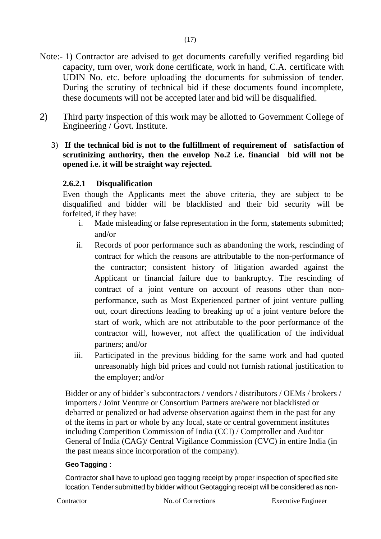- Note:- 1) Contractor are advised to get documents carefully verified regarding bid capacity, turn over, work done certificate, work in hand, C.A. certificate with UDIN No. etc. before uploading the documents for submission of tender. During the scrutiny of technical bid if these documents found incomplete, these documents will not be accepted later and bid will be disqualified.
- 2) Third party inspection of this work may be allotted to Government College of Engineering / Govt. Institute.
	- 3) **If the technical bid is not to the fulfillment of requirement of satisfaction of scrutinizing authority, then the envelop No.2 i.e. financial bid will not be opened i.e. it will be straight way rejected.**

## **2.6.2.1 Disqualification**

Even though the Applicants meet the above criteria, they are subject to be disqualified and bidder will be blacklisted and their bid security will be forfeited, if they have:

- i. Made misleading or false representation in the form, statements submitted; and/or
- ii. Records of poor performance such as abandoning the work, rescinding of contract for which the reasons are attributable to the non-performance of the contractor; consistent history of litigation awarded against the Applicant or financial failure due to bankruptcy. The rescinding of contract of a joint venture on account of reasons other than nonperformance, such as Most Experienced partner of joint venture pulling out, court directions leading to breaking up of a joint venture before the start of work, which are not attributable to the poor performance of the contractor will, however, not affect the qualification of the individual partners; and/or
- iii. Participated in the previous bidding for the same work and had quoted unreasonably high bid prices and could not furnish rational justification to the employer; and/or

Bidder or any of bidder's subcontractors / vendors / distributors / OEMs / brokers / importers / Joint Venture or Consortium Partners are/were not blacklisted or debarred or penalized or had adverse observation against them in the past for any of the items in part or whole by any local, state or central government institutes including Competition Commission of India (CCI) / Comptroller and Auditor General of India (CAG)/ Central Vigilance Commission (CVC) in entire India (in the past means since incorporation of the company).

#### **Geo Tagging :**

Contractor shall have to upload geo tagging receipt by proper inspection of specified site location.Tender submitted by bidder without Geotagging receipt will be considered as non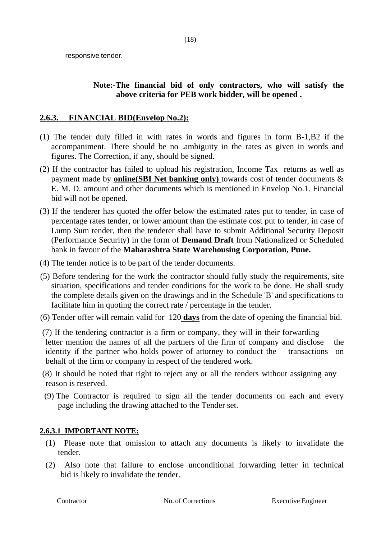responsive tender.

# **Note:-The financial bid of only contractors, who will satisfy the above criteria for PEB work bidder, will be opened .**

# **2.6.3. FINANCIAL BID(Envelop No.2):**

- (1) The tender duly filled in with rates in words and figures in form B-1,B2 if the accompaniment. There should be no .ambiguity in the rates as given in words and figures. The Correction, if any, should be signed.
- (2) If the contractor has failed to upload his registration, Income Tax returns as well as payment made by **online(SBI Net banking only)** towards cost of tender documents & E. M. D. amount and other documents which is mentioned in Envelop No.1. Financial bid will not be opened.
- (3) If the tenderer has quoted the offer below the estimated rates put to tender, in case of percentage rates tender, or lower amount than the estimate cost put to tender, in case of Lump Sum tender, then the tenderer shall have to submit Additional Security Deposit (Performance Security) in the form of **Demand Draft** from Nationalized or Scheduled bank in favour of the **Maharashtra State Warehousing Corporation, Pune.**
- (4) The tender notice is to be part of the tender documents.
- (5) Before tendering for the work the contractor should fully study the requirements, site situation, specifications and tender conditions for the work to be done. He shall study the complete details given on the drawings and in the Schedule 'B' and specifications to facilitate him in quoting the correct rate / percentage in the tender.
- (6) Tender offer will remain valid for 120 **days** from the date of opening the financial bid.
- (7) If the tendering contractor is a firm or company, they will in their forwarding letter mention the names of all the partners of the firm of company and disclose the identity if the partner who holds power of attorney to conduct the transactions on behalf of the firm or company in respect of the tendered work.
- (8) It should be noted that right to reject any or all the tenders without assigning any reason is reserved.
- (9) The Contractor is required to sign all the tender documents on each and every page including the drawing attached to the Tender set.

# **2.6.3.1 IMPORTANT NOTE:**

- (1) Please note that omission to attach any documents is likely to invalidate the tender.
- (2) Also note that failure to enclose unconditional forwarding letter in technical bid is likely to invalidate the tender.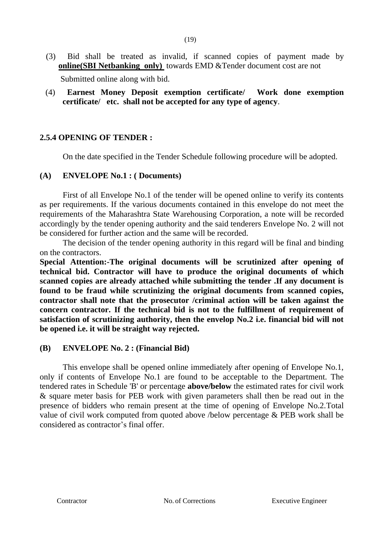- (3) Bid shall be treated as invalid, if scanned copies of payment made by **online(SBI Netbanking only)** towards EMD &Tender document cost are not Submitted online along with bid.
- (4) **Earnest Money Deposit exemption certificate/ Work done exemption certificate/ etc. shall not be accepted for any type of agency**.

## **2.5.4 OPENING OF TENDER :**

On the date specified in the Tender Schedule following procedure will be adopted.

#### **(A) ENVELOPE No.1 : ( Documents)**

First of all Envelope No.1 of the tender will be opened online to verify its contents as per requirements. If the various documents contained in this envelope do not meet the requirements of the Maharashtra State Warehousing Corporation, a note will be recorded accordingly by the tender opening authority and the said tenderers Envelope No. 2 will not be considered for further action and the same will be recorded.

The decision of the tender opening authority in this regard will be final and binding on the contractors.

**Special Attention:-The original documents will be scrutinized after opening of technical bid. Contractor will have to produce the original documents of which scanned copies are already attached while submitting the tender .If any document is found to be fraud while scrutinizing the original documents from scanned copies, contractor shall note that the prosecutor /criminal action will be taken against the concern contractor. If the technical bid is not to the fulfillment of requirement of satisfaction of scrutinizing authority, then the envelop No.2 i.e. financial bid will not be opened i.e. it will be straight way rejected.** 

#### **(B) ENVELOPE No. 2 : (Financial Bid)**

This envelope shall be opened online immediately after opening of Envelope No.1, only if contents of Envelope No.1 are found to be acceptable to the Department. The tendered rates in Schedule 'B' or percentage **above/below** the estimated rates for civil work & square meter basis for PEB work with given parameters shall then be read out in the presence of bidders who remain present at the time of opening of Envelope No.2.Total value of civil work computed from quoted above /below percentage & PEB work shall be considered as contractor's final offer.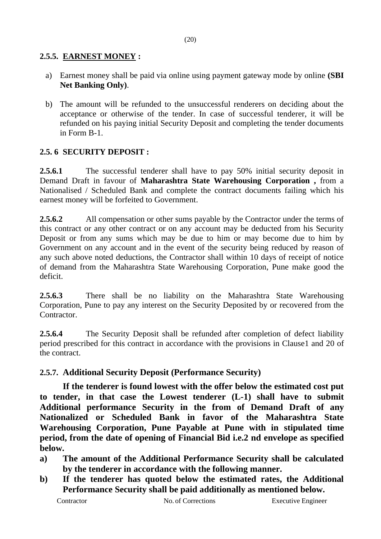## **2.5.5. EARNEST MONEY :**

- a) Earnest money shall be paid via online using payment gateway mode by online **(SBI Net Banking Only)**.
- b) The amount will be refunded to the unsuccessful renderers on deciding about the acceptance or otherwise of the tender. In case of successful tenderer, it will be refunded on his paying initial Security Deposit and completing the tender documents in Form B-1.

# **2.5. 6 SECURITY DEPOSIT :**

**2.5.6.1** The successful tenderer shall have to pay 50% initial security deposit in Demand Draft in favour of **Maharashtra State Warehousing Corporation ,** from a Nationalised / Scheduled Bank and complete the contract documents failing which his earnest money will be forfeited to Government.

**2.5.6.2** All compensation or other sums payable by the Contractor under the terms of this contract or any other contract or on any account may be deducted from his Security Deposit or from any sums which may be due to him or may become due to him by Government on any account and in the event of the security being reduced by reason of any such above noted deductions, the Contractor shall within 10 days of receipt of notice of demand from the Maharashtra State Warehousing Corporation, Pune make good the deficit.

**2.5.6.3** There shall be no liability on the Maharashtra State Warehousing Corporation, Pune to pay any interest on the Security Deposited by or recovered from the Contractor.

**2.5.6.4** The Security Deposit shall be refunded after completion of defect liability period prescribed for this contract in accordance with the provisions in Clause1 and 20 of the contract.

# **2.5.7. Additional Security Deposit (Performance Security)**

**If the tenderer is found lowest with the offer below the estimated cost put to tender, in that case the Lowest tenderer (L-1) shall have to submit Additional performance Security in the from of Demand Draft of any Nationalized or Scheduled Bank in favor of the Maharashtra State Warehousing Corporation, Pune Payable at Pune with in stipulated time period, from the date of opening of Financial Bid i.e.2 nd envelope as specified below.** 

- **a) The amount of the Additional Performance Security shall be calculated by the tenderer in accordance with the following manner.**
- **b) If the tenderer has quoted below the estimated rates, the Additional Performance Security shall be paid additionally as mentioned below.**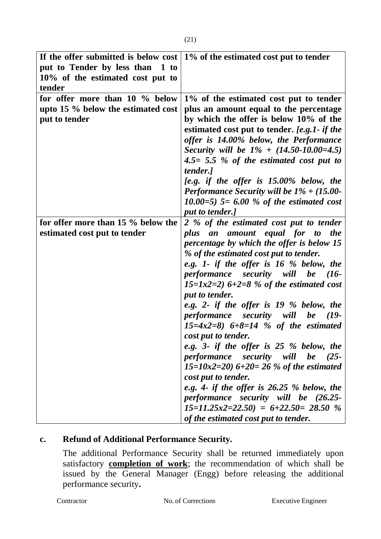| If the offer submitted is below cost                                | 1% of the estimated cost put to tender                                            |
|---------------------------------------------------------------------|-----------------------------------------------------------------------------------|
| put to Tender by less than 1 to<br>10% of the estimated cost put to |                                                                                   |
| tender                                                              |                                                                                   |
| for offer more than 10 % below                                      | 1% of the estimated cost put to tender                                            |
| upto 15 $\%$ below the estimated cost                               | plus an amount equal to the percentage                                            |
| put to tender                                                       | by which the offer is below 10% of the                                            |
|                                                                     | estimated cost put to tender. [e.g.1- if the                                      |
|                                                                     | offer is 14.00% below, the Performance                                            |
|                                                                     | Security will be $1\% + (14.50 - 10.00 = 4.5)$                                    |
|                                                                     | $4.5 = 5.5$ % of the estimated cost put to<br>tender.]                            |
|                                                                     | [e.g. if the offer is $15.00\%$ below, the                                        |
|                                                                     | Performance Security will be $1\% + (15.00-$                                      |
|                                                                     | 10.00=5) $5 = 6.00$ % of the estimated cost                                       |
|                                                                     | put to tender.]                                                                   |
| for offer more than 15 % below the                                  | 2 % of the estimated cost put to tender                                           |
| estimated cost put to tender                                        | plus an amount equal for to the                                                   |
|                                                                     | percentage by which the offer is below 15                                         |
|                                                                     | % of the estimated cost put to tender.<br>e.g. 1- if the offer is 16 % below, the |
|                                                                     | performance security will be (16-                                                 |
|                                                                     | 15=1x2=2) $6+2=8$ % of the estimated cost                                         |
|                                                                     | put to tender.                                                                    |
|                                                                     | e.g. 2- if the offer is $19%$ below, the                                          |
|                                                                     | performance security will be (19-                                                 |
|                                                                     | $15=4x2=8$ 6+8=14 % of the estimated                                              |
|                                                                     | cost put to tender.                                                               |
|                                                                     | e.g. 3- if the offer is 25 % below, the                                           |
|                                                                     | performance security will be (25-<br>$15=10x2=20$ 6+20= 26 % of the estimated     |
|                                                                     | cost put to tender.                                                               |
|                                                                     | e.g. 4- if the offer is $26.25%$ below, the                                       |
|                                                                     | performance security will be (26.25-                                              |
|                                                                     | $15=11.25x2=22.50$ = $6+22.50=28.50$ %                                            |
|                                                                     | of the estimated cost put to tender.                                              |

# **c. Refund of Additional Performance Security.**

The additional Performance Security shall be returned immediately upon satisfactory **completion of work**; the recommendation of which shall be issued by the General Manager (Engg) before releasing the additional performance security**.**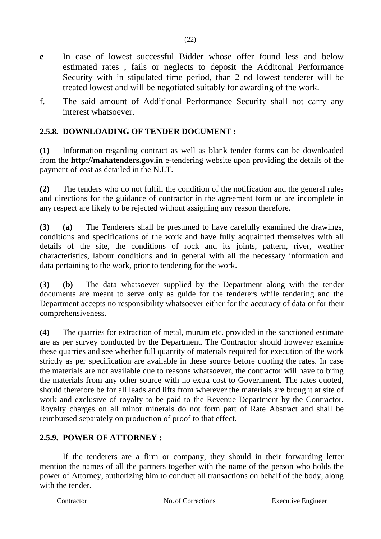- **e** In case of lowest successful Bidder whose offer found less and below estimated rates , fails or neglects to deposit the Additonal Performance Security with in stipulated time period, than 2 nd lowest tenderer will be treated lowest and will be negotiated suitably for awarding of the work.
- f. The said amount of Additional Performance Security shall not carry any interest whatsoever.

# **2.5.8. DOWNLOADING OF TENDER DOCUMENT :**

**(1)** Information regarding contract as well as blank tender forms can be downloaded from the **http://mahatenders.gov.in** e-tendering website upon providing the details of the payment of cost as detailed in the N.I.T.

**(2)** The tenders who do not fulfill the condition of the notification and the general rules and directions for the guidance of contractor in the agreement form or are incomplete in any respect are likely to be rejected without assigning any reason therefore.

**(3) (a)** The Tenderers shall be presumed to have carefully examined the drawings, conditions and specifications of the work and have fully acquainted themselves with all details of the site, the conditions of rock and its joints, pattern, river, weather characteristics, labour conditions and in general with all the necessary information and data pertaining to the work, prior to tendering for the work.

**(3) (b)** The data whatsoever supplied by the Department along with the tender documents are meant to serve only as guide for the tenderers while tendering and the Department accepts no responsibility whatsoever either for the accuracy of data or for their comprehensiveness.

**(4)** The quarries for extraction of metal, murum etc. provided in the sanctioned estimate are as per survey conducted by the Department. The Contractor should however examine these quarries and see whether full quantity of materials required for execution of the work strictly as per specification are available in these source before quoting the rates. In case the materials are not available due to reasons whatsoever, the contractor will have to bring the materials from any other source with no extra cost to Government. The rates quoted, should therefore be for all leads and lifts from wherever the materials are brought at site of work and exclusive of royalty to be paid to the Revenue Department by the Contractor. Royalty charges on all minor minerals do not form part of Rate Abstract and shall be reimbursed separately on production of proof to that effect.

# **2.5.9. POWER OF ATTORNEY :**

If the tenderers are a firm or company, they should in their forwarding letter mention the names of all the partners together with the name of the person who holds the power of Attorney, authorizing him to conduct all transactions on behalf of the body, along with the tender.

Contractor No. of Corrections Executive Engineer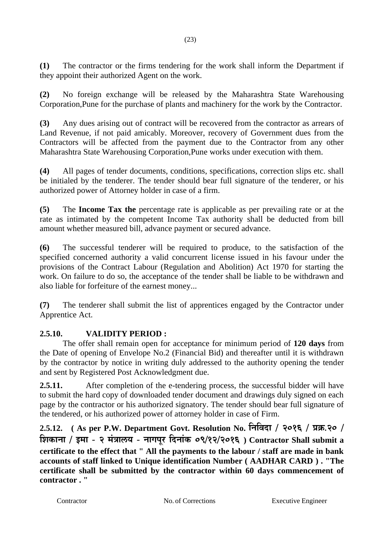**(1)** The contractor or the firms tendering for the work shall inform the Department if they appoint their authorized Agent on the work.

**(2)** No foreign exchange will be released by the Maharashtra State Warehousing Corporation,Pune for the purchase of plants and machinery for the work by the Contractor.

**(3)** Any dues arising out of contract will be recovered from the contractor as arrears of Land Revenue, if not paid amicably. Moreover, recovery of Government dues from the Contractors will be affected from the payment due to the Contractor from any other Maharashtra State Warehousing Corporation,Pune works under execution with them.

**(4)** All pages of tender documents, conditions, specifications, correction slips etc. shall be initialed by the tenderer. The tender should bear full signature of the tenderer, or his authorized power of Attorney holder in case of a firm.

**(5)** The **Income Tax the** percentage rate is applicable as per prevailing rate or at the rate as intimated by the competent Income Tax authority shall be deducted from bill amount whether measured bill, advance payment or secured advance.

**(6)** The successful tenderer will be required to produce, to the satisfaction of the specified concerned authority a valid concurrent license issued in his favour under the provisions of the Contract Labour (Regulation and Abolition) Act 1970 for starting the work. On failure to do so, the acceptance of the tender shall be liable to be withdrawn and also liable for forfeiture of the earnest money...

**(7)** The tenderer shall submit the list of apprentices engaged by the Contractor under Apprentice Act.

# **2.5.10. VALIDITY PERIOD :**

The offer shall remain open for acceptance for minimum period of **120 days** from the Date of opening of Envelope No.2 (Financial Bid) and thereafter until it is withdrawn by the contractor by notice in writing duly addressed to the authority opening the tender and sent by Registered Post Acknowledgment due.

**2.5.11.** After completion of the e-tendering process, the successful bidder will have to submit the hard copy of downloaded tender document and drawings duly signed on each page by the contractor or his authorized signatory. The tender should bear full signature of the tendered, or his authorized power of attorney holder in case of Firm.

**2.5.12. ( As per P.W. Department Govt. Resolution No. निनिदा / 2016 / प्रक्र.20 / निकािा / इमा - 2 मंत्रालय - िागपूर नदिांक 09/12/2016 ) Contractor Shall submit a certificate to the effect that " All the payments to the labour / staff are made in bank accounts of staff linked to Unique identification Number ( AADHAR CARD ) . "The certificate shall be submitted by the contractor within 60 days commencement of contractor . "**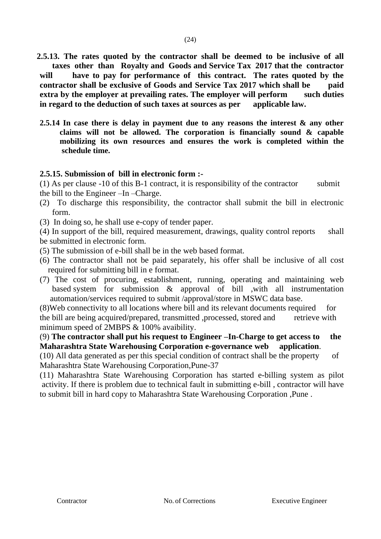**2.5.13. The rates quoted by the contractor shall be deemed to be inclusive of all taxes other than Royalty and Goods and Service Tax 2017 that the contractor** 

**will have to pay for performance of this contract. The rates quoted by the contractor shall be exclusive of Goods and Service Tax 2017 which shall be paid extra by the employer at prevailing rates. The employer will perform such duties in regard to the deduction of such taxes at sources as per applicable law.**

**2.5.14 In case there is delay in payment due to any reasons the interest & any other claims will not be allowed. The corporation is financially sound & capable mobilizing its own resources and ensures the work is completed within the schedule time.**

#### **2.5.15. Submission of bill in electronic form :-**

(1) As per clause  $-10$  of this B $-1$  contract, it is responsibility of the contractor submit the bill to the Engineer –In –Charge.

- (2) To discharge this responsibility, the contractor shall submit the bill in electronic form.
- (3) In doing so, he shall use e-copy of tender paper.

(4) In support of the bill, required measurement, drawings, quality control reports shall be submitted in electronic form.

- (5) The submission of e-bill shall be in the web based format.
- (6) The contractor shall not be paid separately, his offer shall be inclusive of all cost required for submitting bill in e format.
- (7) The cost of procuring, establishment, running, operating and maintaining web based system for submission & approval of bill ,with all instrumentation automation/services required to submit /approval/store in MSWC data base.

(8)Web connectivity to all locations where bill and its relevant documents required for the bill are being acquired/prepared, transmitted ,processed, stored and retrieve with minimum speed of 2MBPS & 100% avaibility.

(9) **The contractor shall put his request to Engineer –In-Charge to get access to the Maharashtra State Warehousing Corporation e-governance web application**.

(10) All data generated as per this special condition of contract shall be the property of Maharashtra State Warehousing Corporation,Pune-37

(11) Maharashtra State Warehousing Corporation has started e-billing system as pilot activity. If there is problem due to technical fault in submitting e-bill , contractor will have to submit bill in hard copy to Maharashtra State Warehousing Corporation ,Pune .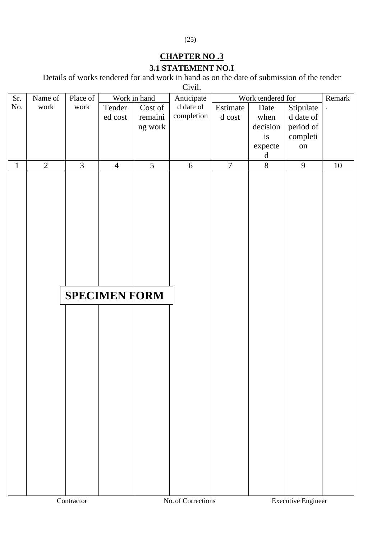# **CHAPTER NO .3**

(25)

# **3.1 STATEMENT NO.I**

Details of works tendered for and work in hand as on the date of submission of the tender

Civil.

| Sr.          | Name of    | Place of       | Work in hand         |                 | $\mathbf{v}$<br>Anticipate |                | Work tendered for |           | Remark    |
|--------------|------------|----------------|----------------------|-----------------|----------------------------|----------------|-------------------|-----------|-----------|
| No.          | work       | work           | Tender               | Cost of         | d date of                  | Estimate       | Date              | Stipulate | $\bullet$ |
|              |            |                | ed cost              | remaini         | completion                 | d cost         | when              | d date of |           |
|              |            |                |                      | ng work         |                            |                | decision          | period of |           |
|              |            |                |                      |                 |                            |                | is                | completi  |           |
|              |            |                |                      |                 |                            |                | expecte           | on        |           |
|              |            |                |                      |                 |                            |                | $\mathbf d$       |           |           |
| $\mathbf{1}$ | $\sqrt{2}$ | $\overline{3}$ | $\overline{4}$       | $5\overline{)}$ | 6                          | $\overline{7}$ | $\overline{8}$    | 9         | $10\,$    |
|              |            |                |                      |                 |                            |                |                   |           |           |
|              |            |                |                      |                 |                            |                |                   |           |           |
|              |            |                |                      |                 |                            |                |                   |           |           |
|              |            |                |                      |                 |                            |                |                   |           |           |
|              |            |                |                      |                 |                            |                |                   |           |           |
|              |            |                |                      |                 |                            |                |                   |           |           |
|              |            |                |                      |                 |                            |                |                   |           |           |
|              |            |                |                      |                 |                            |                |                   |           |           |
|              |            |                |                      |                 |                            |                |                   |           |           |
|              |            |                |                      |                 |                            |                |                   |           |           |
|              |            |                |                      |                 |                            |                |                   |           |           |
|              |            |                |                      |                 |                            |                |                   |           |           |
|              |            |                | <b>SPECIMEN FORM</b> |                 |                            |                |                   |           |           |
|              |            |                |                      |                 |                            |                |                   |           |           |
|              |            |                |                      |                 |                            |                |                   |           |           |
|              |            |                |                      |                 |                            |                |                   |           |           |
|              |            |                |                      |                 |                            |                |                   |           |           |
|              |            |                |                      |                 |                            |                |                   |           |           |
|              |            |                |                      |                 |                            |                |                   |           |           |
|              |            |                |                      |                 |                            |                |                   |           |           |
|              |            |                |                      |                 |                            |                |                   |           |           |
|              |            |                |                      |                 |                            |                |                   |           |           |
|              |            |                |                      |                 |                            |                |                   |           |           |
|              |            |                |                      |                 |                            |                |                   |           |           |
|              |            |                |                      |                 |                            |                |                   |           |           |
|              |            |                |                      |                 |                            |                |                   |           |           |
|              |            |                |                      |                 |                            |                |                   |           |           |
|              |            |                |                      |                 |                            |                |                   |           |           |
|              |            |                |                      |                 |                            |                |                   |           |           |
|              |            |                |                      |                 |                            |                |                   |           |           |
|              |            |                |                      |                 |                            |                |                   |           |           |
|              |            |                |                      |                 |                            |                |                   |           |           |
|              |            |                |                      |                 |                            |                |                   |           |           |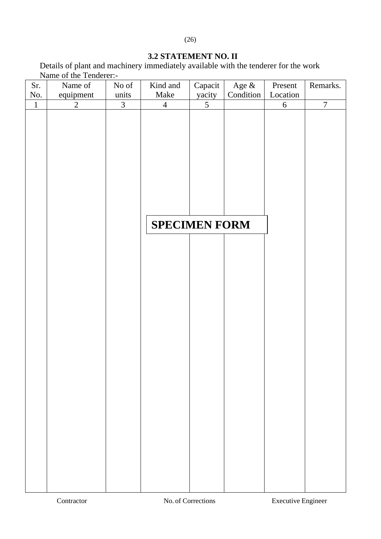# **3.2 STATEMENT NO. II**

Details of plant and machinery immediately available with the tenderer for the work Name of the Tenderer:-

| Sr.          | Name of        | No of          | Kind and             | Capacit        | Age $\&$  | Present    | Remarks.       |
|--------------|----------------|----------------|----------------------|----------------|-----------|------------|----------------|
| No.          | equipment      | units          | Make                 | yacity         | Condition | Location   |                |
| $\mathbf{1}$ | $\overline{2}$ | $\overline{3}$ | $\overline{4}$       | $\overline{5}$ |           | $\sqrt{6}$ | $\overline{7}$ |
|              |                |                |                      |                |           |            |                |
|              |                |                |                      |                |           |            |                |
|              |                |                |                      |                |           |            |                |
|              |                |                |                      |                |           |            |                |
|              |                |                |                      |                |           |            |                |
|              |                |                |                      |                |           |            |                |
|              |                |                |                      |                |           |            |                |
|              |                |                |                      |                |           |            |                |
|              |                |                |                      |                |           |            |                |
|              |                |                |                      |                |           |            |                |
|              |                |                | <b>SPECIMEN FORM</b> |                |           |            |                |
|              |                |                |                      |                |           |            |                |
|              |                |                |                      |                |           |            |                |
|              |                |                |                      |                |           |            |                |
|              |                |                |                      |                |           |            |                |
|              |                |                |                      |                |           |            |                |
|              |                |                |                      |                |           |            |                |
|              |                |                |                      |                |           |            |                |
|              |                |                |                      |                |           |            |                |
|              |                |                |                      |                |           |            |                |
|              |                |                |                      |                |           |            |                |
|              |                |                |                      |                |           |            |                |
|              |                |                |                      |                |           |            |                |
|              |                |                |                      |                |           |            |                |
|              |                |                |                      |                |           |            |                |
|              |                |                |                      |                |           |            |                |
|              |                |                |                      |                |           |            |                |
|              |                |                |                      |                |           |            |                |
|              |                |                |                      |                |           |            |                |
|              |                |                |                      |                |           |            |                |
|              |                |                |                      |                |           |            |                |
|              |                |                |                      |                |           |            |                |
|              |                |                |                      |                |           |            |                |
|              |                |                |                      |                |           |            |                |
|              |                |                |                      |                |           |            |                |
|              |                |                |                      |                |           |            |                |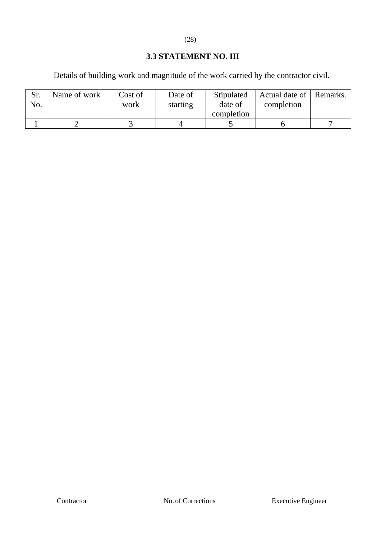# (28)

# **3.3 STATEMENT NO. III**

Details of building work and magnitude of the work carried by the contractor civil.

| No. | Name of work | Cost of<br>work | Date of<br>starting | Stipulated<br>date of<br>completion | Actual date of   Remarks.<br>completion |  |
|-----|--------------|-----------------|---------------------|-------------------------------------|-----------------------------------------|--|
|     |              |                 |                     |                                     |                                         |  |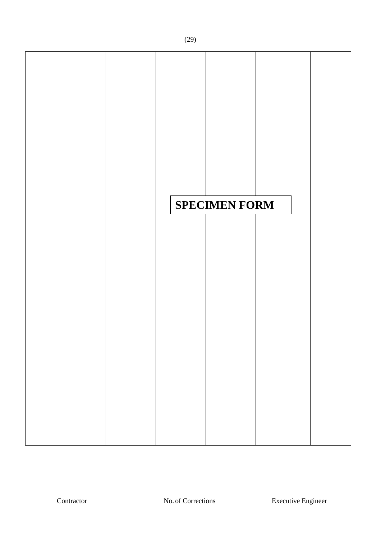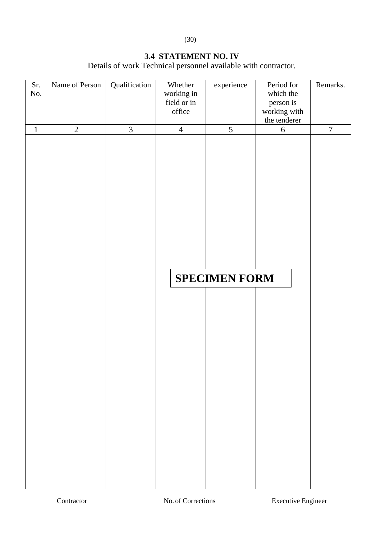(30)

# **3.4 STATEMENT NO. IV**

Details of work Technical personnel available with contractor.

| Sr.         | Name of Person | Qualification  | Whether        | experience           | Period for       | Remarks.       |
|-------------|----------------|----------------|----------------|----------------------|------------------|----------------|
| No.         |                |                | working in     |                      | which the        |                |
|             |                |                | field or in    |                      | person is        |                |
|             |                |                | office         |                      | working with     |                |
|             |                |                |                |                      | the tenderer     |                |
| $\mathbf 1$ | $\overline{2}$ | $\overline{3}$ | $\overline{4}$ | $\overline{5}$       | $\boldsymbol{6}$ | $\overline{7}$ |
|             |                |                |                |                      |                  |                |
|             |                |                |                | <b>SPECIMEN FORM</b> |                  |                |
|             |                |                |                |                      |                  |                |
|             |                |                |                |                      |                  |                |
|             |                |                |                |                      |                  |                |
|             |                |                |                |                      |                  |                |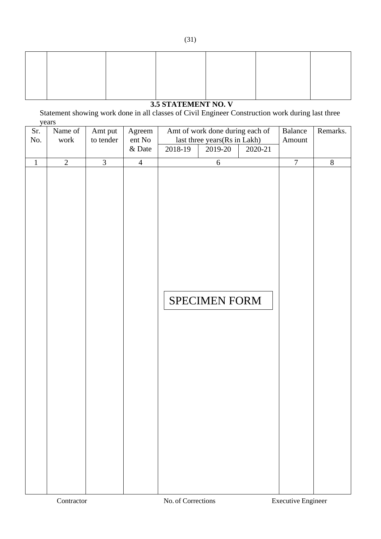# **3.5 STATEMENT NO. V**

Statement showing work done in all classes of Civil Engineer Construction work during last three years

| Sr.     | Name of        | Amt put        | Agreem         | Amt of work done during each of | Balance        | Remarks.       |
|---------|----------------|----------------|----------------|---------------------------------|----------------|----------------|
| No.     | work           | to tender      | ent No         | last three years(Rs in Lakh)    | Amount         |                |
|         |                |                | $&$ Date       | 2018-19<br>2019-20<br>2020-21   |                |                |
| $\,1\,$ | $\overline{2}$ | $\overline{3}$ | $\overline{4}$ | $\sqrt{6}$                      | $\overline{7}$ | $\overline{8}$ |
|         |                |                |                |                                 |                |                |
|         |                |                |                |                                 |                |                |
|         |                |                |                |                                 |                |                |
|         |                |                |                |                                 |                |                |
|         |                |                |                |                                 |                |                |
|         |                |                |                |                                 |                |                |
|         |                |                |                |                                 |                |                |
|         |                |                |                |                                 |                |                |
|         |                |                |                |                                 |                |                |
|         |                |                |                |                                 |                |                |
|         |                |                |                |                                 |                |                |
|         |                |                |                |                                 |                |                |
|         |                |                |                | SPECIMEN FORM                   |                |                |
|         |                |                |                |                                 |                |                |
|         |                |                |                |                                 |                |                |
|         |                |                |                |                                 |                |                |
|         |                |                |                |                                 |                |                |
|         |                |                |                |                                 |                |                |
|         |                |                |                |                                 |                |                |
|         |                |                |                |                                 |                |                |
|         |                |                |                |                                 |                |                |
|         |                |                |                |                                 |                |                |
|         |                |                |                |                                 |                |                |
|         |                |                |                |                                 |                |                |
|         |                |                |                |                                 |                |                |
|         |                |                |                |                                 |                |                |
|         |                |                |                |                                 |                |                |
|         |                |                |                |                                 |                |                |
|         |                |                |                |                                 |                |                |
|         |                |                |                |                                 |                |                |
|         |                |                |                |                                 |                |                |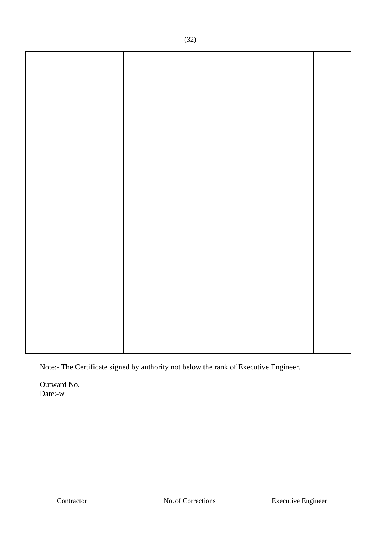Note:- The Certificate signed by authority not below the rank of Executive Engineer.

Outward No. Date:-w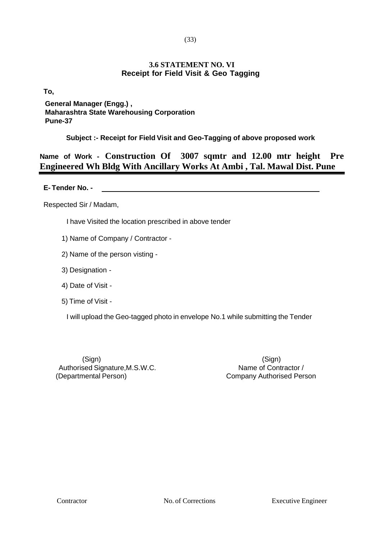#### (33)

#### **3.6 STATEMENT NO. VI Receipt for Field Visit & Geo Tagging**

**To,**

# **General Manager (Engg.) , Maharashtra State Warehousing Corporation Pune-37**

**Subject :- Receipt for Field Visit and Geo-Tagging of above proposed work**

**Name of Work - Construction Of 3007 sqmtr and 12.00 mtr height Pre Engineered Wh Bldg With Ancillary Works At Ambi , Tal. Mawal Dist. Pune** 

**E- Tender No. -**

Respected Sir / Madam,

I have Visited the location prescribed in above tender

- 1) Name of Company / Contractor -
- 2) Name of the person visting -
- 3) Designation -
- 4) Date of Visit -
- 5) Time of Visit -

I will upload the Geo-tagged photo in envelope No.1 while submitting the Tender

(Sign) (Sign) Authorised Signature, M.S.W.C. Name of Contractor / (Departmental Person) Company Authorised Person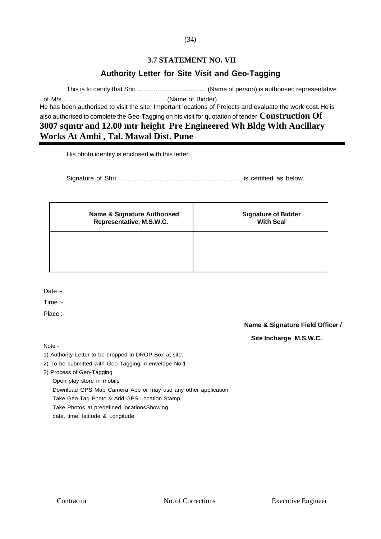#### **3.7 STATEMENT NO. VII**

# **Authority Letter for Site Visit and Geo-Tagging**

This is to certify that Shri........................................(Name of person) is authorised representative

of M/s........................................................... (Name of Bidder). He has been authorised to visit the site, Important locations of Projects and evaluate the work cost. He is also authorised to complete the Geo-Tagging on his visit for quotation of tender **Construction Of 3007 sqmtr and 12.00 mtr height Pre Engineered Wh Bldg With Ancillary Works At Ambi , Tal. Mawal Dist. Pune**

His photo identity is enclosed with this letter.

Signature of Shri ..................................................................... is certified as below.

| <b>Name &amp; Signature Authorised</b> | <b>Signature of Bidder</b> |
|----------------------------------------|----------------------------|
| Representative, M.S.W.C.               | <b>With Seal</b>           |
|                                        |                            |

Date :-

Time :-

Place :-

**Name & Signature Field Officer / Site Incharge M.S.W.C.**

Note -

1) Authority Letter to be dropped in DROP Box at site.

2) To be submitted with Geo-Tagging in envelope No.1

3) Process of Geo-Tagging

Open play store in mobile

Download GPS Map Camera App or may use any other application

Take Geo-Tag Photo & Add GPS Location Stamp.

Take Photos at predefined locationsShowing

date, time, latitude & Longitude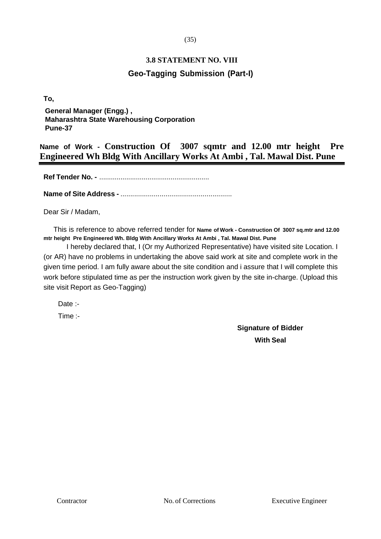#### (35)

# **3.8 STATEMENT NO. VIII Geo-Tagging Submission (Part-I)**

**To,**

**General Manager (Engg.) , Maharashtra State Warehousing Corporation Pune-37**

**Name of Work - Construction Of 3007 sqmtr and 12.00 mtr height Pre Engineered Wh Bldg With Ancillary Works At Ambi , Tal. Mawal Dist. Pune**

**Ref Tender No. -** .........................................................

**Name of Site Address -** .........................................................

Dear Sir / Madam,

This is reference to above referred tender for **Name of Work - Construction Of 3007 sq.mtr and 12.00 mtr height Pre Engineered Wh. Bldg With Ancillary Works At Ambi , Tal. Mawal Dist. Pune**

I hereby declared that, I (Or my Authorized Representative) have visited site Location. I (or AR) have no problems in undertaking the above said work at site and complete work in the given time period. I am fully aware about the site condition and i assure that I will complete this work before stipulated time as per the instruction work given by the site in-charge. (Upload this site visit Report as Geo-Tagging)

Date :- Time :-

> **Signature of Bidder With Seal**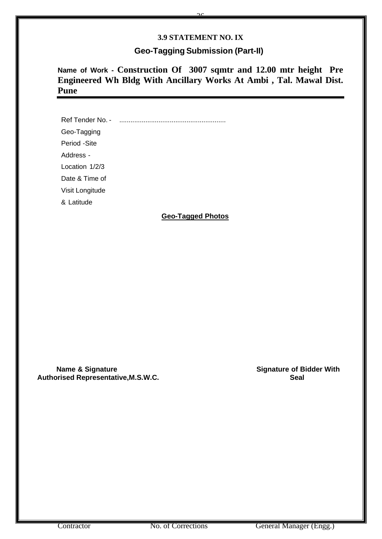#### **3.9 STATEMENT NO. IX**

 $\frac{2}{\sqrt{2}}$ 

## **Geo-Tagging Submission (Part-II)**

**Name of Work - Construction Of 3007 sqmtr and 12.00 mtr height Pre Engineered Wh Bldg With Ancillary Works At Ambi , Tal. Mawal Dist. Pune** 

Ref Tender No. - ......................................................... Geo-Tagging Period -Site Address - Location 1/2/3 Date & Time of Visit Longitude & Latitude

#### **Geo-Tagged Photos**

 **Name & Signature Construction Construction Construction Construction Construction Construction Construction Construction Construction Construction Construction Construction Construction Construction Construction Constr Authorised Representative,M.S.W.C. Seal**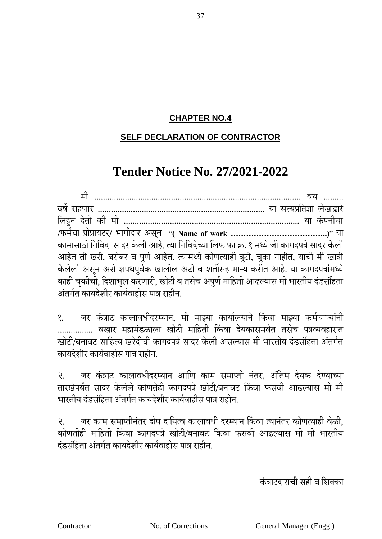# **CHAPTER NO.4**

# **SELF DECLARATION OF CONTRACTOR**

# **Tender Notice No. 27/2021-2022**

| कामासाठी निविदा सादर केली आहे. त्या निविदेच्या लिफाफा क्र. १ मध्ये जी कागदपत्रे सादर केली |  |
|-------------------------------------------------------------------------------------------|--|
| आहेत ती खरी, बरोबर व पुर्ण आहेत. त्यामध्ये कोणत्याही त्रुटी, चुका नाहीत, याची मी खात्री   |  |
| केलेली असून असे शपथपूर्वक खालील अटी व शर्तीसह मान्य करीत आहे. या कागदपत्रांमध्ये          |  |
| काही चुकीची, दिशाभुल करणारी, खोटी व तसेच अपुर्ण माहिती आढल्यास मी भारतीय दंडसंहिता        |  |
| अंतर्गत कायदेशीर कार्यवाहीस पात्र राहीन.                                                  |  |

१. जर कंत्राट कालावधीदरम्यान, मी माझ्या कार्यालयाने किंवा माझ्या कर्मचाऱ्यांनी ................. वखार महामंडळाला खोटी माहिती किंवा देयकासमवेत तसेच पत्रव्यवहारात खोटी/बनावट साहित्य खरेदीची कागदपत्रे सादर केली असल्यास मी भारतीय दंडसंहिता अंतर्गत कायदेशीर कार्यवाहीस पात्र राहीन.

२. जर कंत्राट कालावधीदरम्यान आणि काम समाप्ती नंतर, अंतिम देयक देण्याच्या तारखेपर्यंत सादर केलेले कोणतेही कागदपत्रे खोटी/बनावट किंवा फसवी आढल्यास मी मी भारतीय दंडसंहिता अंतर्गत कायदेशीर कार्यवाहीस पात्र राहीन.

२. जर काम समाप्तीनंतर दोष दायित्व कालावधी दरम्यान किंवा त्यानंतर कोणत्याही वेळी. कोणतीही माहिती किंवा कागदपत्रे खोटी/बनावट किंवा फसवी आढल्यास मी मी भारतीय दंडसंहिता अंतर्गत कायदेशीर कार्यवाहीस पात्र राहीन.

कं त्राटदाराची सही व तशक्का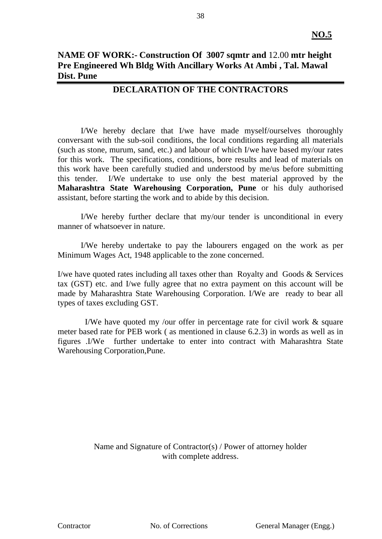# **NAME OF WORK:- Construction Of 3007 sqmtr and** 12.00 **mtr height Pre Engineered Wh Bldg With Ancillary Works At Ambi , Tal. Mawal Dist. Pune**

# **DECLARATION OF THE CONTRACTORS**

I/We hereby declare that I/we have made myself/ourselves thoroughly conversant with the sub-soil conditions, the local conditions regarding all materials (such as stone, murum, sand, etc.) and labour of which I/we have based my/our rates for this work. The specifications, conditions, bore results and lead of materials on this work have been carefully studied and understood by me/us before submitting this tender. I/We undertake to use only the best material approved by the **Maharashtra State Warehousing Corporation, Pune** or his duly authorised assistant, before starting the work and to abide by this decision.

I/We hereby further declare that my/our tender is unconditional in every manner of whatsoever in nature.

I/We hereby undertake to pay the labourers engaged on the work as per Minimum Wages Act, 1948 applicable to the zone concerned.

I/we have quoted rates including all taxes other than Royalty and Goods & Services tax (GST) etc. and I/we fully agree that no extra payment on this account will be made by Maharashtra State Warehousing Corporation. I/We are ready to bear all types of taxes excluding GST.

 I/We have quoted my /our offer in percentage rate for civil work & square meter based rate for PEB work ( as mentioned in clause 6.2.3) in words as well as in figures .I/We further undertake to enter into contract with Maharashtra State Warehousing Corporation,Pune.

> Name and Signature of Contractor(s) / Power of attorney holder with complete address.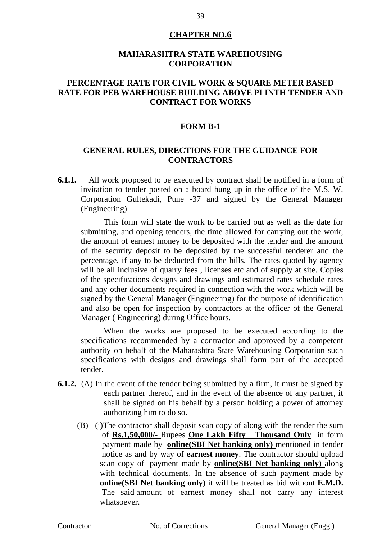### **CHAPTER NO.6**

#### **MAHARASHTRA STATE WAREHOUSING CORPORATION**

# **PERCENTAGE RATE FOR CIVIL WORK & SQUARE METER BASED RATE FOR PEB WAREHOUSE BUILDING ABOVE PLINTH TENDER AND CONTRACT FOR WORKS**

#### **FORM B-1**

# **GENERAL RULES, DIRECTIONS FOR THE GUIDANCE FOR CONTRACTORS**

**6.1.1.** All work proposed to be executed by contract shall be notified in a form of invitation to tender posted on a board hung up in the office of the M.S. W. Corporation Gultekadi, Pune -37 and signed by the General Manager (Engineering).

This form will state the work to be carried out as well as the date for submitting, and opening tenders, the time allowed for carrying out the work, the amount of earnest money to be deposited with the tender and the amount of the security deposit to be deposited by the successful tenderer and the percentage, if any to be deducted from the bills, The rates quoted by agency will be all inclusive of quarry fees, licenses etc and of supply at site. Copies of the specifications designs and drawings and estimated rates schedule rates and any other documents required in connection with the work which will be signed by the General Manager (Engineering) for the purpose of identification and also be open for inspection by contractors at the officer of the General Manager ( Engineering) during Office hours.

When the works are proposed to be executed according to the specifications recommended by a contractor and approved by a competent authority on behalf of the Maharashtra State Warehousing Corporation such specifications with designs and drawings shall form part of the accepted tender.

- **6.1.2.** (A) In the event of the tender being submitted by a firm, it must be signed by each partner thereof, and in the event of the absence of any partner, it shall be signed on his behalf by a person holding a power of attorney authorizing him to do so.
	- (B) (i)The contractor shall deposit scan copy of along with the tender the sum of **Rs.1,50,000/-** Rupees **One Lakh Fifty Thousand Only** in form payment made by **online(SBI Net banking only)** mentioned in tender notice as and by way of **earnest money**. The contractor should upload scan copy of payment made by **online(SBI Net banking only)** along with technical documents. In the absence of such payment made by **online(SBI Net banking only)** it will be treated as bid without **E.M.D.** The said amount of earnest money shall not carry any interest whatsoever.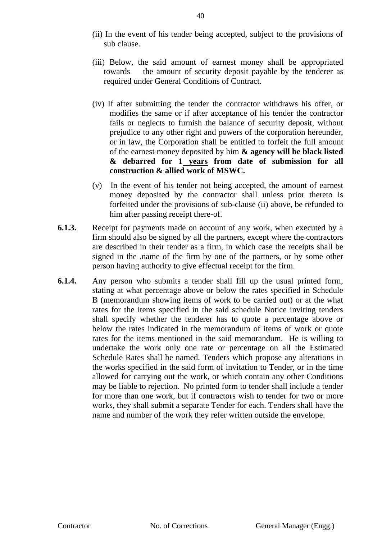- (ii) In the event of his tender being accepted, subject to the provisions of sub clause.
- (iii) Below, the said amount of earnest money shall be appropriated towards the amount of security deposit payable by the tenderer as required under General Conditions of Contract.
- (iv) If after submitting the tender the contractor withdraws his offer, or modifies the same or if after acceptance of his tender the contractor fails or neglects to furnish the balance of security deposit, without prejudice to any other right and powers of the corporation hereunder, or in law, the Corporation shall be entitled to forfeit the full amount of the earnest money deposited by him **& agency will be black listed & debarred for 1 years from date of submission for all construction & allied work of MSWC.**
- (v) In the event of his tender not being accepted, the amount of earnest money deposited by the contractor shall unless prior thereto is forfeited under the provisions of sub-clause (ii) above, be refunded to him after passing receipt there-of.
- **6.1.3.** Receipt for payments made on account of any work, when executed by a firm should also be signed by all the partners, except where the contractors are described in their tender as a firm, in which case the receipts shall be signed in the .name of the firm by one of the partners, or by some other person having authority to give effectual receipt for the firm.
- **6.1.4.** Any person who submits a tender shall fill up the usual printed form, stating at what percentage above or below the rates specified in Schedule B (memorandum showing items of work to be carried out) or at the what rates for the items specified in the said schedule Notice inviting tenders shall specify whether the tenderer has to quote a percentage above or below the rates indicated in the memorandum of items of work or quote rates for the items mentioned in the said memorandum. He is willing to undertake the work only one rate or percentage on all the Estimated Schedule Rates shall be named. Tenders which propose any alterations in the works specified in the said form of invitation to Tender, or in the time allowed for carrying out the work, or which contain any other Conditions may be liable to rejection. No printed form to tender shall include a tender for more than one work, but if contractors wish to tender for two or more works, they shall submit a separate Tender for each. Tenders shall have the name and number of the work they refer written outside the envelope.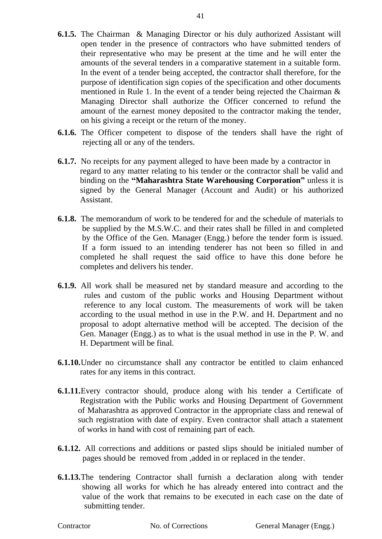- **6.1.5.** The Chairman & Managing Director or his duly authorized Assistant will open tender in the presence of contractors who have submitted tenders of their representative who may be present at the time and he will enter the amounts of the several tenders in a comparative statement in a suitable form. In the event of a tender being accepted, the contractor shall therefore, for the purpose of identification sign copies of the specification and other documents mentioned in Rule 1. In the event of a tender being rejected the Chairman & Managing Director shall authorize the Officer concerned to refund the amount of the earnest money deposited to the contractor making the tender, on his giving a receipt or the return of the money.
- **6.1.6.** The Officer competent to dispose of the tenders shall have the right of rejecting all or any of the tenders.
- **6.1.7.** No receipts for any payment alleged to have been made by a contractor in regard to any matter relating to his tender or the contractor shall be valid and binding on the **"Maharashtra State Warehousing Corporation"** unless it is signed by the General Manager (Account and Audit) or his authorized Assistant.
- **6.1.8.** The memorandum of work to be tendered for and the schedule of materials to be supplied by the M.S.W.C. and their rates shall be filled in and completed by the Office of the Gen. Manager (Engg.) before the tender form is issued. If a form issued to an intending tenderer has not been so filled in and completed he shall request the said office to have this done before he completes and delivers his tender.
- **6.1.9.** All work shall be measured net by standard measure and according to the rules and custom of the public works and Housing Department without reference to any local custom. The measurements of work will be taken according to the usual method in use in the P.W. and H. Department and no proposal to adopt alternative method will be accepted. The decision of the Gen. Manager (Engg.) as to what is the usual method in use in the P. W. and H. Department will be final.
- **6.1.10.**Under no circumstance shall any contractor be entitled to claim enhanced rates for any items in this contract.
- **6.1.11.**Every contractor should, produce along with his tender a Certificate of Registration with the Public works and Housing Department of Government of Maharashtra as approved Contractor in the appropriate class and renewal of such registration with date of expiry. Even contractor shall attach a statement of works in hand with cost of remaining part of each.
- **6.1.12.** All corrections and additions or pasted slips should be initialed number of pages should be removed from ,added in or replaced in the tender.
- **6.1.13.**The tendering Contractor shall furnish a declaration along with tender showing all works for which he has already entered into contract and the value of the work that remains to be executed in each case on the date of submitting tender.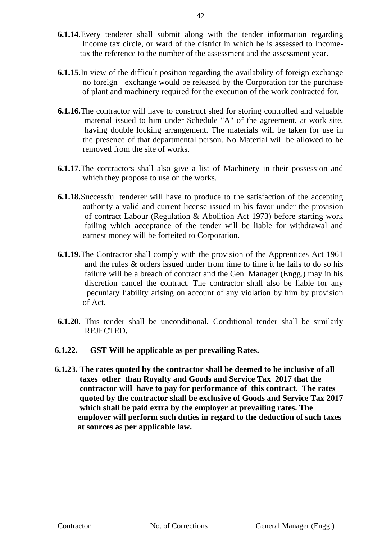- **6.1.14.**Every tenderer shall submit along with the tender information regarding Income tax circle, or ward of the district in which he is assessed to Income tax the reference to the number of the assessment and the assessment year.
- **6.1.15.**In view of the difficult position regarding the availability of foreign exchange no foreign exchange would be released by the Corporation for the purchase of plant and machinery required for the execution of the work contracted for.
- **6.1.16.**The contractor will have to construct shed for storing controlled and valuable material issued to him under Schedule "A" of the agreement, at work site, having double locking arrangement. The materials will be taken for use in the presence of that departmental person. No Material will be allowed to be removed from the site of works.
- **6.1.17.**The contractors shall also give a list of Machinery in their possession and which they propose to use on the works.
- **6.1.18.**Successful tenderer will have to produce to the satisfaction of the accepting authority a valid and current license issued in his favor under the provision of contract Labour (Regulation & Abolition Act 1973) before starting work failing which acceptance of the tender will be liable for withdrawal and earnest money will be forfeited to Corporation.
- **6.1.19.**The Contractor shall comply with the provision of the Apprentices Act 1961 and the rules & orders issued under from time to time it he fails to do so his failure will be a breach of contract and the Gen. Manager (Engg.) may in his discretion cancel the contract. The contractor shall also be liable for any pecuniary liability arising on account of any violation by him by provision of Act.
- **6.1.20.** This tender shall be unconditional. Conditional tender shall be similarly REJECTED**.**
- **6.1.22. GST Will be applicable as per prevailing Rates.**
- **6.1.23. The rates quoted by the contractor shall be deemed to be inclusive of all taxes other than Royalty and Goods and Service Tax 2017 that the contractor will have to pay for performance of this contract. The rates quoted by the contractor shall be exclusive of Goods and Service Tax 2017 which shall be paid extra by the employer at prevailing rates. The employer will perform such duties in regard to the deduction of such taxes at sources as per applicable law.**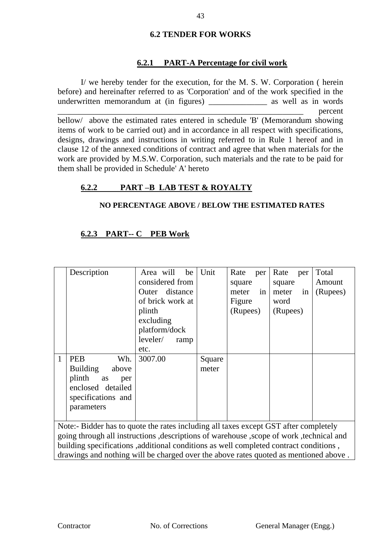# **6.2 TENDER FOR WORKS**

# **6.2.1 PART-A Percentage for civil work**

I/ we hereby tender for the execution, for the M. S. W. Corporation ( herein before) and hereinafter referred to as 'Corporation' and of the work specified in the underwritten memorandum at (in figures) as well as in words \_\_\_\_\_\_\_\_\_\_\_\_\_\_\_\_\_\_\_\_\_\_\_\_\_\_\_\_\_\_\_\_\_\_\_\_\_\_\_\_\_\_\_\_\_\_\_\_\_\_\_\_\_\_\_\_\_\_\_ percent bellow/ above the estimated rates entered in schedule 'B' (Memorandum showing items of work to be carried out) and in accordance in all respect with specifications, designs, drawings and instructions in writing referred to in Rule 1 hereof and in clause 12 of the annexed conditions of contract and agree that when materials for the work are provided by M.S.W. Corporation, such materials and the rate to be paid for them shall be provided in Schedule' A' hereto

# **6.2.2 PART –B LAB TEST & ROYALTY**

# **NO PERCENTAGE ABOVE / BELOW THE ESTIMATED RATES**

# **6.2.3 PART-- C PEB Work**

| Description                                                                               |           | Area will        |  | be   | Unit   | Rate     | per | Rate     | per | Total    |
|-------------------------------------------------------------------------------------------|-----------|------------------|--|------|--------|----------|-----|----------|-----|----------|
|                                                                                           |           | considered from  |  |      |        | square   |     | square   |     | Amount   |
|                                                                                           |           | Outer distance   |  |      |        | meter    | in  | meter    | in  | (Rupees) |
|                                                                                           |           | of brick work at |  |      |        | Figure   |     | word     |     |          |
|                                                                                           |           | plinth           |  |      |        | (Rupees) |     | (Rupees) |     |          |
|                                                                                           |           | excluding        |  |      |        |          |     |          |     |          |
|                                                                                           |           | platform/dock    |  |      |        |          |     |          |     |          |
|                                                                                           |           | leveler/         |  | ramp |        |          |     |          |     |          |
|                                                                                           |           | etc.             |  |      |        |          |     |          |     |          |
| <b>PEB</b><br>1                                                                           | Wh.       | 3007.00          |  |      | Square |          |     |          |     |          |
| <b>Building</b>                                                                           | above     |                  |  |      | meter  |          |     |          |     |          |
| plinth                                                                                    | as<br>per |                  |  |      |        |          |     |          |     |          |
| enclosed detailed                                                                         |           |                  |  |      |        |          |     |          |     |          |
| specifications and                                                                        |           |                  |  |      |        |          |     |          |     |          |
| parameters                                                                                |           |                  |  |      |        |          |     |          |     |          |
|                                                                                           |           |                  |  |      |        |          |     |          |     |          |
| Note:- Bidder has to quote the rates including all taxes except GST after completely      |           |                  |  |      |        |          |     |          |     |          |
| going through all instructions , descriptions of warehouse , scope of work, technical and |           |                  |  |      |        |          |     |          |     |          |
| building specifications , additional conditions as well completed contract conditions,    |           |                  |  |      |        |          |     |          |     |          |

drawings and nothing will be charged over the above rates quoted as mentioned above .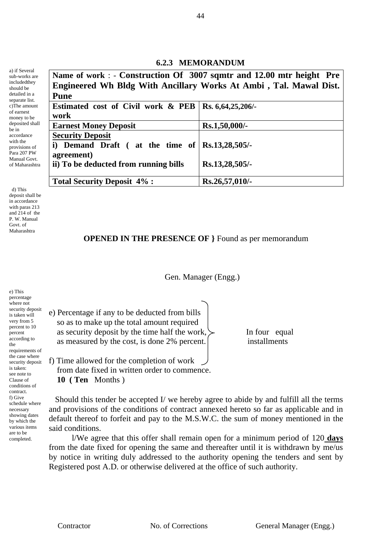# **6.2.3 MEMORANDUM**

| Name of work : - Construction Of 3007 sqmtr and 12.00 mtr height Pre |                      |
|----------------------------------------------------------------------|----------------------|
| Engineered Wh Bldg With Ancillary Works At Ambi, Tal. Mawal Dist.    |                      |
| <b>Pune</b>                                                          |                      |
| Estimated cost of Civil work & PEB                                   | Rs. $6,64,25,206$ /- |
| work                                                                 |                      |
| <b>Earnest Money Deposit</b>                                         | Rs.1,50,000/-        |
| <b>Security Deposit</b>                                              |                      |
| Demand Draft (at the time of $\left  \right $ Rs.13,28,505/-         |                      |
| agreement)                                                           |                      |
| ii) To be deducted from running bills                                | Rs.13,28,505/-       |
| <b>Total Security Deposit 4%:</b>                                    | Rs.26,57,010/-       |

 d) This deposit shall be in accordance with paras 213 and 214 of the P. W. Manual Govt. of Maharashtra

a) if Several sub-works are includedthey should be detailed in a separate list. c)The amount of earnest money to be deposited shall be in accordance with the provisions of Para 207 PW Manual Govt. of Maharashtra

# **OPENED IN THE PRESENCE OF }** Found as per memorandum

Gen. Manager (Engg.)

e) Percentage if any to be deducted from bills so as to make up the total amount required as security deposit by the time half the work,  $\triangleright$  In four equal as measured by the cost, is done 2% percent. installments

f) Time allowed for the completion of work from date fixed in written order to commence. **10 ( Ten** Months )

 Should this tender be accepted I/ we hereby agree to abide by and fulfill all the terms and provisions of the conditions of contract annexed hereto so far as applicable and in default thereof to forfeit and pay to the M.S.W.C. the sum of money mentioned in the said conditions.

l/We agree that this offer shall remain open for a minimum period of 120 **days** from the date fixed for opening the same and thereafter until it is withdrawn by me/us by notice in writing duly addressed to the authority opening the tenders and sent by Registered post A.D. or otherwise delivered at the office of such authority.

e) This percentage where not security deposit is taken will very from 5 percent to 10 percent according to the requirements of the case where security deposit is taken: see note to Clause of conditions of contract. f) Give schedule where necessary showing dates by which the various items are to be completed.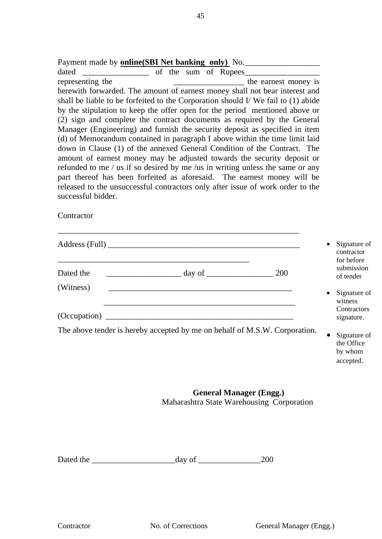**Contractor** 

|           | Address (Full)                                                             |     |           | Signature of<br>contractor                            |
|-----------|----------------------------------------------------------------------------|-----|-----------|-------------------------------------------------------|
| Dated the | $\equiv$ day of $\equiv$                                                   | 200 |           | for before<br>submission<br>of tender                 |
| (Witness) |                                                                            |     | $\bullet$ | Signature of<br>witness                               |
|           |                                                                            |     |           | Contractors<br>signature.                             |
|           | The above tender is hereby accepted by me on behalf of M.S.W. Corporation. |     | ٠         | Signature of<br>the Office<br>$\mathbf 1$ $\mathbf 1$ |

by whom accepted.

# **General Manager (Engg.)** Maharashtra State Warehousing Corporation

Dated the \_\_\_\_\_\_\_\_\_\_\_\_\_\_\_\_\_\_\_\_day of \_\_\_\_\_\_\_\_\_\_\_\_\_\_\_200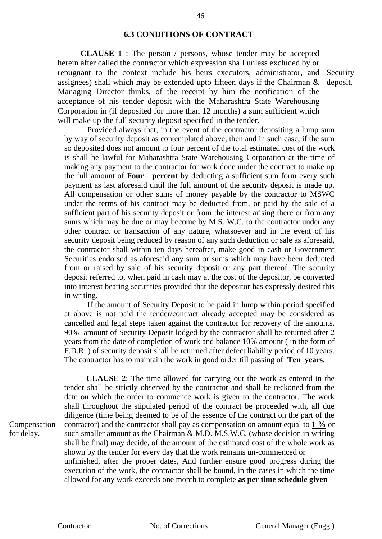#### **6.3 CONDITIONS OF CONTRACT**

 **CLAUSE 1** : The person / persons, whose tender may be accepted herein after called the contractor which expression shall unless excluded by or repugnant to the context include his heirs executors, administrator, and assignees) shall which may be extended upto fifteen days if the Chairman & Managing Director thinks, of the receipt by him the notification of the acceptance of his tender deposit with the Maharashtra State Warehousing Corporation in (if deposited for more than 12 months) a sum sufficient which will make up the full security deposit specified in the tender. Security deposit.

Provided always that, in the event of the contractor depositing a lump sum by way of security deposit as contemplated above, then and in such case, if the sum so deposited does not amount to four percent of the total estimated cost of the work is shall be lawful for Maharashtra State Warehousing Corporation at the time of making any payment to the contractor for work done under the contract to make up the full amount of **Four percent** by deducting a sufficient sum form every such payment as last aforesaid until the full amount of the security deposit is made up. All compensation or other sums of money payable by the contractor to MSWC under the terms of his contract may be deducted from, or paid by the sale of a sufficient part of his security deposit or from the interest arising there or from any sums which may be due or may become by M.S. W.C. to the contractor under any other contract or transaction of any nature, whatsoever and in the event of his security deposit being reduced by reason of any such deduction or sale as aforesaid, the contractor shall within ten days hereafter, make good in cash or Government Securities endorsed as aforesaid any sum or sums which may have been deducted from or raised by sale of his security deposit or any part thereof. The security deposit referred to, when paid in cash may at the cost of the depositor, be converted into interest bearing securities provided that the depositor has expressly desired this in writing.

If the amount of Security Deposit to be paid in lump within period specified at above is not paid the tender/contract already accepted may be considered as cancelled and legal steps taken against the contractor for recovery of the amounts. 90% amount of Security Deposit lodged by the contractor shall be returned after 2 years from the date of completion of work and balance 10% amount ( in the form of F.D.R. ) of security deposit shall be returned after defect liability period of 10 years. The contractor has to maintain the work in good order till passing of **Ten years.**

Compensation for delay.

 **CLAUSE 2**: The time allowed for carrying out the work as entered in the tender shall be strictly observed by the contractor and shall be reckoned from the date on which the order to commence work is given to the contractor. The work shall throughout the stipulated period of the contract be proceeded with, all due diligence (time being deemed to be of the essence of the contract on the part of the contractor) and the contractor shall pay as compensation on amount equal to **1 %** or such smaller amount as the Chairman & M.D. M.S.W.C. (whose decision in writing shall be final) may decide, of the amount of the estimated cost of the whole work as shown by the tender for every day that the work remains un-commenced or unfinished, after the proper dates, And further ensure good progress during the execution of the work, the contractor shall be bound, in the cases in which the time allowed for any work exceeds one month to complete **as per time schedule given**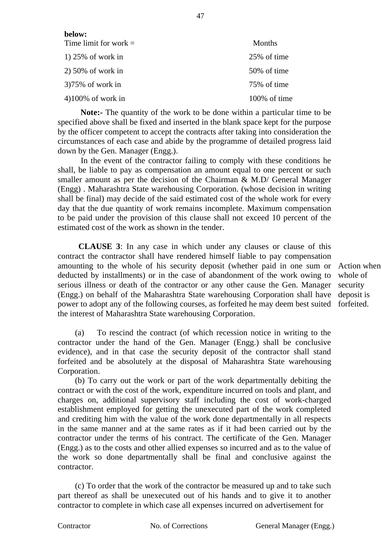| below:                  |              |
|-------------------------|--------------|
| Time limit for work $=$ | Months       |
| $1)$ 25% of work in     | 25% of time  |
| $2)$ 50% of work in     | 50% of time  |
| $375\%$ of work in      | 75% of time  |
| $4100\%$ of work in     | 100% of time |

 **Note:-** The quantity of the work to be done within a particular time to be specified above shall be fixed and inserted in the blank space kept for the purpose by the officer competent to accept the contracts after taking into consideration the circumstances of each case and abide by the programme of detailed progress laid down by the Gen. Manager (Engg.).

In the event of the contractor failing to comply with these conditions he shall, be liable to pay as compensation an amount equal to one percent or such smaller amount as per the decision of the Chairman & M.D/ General Manager (Engg) . Maharashtra State warehousing Corporation. (whose decision in writing shall be final) may decide of the said estimated cost of the whole work for every day that the due quantity of work remains incomplete. Maximum compensation to be paid under the provision of this clause shall not exceed 10 percent of the estimated cost of the work as shown in the tender.

 **CLAUSE 3**: In any case in which under any clauses or clause of this contract the contractor shall have rendered himself liable to pay compensation amounting to the whole of his security deposit (whether paid in one sum or deducted by installments) or in the case of abandonment of the work owing to serious illness or death of the contractor or any other cause the Gen. Manager (Engg.) on behalf of the Maharashtra State warehousing Corporation shall have power to adopt any of the following courses, as forfeited he may deem best suited the interest of Maharashtra State warehousing Corporation.

(a) To rescind the contract (of which recession notice in writing to the contractor under the hand of the Gen. Manager (Engg.) shall be conclusive evidence), and in that case the security deposit of the contractor shall stand forfeited and be absolutely at the disposal of Maharashtra State warehousing Corporation.

(b) To carry out the work or part of the work departmentally debiting the contract or with the cost of the work, expenditure incurred on tools and plant, and charges on, additional supervisory staff including the cost of work-charged establishment employed for getting the unexecuted part of the work completed and crediting him with the value of the work done departmentally in all respects in the same manner and at the same rates as if it had been carried out by the contractor under the terms of his contract. The certificate of the Gen. Manager (Engg.) as to the costs and other allied expenses so incurred and as to the value of the work so done departmentally shall be final and conclusive against the contractor.

(c) To order that the work of the contractor be measured up and to take such part thereof as shall be unexecuted out of his hands and to give it to another contractor to complete in which case all expenses incurred on advertisement for

Action when whole of security deposit is forfeited.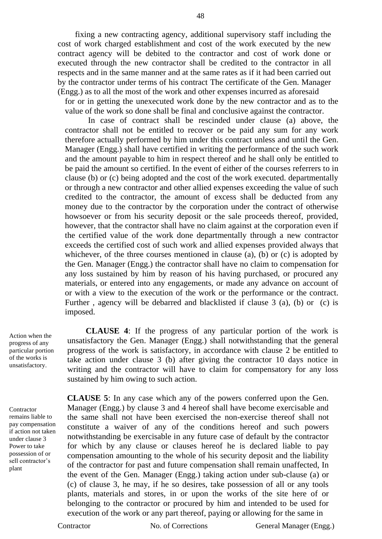fixing a new contracting agency, additional supervisory staff including the cost of work charged establishment and cost of the work executed by the new contract agency will be debited to the contractor and cost of work done or executed through the new contractor shall be credited to the contractor in all respects and in the same manner and at the same rates as if it had been carried out by the contractor under terms of his contract The certificate of the Gen. Manager (Engg.) as to all the most of the work and other expenses incurred as aforesaid

for or in getting the unexecuted work done by the new contractor and as to the value of the work so done shall be final and conclusive against the contractor.

In case of contract shall be rescinded under clause (a) above, the contractor shall not be entitled to recover or be paid any sum for any work therefore actually performed by him under this contract unless and until the Gen. Manager (Engg.) shall have certified in writing the performance of the such work and the amount payable to him in respect thereof and he shall only be entitled to be paid the amount so certified. In the event of either of the courses referrers to in clause (b) or (c) being adopted and the cost of the work executed. departmentally or through a new contractor and other allied expenses exceeding the value of such credited to the contractor, the amount of excess shall be deducted from any money due to the contractor by the corporation under the contract of otherwise howsoever or from his security deposit or the sale proceeds thereof, provided, however, that the contractor shall have no claim against at the corporation even if the certified value of the work done departmentally through a new contractor exceeds the certified cost of such work and allied expenses provided always that whichever, of the three courses mentioned in clause (a), (b) or (c) is adopted by the Gen. Manager (Engg.) the contractor shall have no claim to compensation for any loss sustained by him by reason of his having purchased, or procured any materials, or entered into any engagements, or made any advance on account of or with a view to the execution of the work or the performance or the contract. Further , agency will be debarred and blacklisted if clause 3 (a), (b) or (c) is imposed.

Action when the progress of any particular portion of the works is unsatisfactory.

**Contractor** remains liable to pay compensation if action not taken under clause 3 Power to take possession of or sell contractor's plant

 **CLAUSE 4**: If the progress of any particular portion of the work is unsatisfactory the Gen. Manager (Engg.) shall notwithstanding that the general progress of the work is satisfactory, in accordance with clause 2 be entitled to take action under clause 3 (b) after giving the contractor 10 days notice in writing and the contractor will have to claim for compensatory for any loss sustained by him owing to such action.

**CLAUSE 5**: In any case which any of the powers conferred upon the Gen. Manager (Engg.) by clause 3 and 4 hereof shall have become exercisable and the same shall not have been exercised the non-exercise thereof shall not constitute a waiver of any of the conditions hereof and such powers notwithstanding be exercisable in any future case of default by the contractor for which by any clause or clauses hereof he is declared liable to pay compensation amounting to the whole of his security deposit and the liability of the contractor for past and future compensation shall remain unaffected, In the event of the Gen. Manager (Engg.) taking action under sub-clause (a) or (c) of clause 3, he may, if he so desires, take possession of all or any tools plants, materials and stores, in or upon the works of the site here of or belonging to the contractor or procured by him and intended to be used for execution of the work or any part thereof, paying or allowing for the same in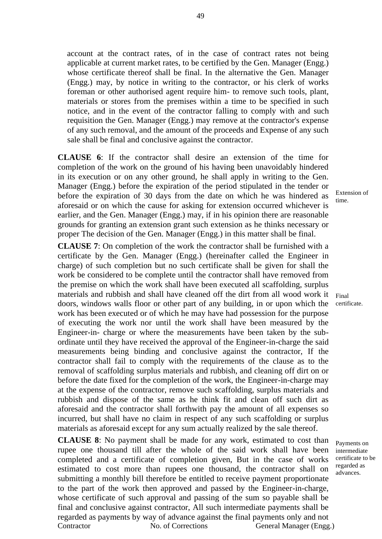account at the contract rates, of in the case of contract rates not being applicable at current market rates, to be certified by the Gen. Manager (Engg.) whose certificate thereof shall be final. In the alternative the Gen. Manager (Engg.) may, by notice in writing to the contractor, or his clerk of works foreman or other authorised agent require him- to remove such tools, plant, materials or stores from the premises within a time to be specified in such notice, and in the event of the contractor falling to comply with and such requisition the Gen. Manager (Engg.) may remove at the contractor's expense of any such removal, and the amount of the proceeds and Expense of any such sale shall be final and conclusive against the contractor.

**CLAUSE 6**: If the contractor shall desire an extension of the time for completion of the work on the ground of his having been unavoidably hindered in its execution or on any other ground, he shall apply in writing to the Gen. Manager (Engg.) before the expiration of the period stipulated in the tender or before the expiration of 30 days from the date on which he was hindered as aforesaid or on which the cause for asking for extension occurred whichever is earlier, and the Gen. Manager (Engg.) may, if in his opinion there are reasonable grounds for granting an extension grant such extension as he thinks necessary or proper The decision of the Gen. Manager (Engg.) in this matter shall be final.

**CLAUSE 7**: On completion of the work the contractor shall be furnished with a certificate by the Gen. Manager (Engg.) (hereinafter called the Engineer in charge) of such completion but no such certificate shall be given for shall the work be considered to be complete until the contractor shall have removed from the premise on which the work shall have been executed all scaffolding, surplus materials and rubbish and shall have cleaned off the dirt from all wood work it doors, windows walls floor or other part of any building, in or upon which the work has been executed or of which he may have had possession for the purpose of executing the work nor until the work shall have been measured by the Engineer-in- charge or where the measurements have been taken by the subordinate until they have received the approval of the Engineer-in-charge the said measurements being binding and conclusive against the contractor, If the contractor shall fail to comply with the requirements of the clause as to the removal of scaffolding surplus materials and rubbish, and cleaning off dirt on or before the date fixed for the completion of the work, the Engineer-in-charge may at the expense of the contractor, remove such scaffolding, surplus materials and rubbish and dispose of the same as he think fit and clean off such dirt as aforesaid and the contractor shall forthwith pay the amount of all expenses so incurred, but shall have no claim in respect of any such scaffolding or surplus materials as aforesaid except for any sum actually realized by the sale thereof.

Contractor No. of Corrections General Manager (Engg.) **CLAUSE 8**: No payment shall be made for any work, estimated to cost than rupee one thousand till after the whole of the said work shall have been completed and a certificate of completion given, But in the case of works estimated to cost more than rupees one thousand, the contractor shall on submitting a monthly bill therefore be entitled to receive payment proportionate to the part of the work then approved and passed by the Engineer-in-charge, whose certificate of such approval and passing of the sum so payable shall be final and conclusive against contractor, All such intermediate payments shall be regarded as payments by way of advance against the final payments only and not

Extension of time.

Final certificate.

Payments on intermediate certificate to be regarded as advances.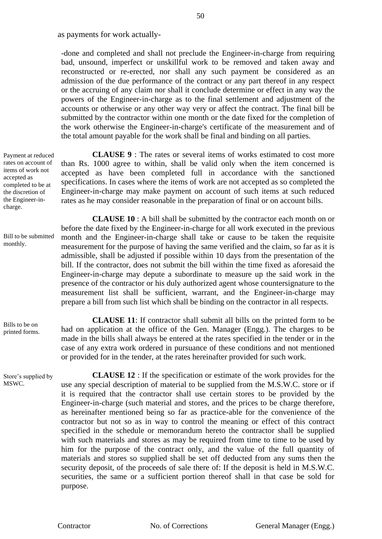as payments for work actually-

-done and completed and shall not preclude the Engineer-in-charge from requiring bad, unsound, imperfect or unskillful work to be removed and taken away and reconstructed or re-erected, nor shall any such payment be considered as an admission of the due performance of the contract or any part thereof in any respect or the accruing of any claim nor shall it conclude determine or effect in any way the powers of the Engineer-in-charge as to the final settlement and adjustment of the accounts or otherwise or any other way very or affect the contract. The final bill be submitted by the contractor within one month or the date fixed for the completion of the work otherwise the Engineer-in-charge's certificate of the measurement and of the total amount payable for the work shall be final and binding on all parties.

**CLAUSE 9** : The rates or several items of works estimated to cost more than Rs. 1000 agree to within, shall be valid only when the item concerned is accepted as have been completed full in accordance with the sanctioned specifications. In cases where the items of work are not accepted as so completed the Engineer-in-charge may make payment on account of such items at such reduced rates as he may consider reasonable in the preparation of final or on account bills.

**CLAUSE 10** : A bill shall be submitted by the contractor each month on or before the date fixed by the Engineer-in-charge for all work executed in the previous month and the Engineer-in-charge shall take or cause to be taken the requisite measurement for the purpose of having the same verified and the claim, so far as it is admissible, shall be adjusted if possible within 10 days from the presentation of the bill. If the contractor, does not submit the bill within the time fixed as aforesaid the Engineer-in-charge may depute a subordinate to measure up the said work in the presence of the contractor or his duly authorized agent whose countersignature to the measurement list shall be sufficient, warrant, and the Engineer-in-charge may prepare a bill from such list which shall be binding on the contractor in all respects.

**CLAUSE 11**: If contractor shall submit all bills on the printed form to be had on application at the office of the Gen. Manager (Engg.). The charges to be made in the bills shall always be entered at the rates specified in the tender or in the case of any extra work ordered in pursuance of these conditions and not mentioned or provided for in the tender, at the rates hereinafter provided for such work.

**CLAUSE 12** : If the specification or estimate of the work provides for the use any special description of material to be supplied from the M.S.W.C. store or if it is required that the contractor shall use certain stores to be provided by the Engineer-in-charge (such material and stores, and the prices to be charge therefore, as hereinafter mentioned being so far as practice-able for the convenience of the contractor but not so as in way to control the meaning or effect of this contract specified in the schedule or memorandum hereto the contractor shall be supplied with such materials and stores as may be required from time to time to be used by him for the purpose of the contract only, and the value of the full quantity of materials and stores so supplied shall be set off deducted from any sums then the security deposit, of the proceeds of sale there of: If the deposit is held in M.S.W.C. securities, the same or a sufficient portion thereof shall in that case be sold for purpose.

Payment at reduced rates on account of items of work not accepted as completed to be at the discretion of the Engineer-incharge.

Bill to be submitted monthly.

Bills to be on printed forms.

Store's supplied by MSWC.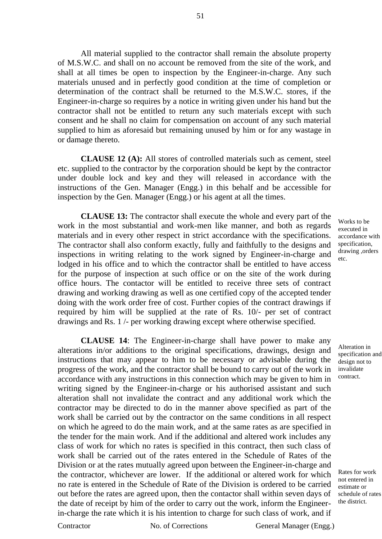All material supplied to the contractor shall remain the absolute property of M.S.W.C. and shall on no account be removed from the site of the work, and shall at all times be open to inspection by the Engineer-in-charge. Any such materials unused and in perfectly good condition at the time of completion or determination of the contract shall be returned to the M.S.W.C. stores, if the Engineer-in-charge so requires by a notice in writing given under his hand but the contractor shall not be entitled to return any such materials except with such consent and he shall no claim for compensation on account of any such material supplied to him as aforesaid but remaining unused by him or for any wastage in or damage thereto.

**CLAUSE 12 (A):** All stores of controlled materials such as cement, steel etc. supplied to the contractor by the corporation should be kept by the contractor under double lock and key and they will released in accordance with the instructions of the Gen. Manager (Engg.) in this behalf and be accessible for inspection by the Gen. Manager (Engg.) or his agent at all the times.

**CLAUSE 13:** The contractor shall execute the whole and every part of the work in the most substantial and work-men like manner, and both as regards materials and in every other respect in strict accordance with the specifications. The contractor shall also conform exactly, fully and faithfully to the designs and inspections in writing relating to the work signed by Engineer-in-charge and lodged in his office and to which the contractor shall be entitled to have access for the purpose of inspection at such office or on the site of the work during office hours. The contactor will be entitled to receive three sets of contract drawing and working drawing as well as one certified copy of the accepted tender doing with the work order free of cost. Further copies of the contract drawings if required by him will be supplied at the rate of Rs. 10/- per set of contract drawings and Rs. 1 /- per working drawing except where otherwise specified.

**CLAUSE 14**: The Engineer-in-charge shall have power to make any alterations in/or additions to the original specifications, drawings, design and instructions that may appear to him to be necessary or advisable during the progress of the work, and the contractor shall be bound to carry out of the work in accordance with any instructions in this connection which may be given to him in writing signed by the Engineer-in-charge or his authorised assistant and such alteration shall not invalidate the contract and any additional work which the contractor may be directed to do in the manner above specified as part of the work shall be carried out by the contractor on the same conditions in all respect on which he agreed to do the main work, and at the same rates as are specified in the tender for the main work. And if the additional and altered work includes any class of work for which no rates is specified in this contract, then such class of work shall be carried out of the rates entered in the Schedule of Rates of the Division or at the rates mutually agreed upon between the Engineer-in-charge and the contractor, whichever are lower. If the additional or altered work for which no rate is entered in the Schedule of Rate of the Division is ordered to be carried out before the rates are agreed upon, then the contactor shall within seven days of the date of receipt by him of the order to carry out the work, inform the Engineerin-charge the rate which it is his intention to charge for such class of work, and if

Works to be executed in accordance with specification, drawing ,orders etc.

Alteration in specification and design not to invalidate contract.

Rates for work not entered in estimate or schedule of rates the district.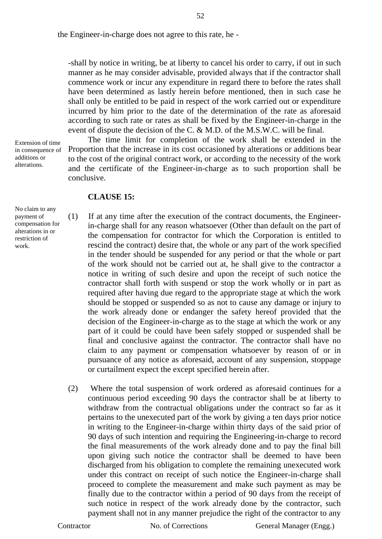the Engineer-in-charge does not agree to this rate, he -

-shall by notice in writing, be at liberty to cancel his order to carry, if out in such manner as he may consider advisable, provided always that if the contractor shall commence work or incur any expenditure in regard there to before the rates shall have been determined as lastly herein before mentioned, then in such case he shall only be entitled to be paid in respect of the work carried out or expenditure incurred by him prior to the date of the determination of the rate as aforesaid according to such rate or rates as shall be fixed by the Engineer-in-charge in the event of dispute the decision of the C. & M.D. of the M.S.W.C. will be final.

The time limit for completion of the work shall be extended in the Proportion that the increase in its cost occasioned by alterations or additions bear to the cost of the original contract work, or according to the necessity of the work and the certificate of the Engineer-in-charge as to such proportion shall be conclusive.

#### **CLAUSE 15:**

No claim to any payment of compensation for alterations in or restriction of work.

Extension of time in consequence of additions or alterations.

> (1) If at any time after the execution of the contract documents, the Engineerin-charge shall for any reason whatsoever (Other than default on the part of the compensation for contractor for which the Corporation is entitled to rescind the contract) desire that, the whole or any part of the work specified in the tender should be suspended for any period or that the whole or part of the work should not be carried out at, he shall give to the contractor a notice in writing of such desire and upon the receipt of such notice the contractor shall forth with suspend or stop the work wholly or in part as required after having due regard to the appropriate stage at which the work should be stopped or suspended so as not to cause any damage or injury to the work already done or endanger the safety hereof provided that the decision of the Engineer-in-charge as to the stage at which the work or any part of it could be could have been safely stopped or suspended shall be final and conclusive against the contractor. The contractor shall have no claim to any payment or compensation whatsoever by reason of or in pursuance of any notice as aforesaid, account of any suspension, stoppage or curtailment expect the except specified herein after.

> (2) Where the total suspension of work ordered as aforesaid continues for a continuous period exceeding 90 days the contractor shall be at liberty to withdraw from the contractual obligations under the contract so far as it pertains to the unexecuted part of the work by giving a ten days prior notice in writing to the Engineer-in-charge within thirty days of the said prior of 90 days of such intention and requiring the Engineering-in-charge to record the final measurements of the work already done and to pay the final bill upon giving such notice the contractor shall be deemed to have been discharged from his obligation to complete the remaining unexecuted work under this contract on receipt of such notice the Engineer-in-charge shall proceed to complete the measurement and make such payment as may be finally due to the contractor within a period of 90 days from the receipt of such notice in respect of the work already done by the contractor, such payment shall not in any manner prejudice the right of the contractor to any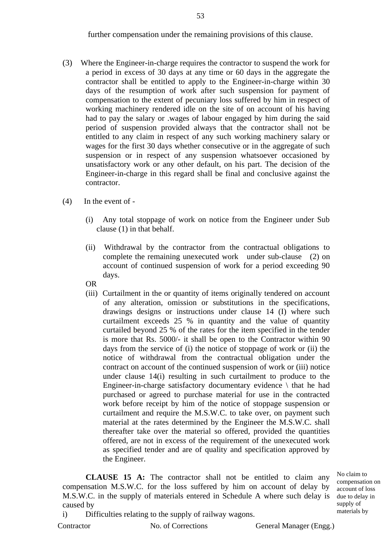further compensation under the remaining provisions of this clause.

- (3) Where the Engineer-in-charge requires the contractor to suspend the work for a period in excess of 30 days at any time or 60 days in the aggregate the contractor shall be entitled to apply to the Engineer-in-charge within 30 days of the resumption of work after such suspension for payment of compensation to the extent of pecuniary loss suffered by him in respect of working machinery rendered idle on the site of on account of his having had to pay the salary or .wages of labour engaged by him during the said period of suspension provided always that the contractor shall not be entitled to any claim in respect of any such working machinery salary or wages for the first 30 days whether consecutive or in the aggregate of such suspension or in respect of any suspension whatsoever occasioned by unsatisfactory work or any other default, on his part. The decision of the Engineer-in-charge in this regard shall be final and conclusive against the contractor.
- (4) In the event of
	- (i) Any total stoppage of work on notice from the Engineer under Sub clause (1) in that behalf.
	- (ii) Withdrawal by the contractor from the contractual obligations to complete the remaining unexecuted work under sub-clause (2) on account of continued suspension of work for a period exceeding 90 days.
	- OR
	- (iii) Curtailment in the or quantity of items originally tendered on account of any alteration, omission or substitutions in the specifications, drawings designs or instructions under clause 14 (I) where such curtailment exceeds 25 % in quantity and the value of quantity curtailed beyond 25 % of the rates for the item specified in the tender is more that Rs. 5000/- it shall be open to the Contractor within 90 days from the service of (i) the notice of stoppage of work or (ii) the notice of withdrawal from the contractual obligation under the contract on account of the continued suspension of work or (iii) notice under clause 14(i) resulting in such curtailment to produce to the Engineer-in-charge satisfactory documentary evidence  $\setminus$  that he had purchased or agreed to purchase material for use in the contracted work before receipt by him of the notice of stoppage suspension or curtailment and require the M.S.W.C. to take over, on payment such material at the rates determined by the Engineer the M.S.W.C. shall thereafter take over the material so offered, provided the quantities offered, are not in excess of the requirement of the unexecuted work as specified tender and are of quality and specification approved by the Engineer.

**CLAUSE 15 A:** The contractor shall not be entitled to claim any compensation M.S.W.C. for the loss suffered by him on account of delay by M.S.W.C. in the supply of materials entered in Schedule A where such delay is caused by

No claim to compensation on account of loss due to delay in supply of materials by

i) Difficulties relating to the supply of railway wagons.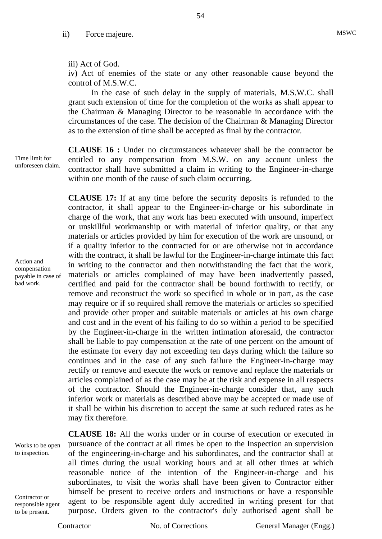#### iii) Act of God.

iv) Act of enemies of the state or any other reasonable cause beyond the control of M.S.W.C.

54

In the case of such delay in the supply of materials, M.S.W.C. shall grant such extension of time for the completion of the works as shall appear to the Chairman & Managing Director to be reasonable in accordance with the circumstances of the case. The decision of the Chairman & Managing Director as to the extension of time shall be accepted as final by the contractor.

unforeseen claim. **CLAUSE 16 :** Under no circumstances whatever shall be the contractor be entitled to any compensation from M.S.W. on any account unless the contractor shall have submitted a claim in writing to the Engineer-in-charge within one month of the cause of such claim occurring.

> **CLAUSE 17:** If at any time before the security deposits is refunded to the contractor, it shall appear to the Engineer-in-charge or his subordinate in charge of the work, that any work has been executed with unsound, imperfect or unskillful workmanship or with material of inferior quality, or that any materials or articles provided by him for execution of the work are unsound, or if a quality inferior to the contracted for or are otherwise not in accordance with the contract, it shall be lawful for the Engineer-in-charge intimate this fact in writing to the contractor and then notwithstanding the fact that the work, materials or articles complained of may have been inadvertently passed, certified and paid for the contractor shall be bound forthwith to rectify, or remove and reconstruct the work so specified in whole or in part, as the case may require or if so required shall remove the materials or articles so specified and provide other proper and suitable materials or articles at his own charge and cost and in the event of his failing to do so within a period to be specified by the Engineer-in-charge in the written intimation aforesaid, the contractor shall be liable to pay compensation at the rate of one percent on the amount of the estimate for every day not exceeding ten days during which the failure so continues and in the case of any such failure the Engineer-in-charge may rectify or remove and execute the work or remove and replace the materials or articles complained of as the case may be at the risk and expense in all respects of the contractor. Should the Engineer-in-charge consider that, any such inferior work or materials as described above may be accepted or made use of it shall be within his discretion to accept the same at such reduced rates as he may fix therefore.

Works to be open to inspection.

Contractor or responsible agent to be present.

**CLAUSE 18:** All the works under or in course of execution or executed in pursuance of the contract at all times be open to the Inspection an supervision of the engineering-in-charge and his subordinates, and the contractor shall at all times during the usual working hours and at all other times at which reasonable notice of the intention of the Engineer-in-charge and his subordinates, to visit the works shall have been given to Contractor either himself be present to receive orders and instructions or have a responsible agent to be responsible agent duly accredited in writing present for that purpose. Orders given to the contractor's duly authorised agent shall be

Time limit for

Action and compensation payable in case of bad work.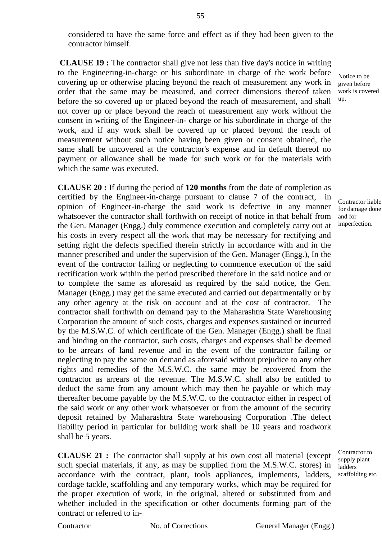considered to have the same force and effect as if they had been given to the contractor himself.

**CLAUSE 19 :** The contractor shall give not less than five day's notice in writing to the Engineering-in-charge or his subordinate in charge of the work before covering up or otherwise placing beyond the reach of measurement any work in order that the same may be measured, and correct dimensions thereof taken before the so covered up or placed beyond the reach of measurement, and shall not cover up or place beyond the reach of measurement any work without the consent in writing of the Engineer-in- charge or his subordinate in charge of the work, and if any work shall be covered up or placed beyond the reach of measurement without such notice having been given or consent obtained, the same shall be uncovered at the contractor's expense and in default thereof no payment or allowance shall be made for such work or for the materials with which the same was executed.

**CLAUSE 20 :** If during the period of **120 months** from the date of completion as certified by the Engineer-in-charge pursuant to clause 7 of the contract, in opinion of Engineer-in-charge the said work is defective in any manner whatsoever the contractor shall forthwith on receipt of notice in that behalf from the Gen. Manager (Engg.) duly commence execution and completely carry out at his costs in every respect all the work that may be necessary for rectifying and setting right the defects specified therein strictly in accordance with and in the manner prescribed and under the supervision of the Gen. Manager (Engg.), In the event of the contractor failing or neglecting to commence execution of the said rectification work within the period prescribed therefore in the said notice and or to complete the same as aforesaid as required by the said notice, the Gen. Manager (Engg.) may get the same executed and carried out departmentally or by any other agency at the risk on account and at the cost of contractor. The contractor shall forthwith on demand pay to the Maharashtra State Warehousing Corporation the amount of such costs, charges and expenses sustained or incurred by the M.S.W.C. of which certificate of the Gen. Manager (Engg.) shall be final and binding on the contractor, such costs, charges and expenses shall be deemed to be arrears of land revenue and in the event of the contractor failing or neglecting to pay the same on demand as aforesaid without prejudice to any other rights and remedies of the M.S.W.C. the same may be recovered from the contractor as arrears of the revenue. The M.S.W.C. shall also be entitled to deduct the same from any amount which may then be payable or which may thereafter become payable by the M.S.W.C. to the contractor either in respect of the said work or any other work whatsoever or from the amount of the security deposit retained by Maharashtra State warehousing Corporation .The defect liability period in particular for building work shall be 10 years and roadwork shall be 5 years.

**CLAUSE 21 :** The contractor shall supply at his own cost all material (except such special materials, if any, as may be supplied from the M.S.W.C. stores) in accordance with the contract, plant, tools appliances, implements, ladders, cordage tackle, scaffolding and any temporary works, which may be required for the proper execution of work, in the original, altered or substituted from and whether included in the specification or other documents forming part of the contract or referred to in-

Notice to be given before work is covered up.

Contractor liable for damage done and for imperfection.

Contractor to supply plant ladders scaffolding etc.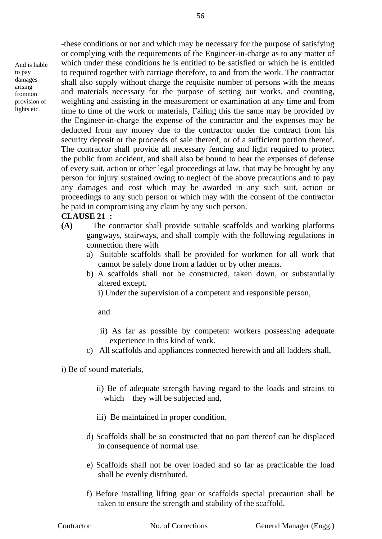And is liable to pay damages arising fromnon provision of lights etc.

-these conditions or not and which may be necessary for the purpose of satisfying or complying with the requirements of the Engineer-in-charge as to any matter of which under these conditions he is entitled to be satisfied or which he is entitled to required together with carriage therefore, to and from the work. The contractor shall also supply without charge the requisite number of persons with the means and materials necessary for the purpose of setting out works, and counting, weighting and assisting in the measurement or examination at any time and from time to time of the work or materials, Failing this the same may be provided by the Engineer-in-charge the expense of the contractor and the expenses may be deducted from any money due to the contractor under the contract from his security deposit or the proceeds of sale thereof, or of a sufficient portion thereof. The contractor shall provide all necessary fencing and light required to protect the public from accident, and shall also be bound to bear the expenses of defense of every suit, action or other legal proceedings at law, that may be brought by any person for injury sustained owing to neglect of the above precautions and to pay any damages and cost which may be awarded in any such suit, action or proceedings to any such person or which may with the consent of the contractor be paid in compromising any claim by any such person.

#### **CLAUSE 21 :**

- **(A)** The contractor shall provide suitable scaffolds and working platforms gangways, stairways, and shall comply with the following regulations in connection there with
	- a) Suitable scaffolds shall be provided for workmen for all work that cannot be safely done from a ladder or by other means.
	- b) A scaffolds shall not be constructed, taken down, or substantially altered except.
		- i) Under the supervision of a competent and responsible person,

and

- ii) As far as possible by competent workers possessing adequate experience in this kind of work.
- c) All scaffolds and appliances connected herewith and all ladders shall,

i) Be of sound materials,

- ii) Be of adequate strength having regard to the loads and strains to which they will be subjected and,
- iii) Be maintained in proper condition.
- d) Scaffolds shall be so constructed that no part thereof can be displaced in consequence of normal use.
- e) Scaffolds shall not be over loaded and so far as practicable the load shall be evenly distributed.
- f) Before installing lifting gear or scaffolds special precaution shall be taken to ensure the strength and stability of the scaffold.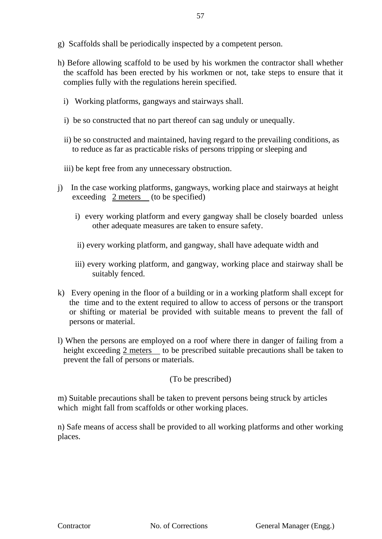- g) Scaffolds shall be periodically inspected by a competent person.
- h) Before allowing scaffold to be used by his workmen the contractor shall whether the scaffold has been erected by his workmen or not, take steps to ensure that it complies fully with the regulations herein specified.
	- i) Working platforms, gangways and stairways shall.
	- i) be so constructed that no part thereof can sag unduly or unequally.
	- ii) be so constructed and maintained, having regard to the prevailing conditions, as to reduce as far as practicable risks of persons tripping or sleeping and
	- iii) be kept free from any unnecessary obstruction.
- j) In the case working platforms, gangways, working place and stairways at height exceeding  $2$  meters (to be specified)
	- i) every working platform and every gangway shall be closely boarded unless other adequate measures are taken to ensure safety.
	- ii) every working platform, and gangway, shall have adequate width and
	- iii) every working platform, and gangway, working place and stairway shall be suitably fenced.
- k) Every opening in the floor of a building or in a working platform shall except for the time and to the extent required to allow to access of persons or the transport or shifting or material be provided with suitable means to prevent the fall of persons or material.
- l) When the persons are employed on a roof where there in danger of failing from a height exceeding 2 meters to be prescribed suitable precautions shall be taken to prevent the fall of persons or materials.

(To be prescribed)

m) Suitable precautions shall be taken to prevent persons being struck by articles which might fall from scaffolds or other working places.

n) Safe means of access shall be provided to all working platforms and other working places.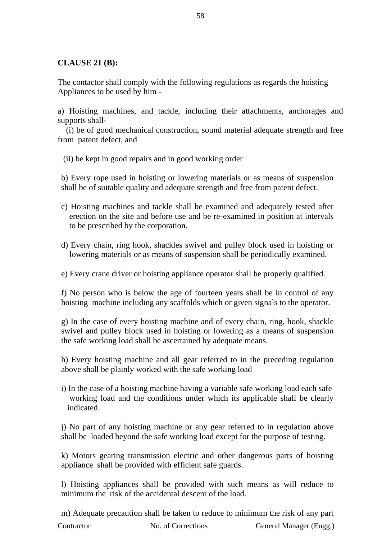# **CLAUSE 21 (B):**

The contactor shall comply with the following regulations as regards the hoisting Appliances to be used by him -

a) Hoisting machines, and tackle, including their attachments, anchorages and supports shall-

 (i) be of good mechanical construction, sound material adequate strength and free from patent defect, and

(ii) be kept in good repairs and in good working order

b) Every rope used in hoisting or lowering materials or as means of suspension shall be of suitable quality and adequate strength and free from patent defect.

- c) Hoisting machines and tackle shall be examined and adequately tested after erection on the site and before use and be re-examined in position at intervals to be prescribed by the corporation.
- d) Every chain, ring hook, shackles swivel and pulley block used in hoisting or lowering materials or as means of suspension shall be periodically examined.

e) Every crane driver or hoisting appliance operator shall be properly qualified.

f) No person who is below the age of fourteen years shall be in control of any hoisting machine including any scaffolds which or given signals to the operator.

g) In the case of every hoisting machine and of every chain, ring, hook, shackle swivel and pulley block used in hoisting or lowering as a means of suspension the safe working load shall be ascertained by adequate means.

h) Every hoisting machine and all gear referred to in the preceding regulation above shall be plainly worked with the safe working load

i) In the case of a hoisting machine having a variable safe working load each safe working load and the conditions under which its applicable shall be clearly indicated.

j) No part of any hoisting machine or any gear referred to in regulation above shall be loaded beyond the safe working load except for the purpose of testing.

k) Motors gearing transmission electric and other dangerous parts of hoisting appliance shall be provided with efficient safe guards.

l) Hoisting appliances shall be provided with such means as will reduce to minimum the risk of the accidental descent of the load.

Contractor No. of Corrections General Manager (Engg.) m) Adequate precaution shall be taken to reduce to minimum the risk of any part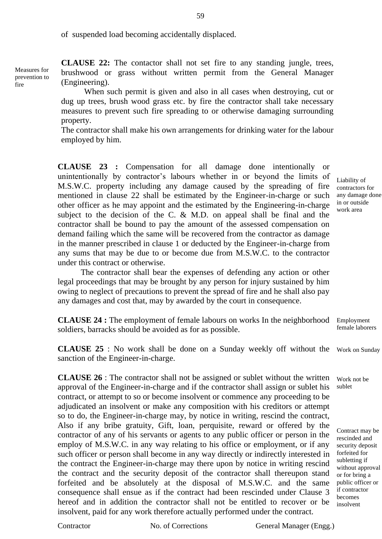of suspended load becoming accidentally displaced.

Measures for prevention to

fire

**CLAUSE 22:** The contactor shall not set fire to any standing jungle, trees, brushwood or grass without written permit from the General Manager (Engineering).

When such permit is given and also in all cases when destroying, cut or dug up trees, brush wood grass etc. by fire the contractor shall take necessary measures to prevent such fire spreading to or otherwise damaging surrounding property.

The contractor shall make his own arrangements for drinking water for the labour employed by him.

**CLAUSE 23 :** Compensation for all damage done intentionally or unintentionally by contractor's labours whether in or beyond the limits of M.S.W.C. property including any damage caused by the spreading of fire mentioned in clause 22 shall be estimated by the Engineer-in-charge or such other officer as he may appoint and the estimated by the Engineering-in-charge subject to the decision of the C. & M.D. on appeal shall be final and the contractor shall be bound to pay the amount of the assessed compensation on demand failing which the same will be recovered from the contractor as damage in the manner prescribed in clause 1 or deducted by the Engineer-in-charge from any sums that may be due to or become due from M.S.W.C. to the contractor under this contract or otherwise.

The contractor shall bear the expenses of defending any action or other legal proceedings that may be brought by any person for injury sustained by him owing to neglect of precautions to prevent the spread of fire and he shall also pay any damages and cost that, may by awarded by the court in consequence.

**CLAUSE 24 :** The employment of female labours on works In the neighborhood Employment soldiers, barracks should be avoided as for as possible.

**CLAUSE 25** : No work shall be done on a Sunday weekly off without the Work on Sunday sanction of the Engineer-in-charge.

**CLAUSE 26** : The contractor shall not be assigned or sublet without the written approval of the Engineer-in-charge and if the contractor shall assign or sublet his contract, or attempt to so or become insolvent or commence any proceeding to be adjudicated an insolvent or make any composition with his creditors or attempt so to do, the Engineer-in-charge may, by notice in writing, rescind the contract, Also if any bribe gratuity, Gift, loan, perquisite, reward or offered by the contractor of any of his servants or agents to any public officer or person in the employ of M.S.W.C. in any way relating to his office or employment, or if any such officer or person shall become in any way directly or indirectly interested in the contract the Engineer-in-charge may there upon by notice in writing rescind the contract and the security deposit of the contractor shall thereupon stand forfeited and be absolutely at the disposal of M.S.W.C. and the same consequence shall ensue as if the contract had been rescinded under Clause 3 hereof and in addition the contractor shall not be entitled to recover or be insolvent, paid for any work therefore actually performed under the contract.

Liability of contractors for any damage done in or outside work area

female laborers

Work not be sublet

Contract may be rescinded and security deposit forfeited for subletting if without approval or for bring a public officer or if contractor becomes insolvent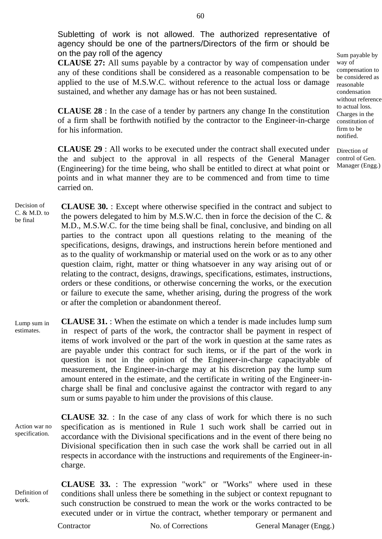Subletting of work is not allowed. The authorized representative of agency should be one of the partners/Directors of the firm or should be on the pay roll of the agency

**CLAUSE 27:** All sums payable by a contractor by way of compensation under any of these conditions shall be considered as a reasonable compensation to be applied to the use of M.S.W.C. without reference to the actual loss or damage sustained, and whether any damage has or has not been sustained.

**CLAUSE 28** : In the case of a tender by partners any change In the constitution of a firm shall be forthwith notified by the contractor to the Engineer-in-charge for his information.

**CLAUSE 29** : All works to be executed under the contract shall executed under the and subject to the approval in all respects of the General Manager (Engineering) for the time being, who shall be entitled to direct at what point or points and in what manner they are to be commenced and from time to time carried on.

Decision of C. & M.D. to be final **CLAUSE 30.** : Except where otherwise specified in the contract and subject to the powers delegated to him by M.S.W.C. then in force the decision of the C. & M.D., M.S.W.C. for the time being shall be final, conclusive, and binding on all parties to the contract upon all questions relating to the meaning of the specifications, designs, drawings, and instructions herein before mentioned and as to the quality of workmanship or material used on the work or as to any other question claim, right, matter or thing whatsoever in any way arising out of or relating to the contract, designs, drawings, specifications, estimates, instructions, orders or these conditions, or otherwise concerning the works, or the execution or failure to execute the same, whether arising, during the progress of the work or after the completion or abandonment thereof.

Lump sum in estimates. **CLAUSE 31.** : When the estimate on which a tender is made includes lump sum in respect of parts of the work, the contractor shall be payment in respect of items of work involved or the part of the work in question at the same rates as are payable under this contract for such items, or if the part of the work in question is not in the opinion of the Engineer-in-charge capacityable of measurement, the Engineer-in-charge may at his discretion pay the lump sum amount entered in the estimate, and the certificate in writing of the Engineer-incharge shall be final and conclusive against the contractor with regard to any sum or sums payable to him under the provisions of this clause.

Action war no specification. **CLAUSE 32**. : In the case of any class of work for which there is no such specification as is mentioned in Rule 1 such work shall be carried out in accordance with the Divisional specifications and in the event of there being no Divisional specification then in such case the work shall be carried out in all respects in accordance with the instructions and requirements of the Engineer-incharge.

Definition of work. **CLAUSE 33.** : The expression "work" or "Works" where used in these conditions shall unless there be something in the subject or context repugnant to such construction be construed to mean the work or the works contracted to be executed under or in virtue the contract, whether temporary or permanent and

Contractor No. of Corrections General Manager (Engg.)

Sum payable by way of compensation to be considered as reasonable condensation without reference to actual loss. Charges in the constitution of firm to be notified.

Direction of control of Gen. Manager (Engg.)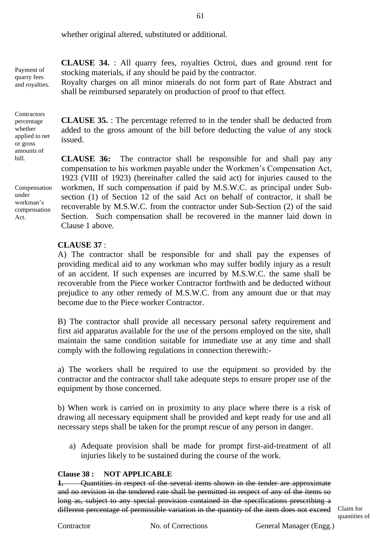whether original altered, substituted or additional.

Payment of quarry fees and royalties.

**Contractors** percentage whether applied to net or gross amounts of bill.

Compensation under workman's compensation Act.

**CLAUSE 34.** : All quarry fees, royalties Octroi, dues and ground rent for stocking materials, if any should be paid by the contractor.

Royalty charges on all minor minerals do not form part of Rate Abstract and shall be reimbursed separately on production of proof to that effect.

**CLAUSE 35.** : The percentage referred to in the tender shall be deducted from added to the gross amount of the bill before deducting the value of any stock issued.

**CLAUSE 36:** The contractor shall be responsible for and shall pay any compensation to his workmen payable under the Workmen's Compensation Act, 1923 (VIII of 1923) (hereinafter called the said act) for injuries caused to the workmen, If such compensation if paid by M.S.W.C. as principal under Subsection (1) of Section 12 of the said Act on behalf of contractor, it shall be recoverable by M.S.W.C. from the contractor under Sub-Section (2) of the said Section. Such compensation shall be recovered in the manner laid down in Clause 1 above.

# **CLAUSE 37** :

A) The contractor shall be responsible for and shall pay the expenses of providing medical aid to any workman who may suffer bodily injury as a result of an accident. If such expenses are incurred by M.S.W.C. the same shall be recoverable from the Piece worker Contractor forthwith and be deducted without prejudice to any other remedy of M.S.W.C. from any amount due or that may become due to the Piece worker Contractor.

B) The contractor shall provide all necessary personal safety requirement and first aid apparatus available for the use of the persons employed on the site, shall maintain the same condition suitable for immediate use at any time and shall comply with the following regulations in connection therewith:-

a) The workers shall be required to use the equipment so provided by the contractor and the contractor shall take adequate steps to ensure proper use of the equipment by those concerned.

b) When work is carried on in proximity to any place where there is a risk of drawing all necessary equipment shall be provided and kept ready for use and all necessary steps shall be taken for the prompt rescue of any person in danger.

a) Adequate provision shall be made for prompt first-aid-treatment of all injuries likely to be sustained during the course of the work.

#### **Clause 38 : NOT APPLICABLE**

**1.** Quantities in respect of the several items shown in the tender are approximate and no revision in the tendered rate shall be permitted in respect of any of the items so long as, subject to any special provision contained in the specifications prescribing a different percentage of permissible variation in the quantity of the item does not exceed Claim for

quantities of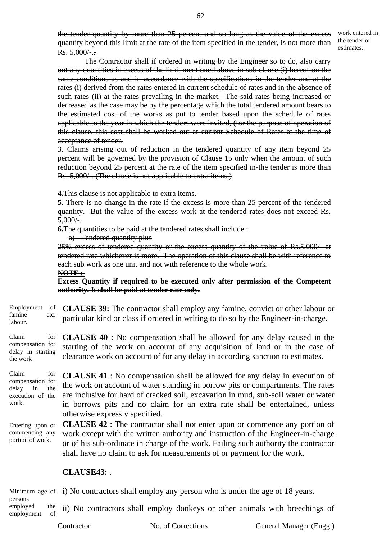the tender quantity by more than 25 percent and so long as the value of the excess quantity beyond this limit at the rate of the item specified in the tender, is not more than  $Rs. 5,000/...$ 

work entered in the tender or estimates.

 The Contractor shall if ordered in writing by the Engineer so to do, also carry out any quantities in excess of the limit mentioned above in sub clause (i) hereof on the same conditions as and in accordance with the specifications in the tender and at the rates (i) derived from the rates entered in current schedule of rates and in the absence of such rates (ii) at the rates prevailing in the market. The said rates being increased or decreased as the case may be by the percentage which the total tendered amount bears to the estimated cost of the works as put to tender based upon the schedule of rates applicable to the year in which the tenders were invited, (for the purpose of operation of this clause, this cost shall be worked out at current Schedule of Rates at the time of acceptance of tender.

3. Claims arising out of reduction in the tendered quantity of any item beyond 25 percent will be governed by the provision of Clause 15 only when the amount of such reduction beyond 25 percent at the rate of the item specified in-the tender is more than Rs. 5,000/-. (The clause is not applicable to extra items.)

**4.**This clause is not applicable to extra items.

**5**. There is no change in the rate if the excess is more than 25 percent of the tendered quantity. But the value of the excess work at the tendered rates does not exceed Rs.  $5,000/$ .

**6.**The quantities to be paid at the tendered rates shall include :

a) Tendered quantity plus

25% excess of tendered quantity or the excess quantity of the value of Rs.5,000/- at tendered rate whichever is more. The operation of this clause shall be with reference to each sub work as one unit and not with reference to the whole work.

**NOTE :-**

**Excess Quantity if required to be executed only after permission of the Competent authority. It shall be paid at tender rate only.**

Employment of famine etc. labour. **CLAUSE 39:** The contractor shall employ any famine, convict or other labour or particular kind or class if ordered in writing to do so by the Engineer-in-charge.

Claim for compensation for delay in starting **CLAUSE 40** : No compensation shall be allowed for any delay caused in the starting of the work on account of any acquisition of land or in the case of clearance work on account of for any delay in according sanction to estimates.

Claim for compensation for delay in the execution of the work.

the work

**CLAUSE 41** : No compensation shall be allowed for any delay in execution of the work on account of water standing in borrow pits or compartments. The rates are inclusive for hard of cracked soil, excavation in mud, sub-soil water or water in borrows pits and no claim for an extra rate shall be entertained, unless otherwise expressly specified.

Entering upon or commencing any portion of work. **CLAUSE 42** : The contractor shall not enter upon or commence any portion of work except with the written authority and instruction of the Engineer-in-charge or of his sub-ordinate in charge of the work. Failing such authority the contractor shall have no claim to ask for measurements of or payment for the work.

# **CLAUSE43:** .

Minimum age of i) No contractors shall employ any person who is under the age of 18 years.

persons

employed the employment of ii) No contractors shall employ donkeys or other animals with breechings of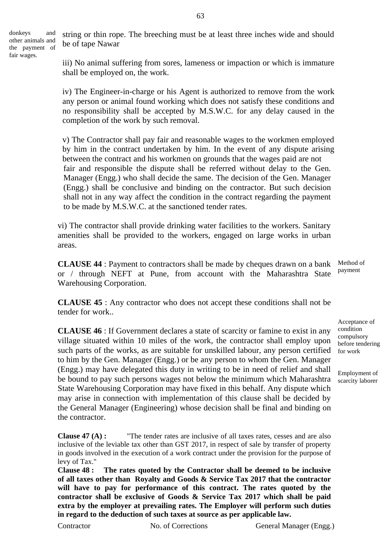donkeys and other animals and the payment of fair wages.

string or thin rope. The breeching must be at least three inches wide and should be of tape Nawar

iii) No animal suffering from sores, lameness or impaction or which is immature shall be employed on, the work.

iv) The Engineer-in-charge or his Agent is authorized to remove from the work any person or animal found working which does not satisfy these conditions and no responsibility shall be accepted by M.S.W.C. for any delay caused in the completion of the work by such removal.

v) The Contractor shall pay fair and reasonable wages to the workmen employed by him in the contract undertaken by him. In the event of any dispute arising between the contract and his workmen on grounds that the wages paid are not fair and responsible the dispute shall be referred without delay to the Gen. Manager (Engg.) who shall decide the same. The decision of the Gen. Manager (Engg.) shall be conclusive and binding on the contractor. But such decision shall not in any way affect the condition in the contract regarding the payment to be made by M.S.W.C. at the sanctioned tender rates.

vi) The contractor shall provide drinking water facilities to the workers. Sanitary amenities shall be provided to the workers, engaged on large works in urban areas.

**CLAUSE 44** : Payment to contractors shall be made by cheques drawn on a bank or / through NEFT at Pune, from account with the Maharashtra State Warehousing Corporation. Method of

**CLAUSE 45** : Any contractor who does not accept these conditions shall not be tender for work..

**CLAUSE 46** : If Government declares a state of scarcity or famine to exist in any village situated within 10 miles of the work, the contractor shall employ upon such parts of the works, as are suitable for unskilled labour, any person certified to him by the Gen. Manager (Engg.) or be any person to whom the Gen. Manager (Engg.) may have delegated this duty in writing to be in need of relief and shall be bound to pay such persons wages not below the minimum which Maharashtra State Warehousing Corporation may have fixed in this behalf. Any dispute which may arise in connection with implementation of this clause shall be decided by the General Manager (Engineering) whose decision shall be final and binding on the contractor.

**Clause 47 (A) :** "The tender rates are inclusive of all taxes rates, cesses and are also inclusive of the leviable tax other than GST 2017, in respect of sale by transfer of property in goods involved in the execution of a work contract under the provision for the purpose of levy of Tax."

**Clause 48 : The rates quoted by the Contractor shall be deemed to be inclusive of all taxes other than Royalty and Goods & Service Tax 2017 that the contractor will have to pay for performance of this contract. The rates quoted by the contractor shall be exclusive of Goods & Service Tax 2017 which shall be paid extra by the employer at prevailing rates. The Employer will perform such duties in regard to the deduction of such taxes at source as per applicable law.**

Contractor No. of Corrections General Manager (Engg.)

payment

Acceptance of condition compulsory before tendering for work

Employment of scarcity laborer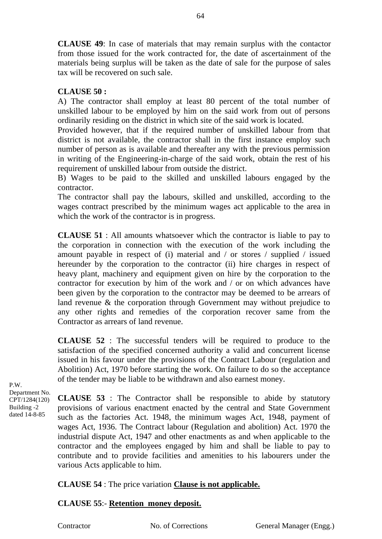**CLAUSE 49**: In case of materials that may remain surplus with the contactor from those issued for the work contracted for, the date of ascertainment of the materials being surplus will be taken as the date of sale for the purpose of sales tax will be recovered on such sale.

# **CLAUSE 50 :**

A) The contractor shall employ at least 80 percent of the total number of unskilled labour to be employed by him on the said work from out of persons ordinarily residing on the district in which site of the said work is located.

Provided however, that if the required number of unskilled labour from that district is not available, the contractor shall in the first instance employ such number of person as is available and thereafter any with the previous permission in writing of the Engineering-in-charge of the said work, obtain the rest of his requirement of unskilled labour from outside the district.

B) Wages to be paid to the skilled and unskilled labours engaged by the contractor.

The contractor shall pay the labours, skilled and unskilled, according to the wages contract prescribed by the minimum wages act applicable to the area in which the work of the contractor is in progress.

**CLAUSE 51** : All amounts whatsoever which the contractor is liable to pay to the corporation in connection with the execution of the work including the amount payable in respect of (i) material and / or stores / supplied / issued hereunder by the corporation to the contractor (ii) hire charges in respect of heavy plant, machinery and equipment given on hire by the corporation to the contractor for execution by him of the work and / or on which advances have been given by the corporation to the contractor may be deemed to be arrears of land revenue & the corporation through Government may without prejudice to any other rights and remedies of the corporation recover same from the Contractor as arrears of land revenue.

**CLAUSE 52** : The successful tenders will be required to produce to the satisfaction of the specified concerned authority a valid and concurrent license issued in his favour under the provisions of the Contract Labour (regulation and Abolition) Act, 1970 before starting the work. On failure to do so the acceptance of the tender may be liable to be withdrawn and also earnest money.

P.W. Department No. CPT/1284(120) Building -2 dated 14-8-85

**CLAUSE 53** : The Contractor shall be responsible to abide by statutory provisions of various enactment enacted by the central and State Government such as the factories Act. 1948, the minimum wages Act, 1948, payment of wages Act, 1936. The Contract labour (Regulation and abolition) Act. 1970 the industrial dispute Act, 1947 and other enactments as and when applicable to the contractor and the employees engaged by him and shall be liable to pay to contribute and to provide facilities and amenities to his labourers under the various Acts applicable to him.

# **CLAUSE 54** : The price variation **Clause is not applicable.**

# **CLAUSE 55**:- **Retention money deposit.**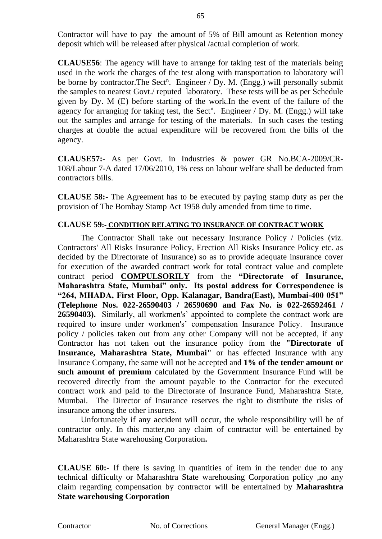Contractor will have to pay the amount of 5% of Bill amount as Retention money deposit which will be released after physical /actual completion of work.

**CLAUSE56**: The agency will have to arrange for taking test of the materials being used in the work the charges of the test along with transportation to laboratory will be borne by contractor. The Sect<sup>n</sup>. Engineer / Dy. M. (Engg.) will personally submit the samples to nearest Govt./ reputed laboratory. These tests will be as per Schedule given by Dy. M (E) before starting of the work.In the event of the failure of the agency for arranging for taking test, the Sect<sup>n</sup>. Engineer / Dy. M. (Engg.) will take out the samples and arrange for testing of the materials. In such cases the testing charges at double the actual expenditure will be recovered from the bills of the agency.

**CLAUSE57:**- As per Govt. in Industries & power GR No.BCA-2009/CR-108/Labour 7-A dated 17/06/2010, 1% cess on labour welfare shall be deducted from contractors bills.

**CLAUSE 58:**- The Agreement has to be executed by paying stamp duty as per the provision of The Bombay Stamp Act 1958 duly amended from time to time.

# **CLAUSE 59:**- **CONDITION RELATING TO INSURANCE OF CONTRACT WORK**

The Contractor Shall take out necessary Insurance Policy / Policies (viz. Contractors' All Risks Insurance Policy, Erection All Risks Insurance Policy etc. as decided by the Directorate of Insurance) so as to provide adequate insurance cover for execution of the awarded contract work for total contract value and complete contract period **COMPULSORILY** from the **"Directorate of Insurance, Maharashtra State, Mumbai" only. Its postal address for Correspondence is "264, MHADA, First Floor, Opp. Kalanagar, Bandra(East), Mumbai-400 051" (Telephone Nos. 022-26590403 / 26590690 and Fax No. is 022-26592461 / 26590403).** Similarly, all workmen's' appointed to complete the contract work are required to insure under workmen's' compensation Insurance Policy. Insurance policy / policies taken out from any other Company will not be accepted, if any Contractor has not taken out the insurance policy from the **"Directorate of Insurance, Maharashtra State, Mumbai"** or has effected Insurance with any Insurance Company, the same will not be accepted and **1% of the tender amount or such amount of premium** calculated by the Government Insurance Fund will be recovered directly from the amount payable to the Contractor for the executed contract work and paid to the Directorate of Insurance Fund, Maharashtra State, Mumbai. The Director of Insurance reserves the right to distribute the risks of insurance among the other insurers.

Unfortunately if any accident will occur, the whole responsibility will be of contractor only. In this matter,no any claim of contractor will be entertained by Maharashtra State warehousing Corporation**.**

**CLAUSE 60:**- If there is saving in quantities of item in the tender due to any technical difficulty or Maharashtra State warehousing Corporation policy ,no any claim regarding compensation by contractor will be entertained by **Maharashtra State warehousing Corporation**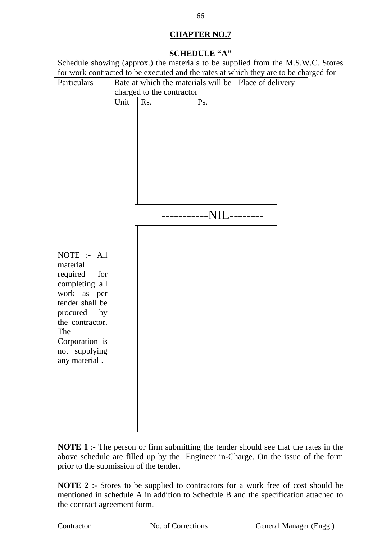# **CHAPTER NO.7**

# **SCHEDULE "A"**

Schedule showing (approx.) the materials to be supplied from the M.S.W.C. Stores for work contracted to be executed and the rates at which they are to be charged for

| Particulars     |      | Rate at which the materials will be   Place of delivery |                 |  |
|-----------------|------|---------------------------------------------------------|-----------------|--|
|                 |      | charged to the contractor                               |                 |  |
|                 | Unit | Rs.                                                     | Ps.             |  |
|                 |      |                                                         |                 |  |
|                 |      |                                                         |                 |  |
|                 |      |                                                         |                 |  |
|                 |      |                                                         |                 |  |
|                 |      |                                                         |                 |  |
|                 |      |                                                         |                 |  |
|                 |      |                                                         |                 |  |
|                 |      |                                                         |                 |  |
|                 |      |                                                         |                 |  |
|                 |      |                                                         |                 |  |
|                 |      |                                                         | -------NIL----- |  |
|                 |      |                                                         |                 |  |
|                 |      |                                                         |                 |  |
|                 |      |                                                         |                 |  |
| NOTE :- All     |      |                                                         |                 |  |
| material        |      |                                                         |                 |  |
| required<br>for |      |                                                         |                 |  |
| completing all  |      |                                                         |                 |  |
| work as per     |      |                                                         |                 |  |
| tender shall be |      |                                                         |                 |  |
| procured<br>by  |      |                                                         |                 |  |
| the contractor. |      |                                                         |                 |  |
| The             |      |                                                         |                 |  |
| Corporation is  |      |                                                         |                 |  |
| not supplying   |      |                                                         |                 |  |
| any material.   |      |                                                         |                 |  |
|                 |      |                                                         |                 |  |
|                 |      |                                                         |                 |  |
|                 |      |                                                         |                 |  |
|                 |      |                                                         |                 |  |
|                 |      |                                                         |                 |  |
|                 |      |                                                         |                 |  |
|                 |      |                                                         |                 |  |

**NOTE 1** :- The person or firm submitting the tender should see that the rates in the above schedule are filled up by the Engineer in-Charge. On the issue of the form prior to the submission of the tender.

**NOTE 2** :- Stores to be supplied to contractors for a work free of cost should be mentioned in schedule A in addition to Schedule B and the specification attached to the contract agreement form.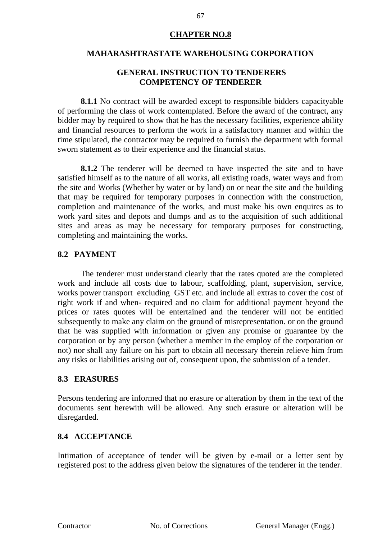# **CHAPTER NO.8**

#### **MAHARASHTRASTATE WAREHOUSING CORPORATION**

# **GENERAL INSTRUCTION TO TENDERERS COMPETENCY OF TENDERER**

**8.1.1** No contract will be awarded except to responsible bidders capacityable of performing the class of work contemplated. Before the award of the contract, any bidder may by required to show that he has the necessary facilities, experience ability and financial resources to perform the work in a satisfactory manner and within the time stipulated, the contractor may be required to furnish the department with formal sworn statement as to their experience and the financial status.

**8.1.2** The tenderer will be deemed to have inspected the site and to have satisfied himself as to the nature of all works, all existing roads, water ways and from the site and Works (Whether by water or by land) on or near the site and the building that may be required for temporary purposes in connection with the construction, completion and maintenance of the works, and must make his own enquires as to work yard sites and depots and dumps and as to the acquisition of such additional sites and areas as may be necessary for temporary purposes for constructing, completing and maintaining the works.

# **8.2 PAYMENT**

The tenderer must understand clearly that the rates quoted are the completed work and include all costs due to labour, scaffolding, plant, supervision, service, works power transport excluding GST etc. and include all extras to cover the cost of right work if and when- required and no claim for additional payment beyond the prices or rates quotes will be entertained and the tenderer will not be entitled subsequently to make any claim on the ground of misrepresentation. or on the ground that he was supplied with information or given any promise or guarantee by the corporation or by any person (whether a member in the employ of the corporation or not) nor shall any failure on his part to obtain all necessary therein relieve him from any risks or liabilities arising out of, consequent upon, the submission of a tender.

# **8.3 ERASURES**

Persons tendering are informed that no erasure or alteration by them in the text of the documents sent herewith will be allowed. Any such erasure or alteration will be disregarded.

# **8.4 ACCEPTANCE**

Intimation of acceptance of tender will be given by e-mail or a letter sent by registered post to the address given below the signatures of the tenderer in the tender.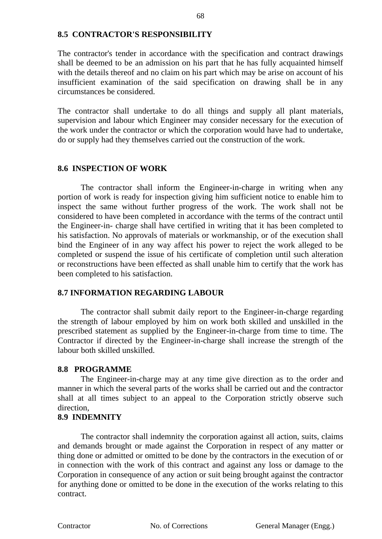# **8.5 CONTRACTOR'S RESPONSIBILITY**

The contractor's tender in accordance with the specification and contract drawings shall be deemed to be an admission on his part that he has fully acquainted himself with the details thereof and no claim on his part which may be arise on account of his insufficient examination of the said specification on drawing shall be in any circumstances be considered.

The contractor shall undertake to do all things and supply all plant materials, supervision and labour which Engineer may consider necessary for the execution of the work under the contractor or which the corporation would have had to undertake, do or supply had they themselves carried out the construction of the work.

# **8.6 INSPECTION OF WORK**

The contractor shall inform the Engineer-in-charge in writing when any portion of work is ready for inspection giving him sufficient notice to enable him to inspect the same without further progress of the work. The work shall not be considered to have been completed in accordance with the terms of the contract until the Engineer-in- charge shall have certified in writing that it has been completed to his satisfaction. No approvals of materials or workmanship, or of the execution shall bind the Engineer of in any way affect his power to reject the work alleged to be completed or suspend the issue of his certificate of completion until such alteration or reconstructions have been effected as shall unable him to certify that the work has been completed to his satisfaction.

# **8.7 INFORMATION REGARDING LABOUR**

The contractor shall submit daily report to the Engineer-in-charge regarding the strength of labour employed by him on work both skilled and unskilled in the prescribed statement as supplied by the Engineer-in-charge from time to time. The Contractor if directed by the Engineer-in-charge shall increase the strength of the labour both skilled unskilled.

# **8.8 PROGRAMME**

The Engineer-in-charge may at any time give direction as to the order and manner in which the several parts of the works shall be carried out and the contractor shall at all times subject to an appeal to the Corporation strictly observe such direction,

# **8.9 INDEMNITY**

The contractor shall indemnity the corporation against all action, suits, claims and demands brought or made against the Corporation in respect of any matter or thing done or admitted or omitted to be done by the contractors in the execution of or in connection with the work of this contract and against any loss or damage to the Corporation in consequence of any action or suit being brought against the contractor for anything done or omitted to be done in the execution of the works relating to this contract.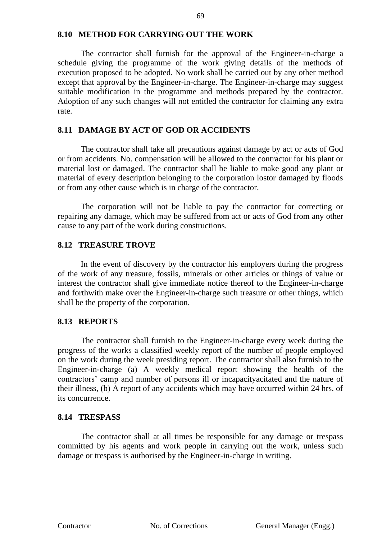# **8.10 METHOD FOR CARRYING OUT THE WORK**

The contractor shall furnish for the approval of the Engineer-in-charge a schedule giving the programme of the work giving details of the methods of execution proposed to be adopted. No work shall be carried out by any other method except that approval by the Engineer-in-charge. The Engineer-in-charge may suggest suitable modification in the programme and methods prepared by the contractor. Adoption of any such changes will not entitled the contractor for claiming any extra rate.

# **8.11 DAMAGE BY ACT OF GOD OR ACCIDENTS**

The contractor shall take all precautions against damage by act or acts of God or from accidents. No. compensation will be allowed to the contractor for his plant or material lost or damaged. The contractor shall be liable to make good any plant or material of every description belonging to the corporation lostor damaged by floods or from any other cause which is in charge of the contractor.

The corporation will not be liable to pay the contractor for correcting or repairing any damage, which may be suffered from act or acts of God from any other cause to any part of the work during constructions.

# **8.12 TREASURE TROVE**

In the event of discovery by the contractor his employers during the progress of the work of any treasure, fossils, minerals or other articles or things of value or interest the contractor shall give immediate notice thereof to the Engineer-in-charge and forthwith make over the Engineer-in-charge such treasure or other things, which shall be the property of the corporation.

# **8.13 REPORTS**

The contractor shall furnish to the Engineer-in-charge every week during the progress of the works a classified weekly report of the number of people employed on the work during the week presiding report. The contractor shall also furnish to the Engineer-in-charge (a) A weekly medical report showing the health of the contractors' camp and number of persons ill or incapacityacitated and the nature of their illness, (b) A report of any accidents which may have occurred within 24 hrs. of its concurrence.

# **8.14 TRESPASS**

The contractor shall at all times be responsible for any damage or trespass committed by his agents and work people in carrying out the work, unless such damage or trespass is authorised by the Engineer-in-charge in writing.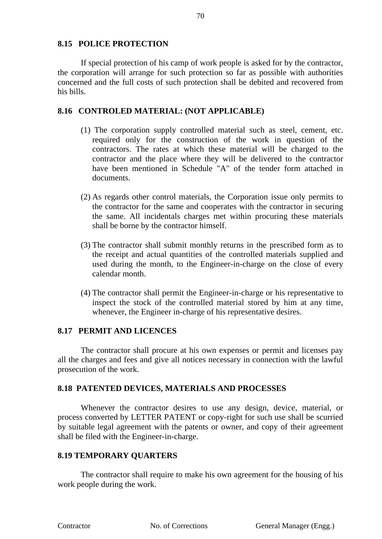# **8.15 POLICE PROTECTION**

If special protection of his camp of work people is asked for by the contractor, the corporation will arrange for such protection so far as possible with authorities concerned and the full costs of such protection shall be debited and recovered from his bills.

# **8.16 CONTROLED MATERIAL: (NOT APPLICABLE)**

- (1) The corporation supply controlled material such as steel, cement, etc. required only for the construction of the work in question of the contractors. The rates at which these material will be charged to the contractor and the place where they will be delivered to the contractor have been mentioned in Schedule "A" of the tender form attached in documents.
- (2) As regards other control materials, the Corporation issue only permits to the contractor for the same and cooperates with the contractor in securing the same. All incidentals charges met within procuring these materials shall be borne by the contractor himself.
- (3) The contractor shall submit monthly returns in the prescribed form as to the receipt and actual quantities of the controlled materials supplied and used during the month, to the Engineer-in-charge on the close of every calendar month.
- (4) The contractor shall permit the Engineer-in-charge or his representative to inspect the stock of the controlled material stored by him at any time, whenever, the Engineer in-charge of his representative desires.

# **8.17 PERMIT AND LICENCES**

The contractor shall procure at his own expenses or permit and licenses pay all the charges and fees and give all notices necessary in connection with the lawful prosecution of the work.

# **8.18 PATENTED DEVICES, MATERIALS AND PROCESSES**

Whenever the contractor desires to use any design, device, material, or process converted by LETTER PATENT or copy-right for such use shall be scurried by suitable legal agreement with the patents or owner, and copy of their agreement shall be filed with the Engineer-in-charge.

# **8.19 TEMPORARY QUARTERS**

The contractor shall require to make his own agreement for the housing of his work people during the work.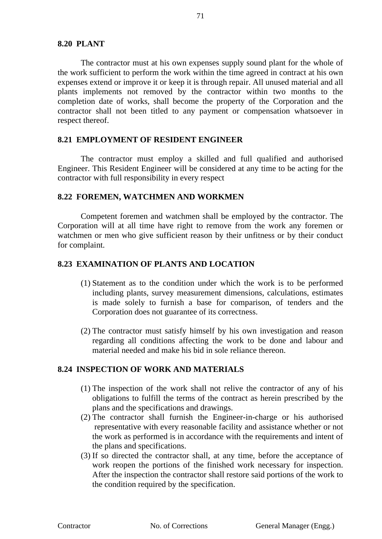The contractor must at his own expenses supply sound plant for the whole of the work sufficient to perform the work within the time agreed in contract at his own expenses extend or improve it or keep it is through repair. All unused material and all plants implements not removed by the contractor within two months to the completion date of works, shall become the property of the Corporation and the contractor shall not been titled to any payment or compensation whatsoever in respect thereof.

#### **8.21 EMPLOYMENT OF RESIDENT ENGINEER**

The contractor must employ a skilled and full qualified and authorised Engineer. This Resident Engineer will be considered at any time to be acting for the contractor with full responsibility in every respect

# **8.22 FOREMEN, WATCHMEN AND WORKMEN**

Competent foremen and watchmen shall be employed by the contractor. The Corporation will at all time have right to remove from the work any foremen or watchmen or men who give sufficient reason by their unfitness or by their conduct for complaint.

#### **8.23 EXAMINATION OF PLANTS AND LOCATION**

- (1) Statement as to the condition under which the work is to be performed including plants, survey measurement dimensions, calculations, estimates is made solely to furnish a base for comparison, of tenders and the Corporation does not guarantee of its correctness.
- (2) The contractor must satisfy himself by his own investigation and reason regarding all conditions affecting the work to be done and labour and material needed and make his bid in sole reliance thereon.

# **8.24 INSPECTION OF WORK AND MATERIALS**

- (1) The inspection of the work shall not relive the contractor of any of his obligations to fulfill the terms of the contract as herein prescribed by the plans and the specifications and drawings.
- (2) The contractor shall furnish the Engineer-in-charge or his authorised representative with every reasonable facility and assistance whether or not the work as performed is in accordance with the requirements and intent of the plans and specifications.
- (3) If so directed the contractor shall, at any time, before the acceptance of work reopen the portions of the finished work necessary for inspection. After the inspection the contractor shall restore said portions of the work to the condition required by the specification.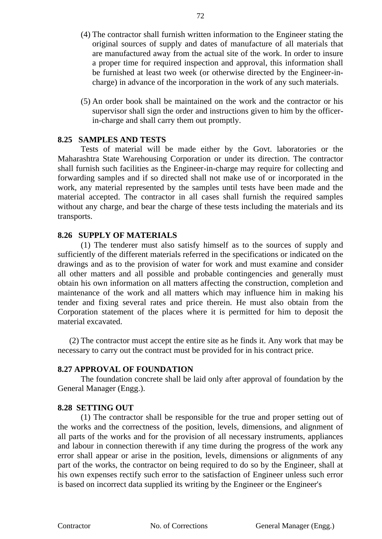- (4) The contractor shall furnish written information to the Engineer stating the original sources of supply and dates of manufacture of all materials that are manufactured away from the actual site of the work. In order to insure a proper time for required inspection and approval, this information shall be furnished at least two week (or otherwise directed by the Engineer-incharge) in advance of the incorporation in the work of any such materials.
- (5) An order book shall be maintained on the work and the contractor or his supervisor shall sign the order and instructions given to him by the officerin-charge and shall carry them out promptly.

# **8.25 SAMPLES AND TESTS**

Tests of material will be made either by the Govt. laboratories or the Maharashtra State Warehousing Corporation or under its direction. The contractor shall furnish such facilities as the Engineer-in-charge may require for collecting and forwarding samples and if so directed shall not make use of or incorporated in the work, any material represented by the samples until tests have been made and the material accepted. The contractor in all cases shall furnish the required samples without any charge, and bear the charge of these tests including the materials and its transports.

# **8.26 SUPPLY OF MATERIALS**

(1) The tenderer must also satisfy himself as to the sources of supply and sufficiently of the different materials referred in the specifications or indicated on the drawings and as to the provision of water for work and must examine and consider all other matters and all possible and probable contingencies and generally must obtain his own information on all matters affecting the construction, completion and maintenance of the work and all matters which may influence him in making his tender and fixing several rates and price therein. He must also obtain from the Corporation statement of the places where it is permitted for him to deposit the material excavated.

(2) The contractor must accept the entire site as he finds it. Any work that may be necessary to carry out the contract must be provided for in his contract price.

#### **8.27 APPROVAL OF FOUNDATION**

The foundation concrete shall be laid only after approval of foundation by the General Manager (Engg.).

#### **8.28 SETTING OUT**

(1) The contractor shall be responsible for the true and proper setting out of the works and the correctness of the position, levels, dimensions, and alignment of all parts of the works and for the provision of all necessary instruments, appliances and labour in connection therewith if any time during the progress of the work any error shall appear or arise in the position, levels, dimensions or alignments of any part of the works, the contractor on being required to do so by the Engineer, shall at his own expenses rectify such error to the satisfaction of Engineer unless such error is based on incorrect data supplied its writing by the Engineer or the Engineer's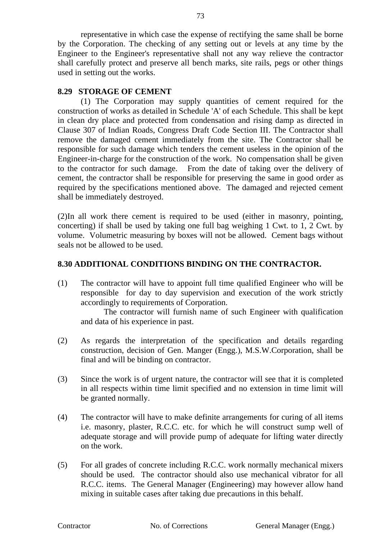representative in which case the expense of rectifying the same shall be borne by the Corporation. The checking of any setting out or levels at any time by the Engineer to the Engineer's representative shall not any way relieve the contractor shall carefully protect and preserve all bench marks, site rails, pegs or other things used in setting out the works.

## **8.29 STORAGE OF CEMENT**

(1) The Corporation may supply quantities of cement required for the construction of works as detailed in Schedule 'A' of each Schedule. This shall be kept in clean dry place and protected from condensation and rising damp as directed in Clause 307 of Indian Roads, Congress Draft Code Section III. The Contractor shall remove the damaged cement immediately from the site. The Contractor shall be responsible for such damage which tenders the cement useless in the opinion of the Engineer-in-charge for the construction of the work. No compensation shall be given to the contractor for such damage. From the date of taking over the delivery of cement, the contractor shall be responsible for preserving the same in good order as required by the specifications mentioned above. The damaged and rejected cement shall be immediately destroyed.

(2)In all work there cement is required to be used (either in masonry, pointing, concerting) if shall be used by taking one full bag weighing 1 Cwt. to 1, 2 Cwt. by volume. Volumetric measuring by boxes will not be allowed. Cement bags without seals not be allowed to be used.

## **8.30 ADDITIONAL CONDITIONS BINDING ON THE CONTRACTOR.**

(1) The contractor will have to appoint full time qualified Engineer who will be responsible for day to day supervision and execution of the work strictly accordingly to requirements of Corporation.

The contractor will furnish name of such Engineer with qualification and data of his experience in past.

- (2) As regards the interpretation of the specification and details regarding construction, decision of Gen. Manger (Engg.), M.S.W.Corporation, shall be final and will be binding on contractor.
- (3) Since the work is of urgent nature, the contractor will see that it is completed in all respects within time limit specified and no extension in time limit will be granted normally.
- (4) The contractor will have to make definite arrangements for curing of all items i.e. masonry, plaster, R.C.C. etc. for which he will construct sump well of adequate storage and will provide pump of adequate for lifting water directly on the work.
- (5) For all grades of concrete including R.C.C. work normally mechanical mixers should be used. The contractor should also use mechanical vibrator for all R.C.C. items. The General Manager (Engineering) may however allow hand mixing in suitable cases after taking due precautions in this behalf.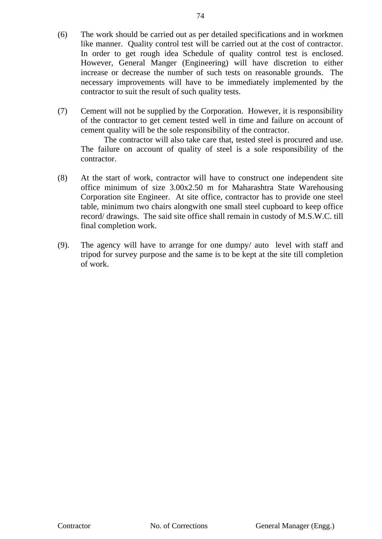- (6) The work should be carried out as per detailed specifications and in workmen like manner. Quality control test will be carried out at the cost of contractor. In order to get rough idea Schedule of quality control test is enclosed. However, General Manger (Engineering) will have discretion to either increase or decrease the number of such tests on reasonable grounds. The necessary improvements will have to be immediately implemented by the contractor to suit the result of such quality tests.
- (7) Cement will not be supplied by the Corporation. However, it is responsibility of the contractor to get cement tested well in time and failure on account of cement quality will be the sole responsibility of the contractor.

The contractor will also take care that, tested steel is procured and use. The failure on account of quality of steel is a sole responsibility of the contractor.

- (8) At the start of work, contractor will have to construct one independent site office minimum of size 3.00x2.50 m for Maharashtra State Warehousing Corporation site Engineer. At site office, contractor has to provide one steel table, minimum two chairs alongwith one small steel cupboard to keep office record/ drawings. The said site office shall remain in custody of M.S.W.C. till final completion work.
- (9). The agency will have to arrange for one dumpy/ auto level with staff and tripod for survey purpose and the same is to be kept at the site till completion of work.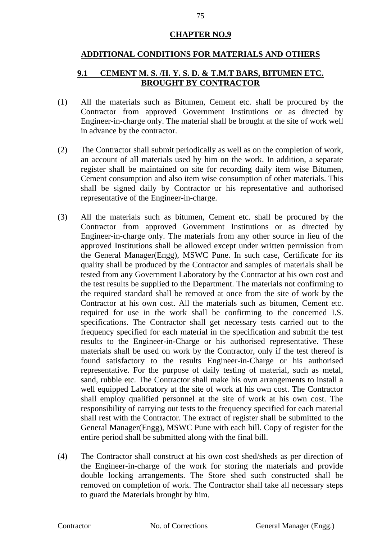# **CHAPTER NO.9**

## **ADDITIONAL CONDITIONS FOR MATERIALS AND OTHERS**

# **9.1 CEMENT M. S. /H. Y. S. D. & T.M.T BARS, BITUMEN ETC. BROUGHT BY CONTRACTOR**

- (1) All the materials such as Bitumen, Cement etc. shall be procured by the Contractor from approved Government Institutions or as directed by Engineer-in-charge only. The material shall be brought at the site of work well in advance by the contractor.
- (2) The Contractor shall submit periodically as well as on the completion of work, an account of all materials used by him on the work. In addition, a separate register shall be maintained on site for recording daily item wise Bitumen, Cement consumption and also item wise consumption of other materials. This shall be signed daily by Contractor or his representative and authorised representative of the Engineer-in-charge.
- (3) All the materials such as bitumen, Cement etc. shall be procured by the Contractor from approved Government Institutions or as directed by Engineer-in-charge only. The materials from any other source in lieu of the approved Institutions shall be allowed except under written permission from the General Manager(Engg), MSWC Pune. In such case, Certificate for its quality shall be produced by the Contractor and samples of materials shall be tested from any Government Laboratory by the Contractor at his own cost and the test results be supplied to the Department. The materials not confirming to the required standard shall be removed at once from the site of work by the Contractor at his own cost. All the materials such as bitumen, Cement etc. required for use in the work shall be confirming to the concerned I.S. specifications. The Contractor shall get necessary tests carried out to the frequency specified for each material in the specification and submit the test results to the Engineer-in-Charge or his authorised representative. These materials shall be used on work by the Contractor, only if the test thereof is found satisfactory to the results Engineer-in-Charge or his authorised representative. For the purpose of daily testing of material, such as metal, sand, rubble etc. The Contractor shall make his own arrangements to install a well equipped Laboratory at the site of work at his own cost. The Contractor shall employ qualified personnel at the site of work at his own cost. The responsibility of carrying out tests to the frequency specified for each material shall rest with the Contractor. The extract of register shall be submitted to the General Manager(Engg), MSWC Pune with each bill. Copy of register for the entire period shall be submitted along with the final bill.
- (4) The Contractor shall construct at his own cost shed/sheds as per direction of the Engineer-in-charge of the work for storing the materials and provide double locking arrangements. The Store shed such constructed shall be removed on completion of work. The Contractor shall take all necessary steps to guard the Materials brought by him.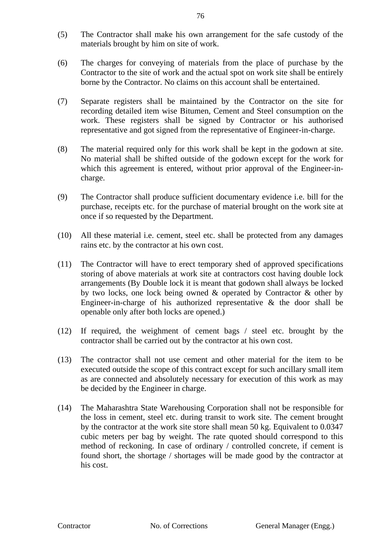- (5) The Contractor shall make his own arrangement for the safe custody of the materials brought by him on site of work.
- (6) The charges for conveying of materials from the place of purchase by the Contractor to the site of work and the actual spot on work site shall be entirely borne by the Contractor. No claims on this account shall be entertained.
- (7) Separate registers shall be maintained by the Contractor on the site for recording detailed item wise Bitumen, Cement and Steel consumption on the work. These registers shall be signed by Contractor or his authorised representative and got signed from the representative of Engineer-in-charge.
- (8) The material required only for this work shall be kept in the godown at site. No material shall be shifted outside of the godown except for the work for which this agreement is entered, without prior approval of the Engineer-incharge.
- (9) The Contractor shall produce sufficient documentary evidence i.e. bill for the purchase, receipts etc. for the purchase of material brought on the work site at once if so requested by the Department.
- (10) All these material i.e. cement, steel etc. shall be protected from any damages rains etc. by the contractor at his own cost.
- (11) The Contractor will have to erect temporary shed of approved specifications storing of above materials at work site at contractors cost having double lock arrangements (By Double lock it is meant that godown shall always be locked by two locks, one lock being owned & operated by Contractor & other by Engineer-in-charge of his authorized representative & the door shall be openable only after both locks are opened.)
- (12) If required, the weighment of cement bags / steel etc. brought by the contractor shall be carried out by the contractor at his own cost.
- (13) The contractor shall not use cement and other material for the item to be executed outside the scope of this contract except for such ancillary small item as are connected and absolutely necessary for execution of this work as may be decided by the Engineer in charge.
- (14) The Maharashtra State Warehousing Corporation shall not be responsible for the loss in cement, steel etc. during transit to work site. The cement brought by the contractor at the work site store shall mean 50 kg. Equivalent to 0.0347 cubic meters per bag by weight. The rate quoted should correspond to this method of reckoning. In case of ordinary / controlled concrete, if cement is found short, the shortage / shortages will be made good by the contractor at his cost.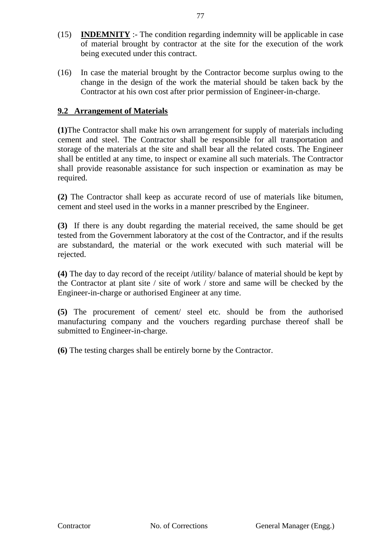- (15) **INDEMNITY** :- The condition regarding indemnity will be applicable in case of material brought by contractor at the site for the execution of the work being executed under this contract.
- (16) In case the material brought by the Contractor become surplus owing to the change in the design of the work the material should be taken back by the Contractor at his own cost after prior permission of Engineer-in-charge.

# **9.2 Arrangement of Materials**

**(1)**The Contractor shall make his own arrangement for supply of materials including cement and steel. The Contractor shall be responsible for all transportation and storage of the materials at the site and shall bear all the related costs. The Engineer shall be entitled at any time, to inspect or examine all such materials. The Contractor shall provide reasonable assistance for such inspection or examination as may be required.

**(2)** The Contractor shall keep as accurate record of use of materials like bitumen, cement and steel used in the works in a manner prescribed by the Engineer.

**(3)** If there is any doubt regarding the material received, the same should be get tested from the Government laboratory at the cost of the Contractor, and if the results are substandard, the material or the work executed with such material will be rejected.

**(4)** The day to day record of the receipt /utility/ balance of material should be kept by the Contractor at plant site / site of work / store and same will be checked by the Engineer-in-charge or authorised Engineer at any time.

**(5)** The procurement of cement/ steel etc. should be from the authorised manufacturing company and the vouchers regarding purchase thereof shall be submitted to Engineer-in-charge.

**(6)** The testing charges shall be entirely borne by the Contractor.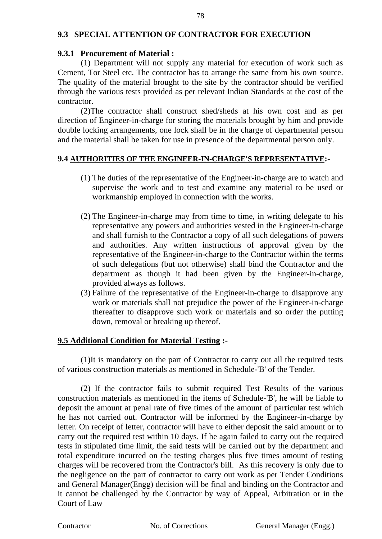## **9.3 SPECIAL ATTENTION OF CONTRACTOR FOR EXECUTION**

#### **9.3.1 Procurement of Material :**

(1) Department will not supply any material for execution of work such as Cement, Tor Steel etc. The contractor has to arrange the same from his own source. The quality of the material brought to the site by the contractor should be verified through the various tests provided as per relevant Indian Standards at the cost of the contractor.

(2)The contractor shall construct shed/sheds at his own cost and as per direction of Engineer-in-charge for storing the materials brought by him and provide double locking arrangements, one lock shall be in the charge of departmental person and the material shall be taken for use in presence of the departmental person only.

#### **9.4 AUTHORITIES OF THE ENGINEER-IN-CHARGE'S REPRESENTATIVE:-**

- (1) The duties of the representative of the Engineer-in-charge are to watch and supervise the work and to test and examine any material to be used or workmanship employed in connection with the works.
- (2) The Engineer-in-charge may from time to time, in writing delegate to his representative any powers and authorities vested in the Engineer-in-charge and shall furnish to the Contractor a copy of all such delegations of powers and authorities. Any written instructions of approval given by the representative of the Engineer-in-charge to the Contractor within the terms of such delegations (but not otherwise) shall bind the Contractor and the department as though it had been given by the Engineer-in-charge, provided always as follows.
- (3) Failure of the representative of the Engineer-in-charge to disapprove any work or materials shall not prejudice the power of the Engineer-in-charge thereafter to disapprove such work or materials and so order the putting down, removal or breaking up thereof.

#### **9.5 Additional Condition for Material Testing :-**

(1)It is mandatory on the part of Contractor to carry out all the required tests of various construction materials as mentioned in Schedule-'B' of the Tender.

(2) If the contractor fails to submit required Test Results of the various construction materials as mentioned in the items of Schedule-'B', he will be liable to deposit the amount at penal rate of five times of the amount of particular test which he has not carried out. Contractor will be informed by the Engineer-in-charge by letter. On receipt of letter, contractor will have to either deposit the said amount or to carry out the required test within 10 days. If he again failed to carry out the required tests in stipulated time limit, the said tests will be carried out by the department and total expenditure incurred on the testing charges plus five times amount of testing charges will be recovered from the Contractor's bill. As this recovery is only due to the negligence on the part of contractor to carry out work as per Tender Conditions and General Manager(Engg) decision will be final and binding on the Contractor and it cannot be challenged by the Contractor by way of Appeal, Arbitration or in the Court of Law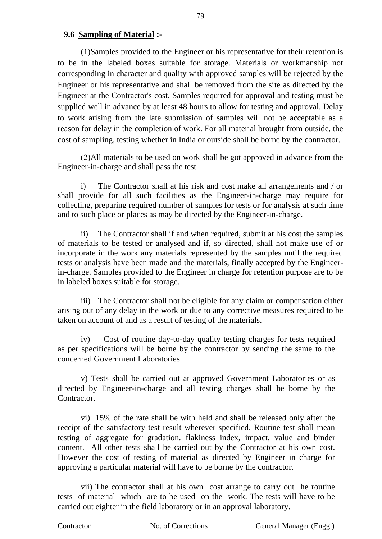#### **9.6 Sampling of Material :-**

(1)Samples provided to the Engineer or his representative for their retention is to be in the labeled boxes suitable for storage. Materials or workmanship not corresponding in character and quality with approved samples will be rejected by the Engineer or his representative and shall be removed from the site as directed by the Engineer at the Contractor's cost. Samples required for approval and testing must be supplied well in advance by at least 48 hours to allow for testing and approval. Delay to work arising from the late submission of samples will not be acceptable as a reason for delay in the completion of work. For all material brought from outside, the cost of sampling, testing whether in India or outside shall be borne by the contractor.

(2)All materials to be used on work shall be got approved in advance from the Engineer-in-charge and shall pass the test

i) The Contractor shall at his risk and cost make all arrangements and / or shall provide for all such facilities as the Engineer-in-charge may require for collecting, preparing required number of samples for tests or for analysis at such time and to such place or places as may be directed by the Engineer-in-charge.

ii) The Contractor shall if and when required, submit at his cost the samples of materials to be tested or analysed and if, so directed, shall not make use of or incorporate in the work any materials represented by the samples until the required tests or analysis have been made and the materials, finally accepted by the Engineerin-charge. Samples provided to the Engineer in charge for retention purpose are to be in labeled boxes suitable for storage.

iii) The Contractor shall not be eligible for any claim or compensation either arising out of any delay in the work or due to any corrective measures required to be taken on account of and as a result of testing of the materials.

iv) Cost of routine day-to-day quality testing charges for tests required as per specifications will be borne by the contractor by sending the same to the concerned Government Laboratories.

v) Tests shall be carried out at approved Government Laboratories or as directed by Engineer-in-charge and all testing charges shall be borne by the Contractor.

vi) 15% of the rate shall be with held and shall be released only after the receipt of the satisfactory test result wherever specified. Routine test shall mean testing of aggregate for gradation. flakiness index, impact, value and binder content. All other tests shall be carried out by the Contractor at his own cost. However the cost of testing of material as directed by Engineer in charge for approving a particular material will have to be borne by the contractor.

vii) The contractor shall at his own cost arrange to carry out he routine tests of material which are to be used on the work. The tests will have to be carried out eighter in the field laboratory or in an approval laboratory.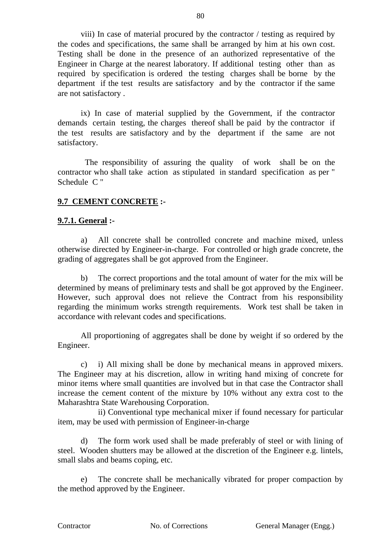viii) In case of material procured by the contractor / testing as required by the codes and specifications, the same shall be arranged by him at his own cost. Testing shall be done in the presence of an authorized representative of the Engineer in Charge at the nearest laboratory. If additional testing other than as required by specification is ordered the testing charges shall be borne by the department if the test results are satisfactory and by the contractor if the same are not satisfactory .

ix) In case of material supplied by the Government, if the contractor demands certain testing, the charges thereof shall be paid by the contractor if the test results are satisfactory and by the department if the same are not satisfactory.

 The responsibility of assuring the quality of work shall be on the contractor who shall take action as stipulated in standard specification as per " Schedule C "

## **9.7 CEMENT CONCRETE :-**

#### **9.7.1. General :-**

a) All concrete shall be controlled concrete and machine mixed, unless otherwise directed by Engineer-in-charge. For controlled or high grade concrete, the grading of aggregates shall be got approved from the Engineer.

b) The correct proportions and the total amount of water for the mix will be determined by means of preliminary tests and shall be got approved by the Engineer. However, such approval does not relieve the Contract from his responsibility regarding the minimum works strength requirements. Work test shall be taken in accordance with relevant codes and specifications.

All proportioning of aggregates shall be done by weight if so ordered by the Engineer.

c) i) All mixing shall be done by mechanical means in approved mixers. The Engineer may at his discretion, allow in writing hand mixing of concrete for minor items where small quantities are involved but in that case the Contractor shall increase the cement content of the mixture by 10% without any extra cost to the Maharashtra State Warehousing Corporation.

 ii) Conventional type mechanical mixer if found necessary for particular item, may be used with permission of Engineer-in-charge

d) The form work used shall be made preferably of steel or with lining of steel. Wooden shutters may be allowed at the discretion of the Engineer e.g. lintels, small slabs and beams coping, etc.

e) The concrete shall be mechanically vibrated for proper compaction by the method approved by the Engineer.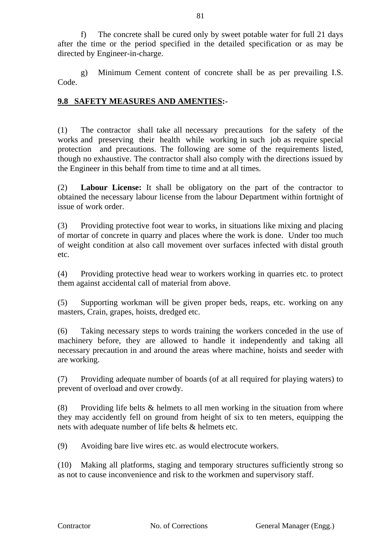f) The concrete shall be cured only by sweet potable water for full 21 days after the time or the period specified in the detailed specification or as may be directed by Engineer-in-charge.

g) Minimum Cement content of concrete shall be as per prevailing I.S. Code.

# **9.8 SAFETY MEASURES AND AMENTIES:-**

(1) The contractor shall take all necessary precautions for the safety of the works and preserving their health while working in such job as require special protection and precautions. The following are some of the requirements listed, though no exhaustive. The contractor shall also comply with the directions issued by the Engineer in this behalf from time to time and at all times.

(2) **Labour License:** It shall be obligatory on the part of the contractor to obtained the necessary labour license from the labour Department within fortnight of issue of work order.

(3) Providing protective foot wear to works, in situations like mixing and placing of mortar of concrete in quarry and places where the work is done. Under too much of weight condition at also call movement over surfaces infected with distal grouth etc.

(4) Providing protective head wear to workers working in quarries etc. to protect them against accidental call of material from above.

(5) Supporting workman will be given proper beds, reaps, etc. working on any masters, Crain, grapes, hoists, dredged etc.

(6) Taking necessary steps to words training the workers conceded in the use of machinery before, they are allowed to handle it independently and taking all necessary precaution in and around the areas where machine, hoists and seeder with are working.

(7) Providing adequate number of boards (of at all required for playing waters) to prevent of overload and over crowdy.

(8) Providing life belts  $\&$  helmets to all men working in the situation from where they may accidently fell on ground from height of six to ten meters, equipping the nets with adequate number of life belts & helmets etc.

(9) Avoiding bare live wires etc. as would electrocute workers.

(10) Making all platforms, staging and temporary structures sufficiently strong so as not to cause inconvenience and risk to the workmen and supervisory staff.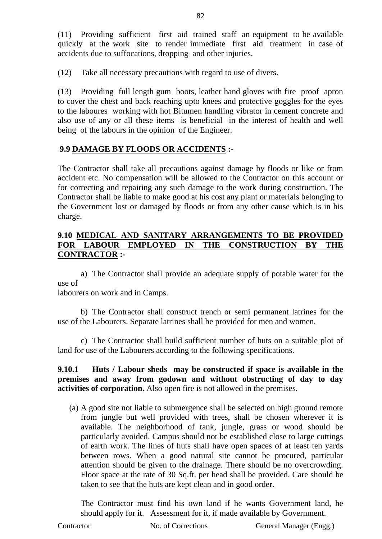(11) Providing sufficient first aid trained staff an equipment to be available quickly at the work site to render immediate first aid treatment in case of accidents due to suffocations, dropping and other injuries.

(12) Take all necessary precautions with regard to use of divers.

(13) Providing full length gum boots, leather hand gloves with fire proof apron to cover the chest and back reaching upto knees and protective goggles for the eyes to the laboures working with hot Bitumen handling vibrator in cement concrete and also use of any or all these items is beneficial in the interest of health and well being of the labours in the opinion of the Engineer.

# **9.9 DAMAGE BY FLOODS OR ACCIDENTS :-**

The Contractor shall take all precautions against damage by floods or like or from accident etc. No compensation will be allowed to the Contractor on this account or for correcting and repairing any such damage to the work during construction. The Contractor shall be liable to make good at his cost any plant or materials belonging to the Government lost or damaged by floods or from any other cause which is in his charge.

# **9.10 MEDICAL AND SANITARY ARRANGEMENTS TO BE PROVIDED FOR LABOUR EMPLOYED IN THE CONSTRUCTION BY THE CONTRACTOR :-**

a) The Contractor shall provide an adequate supply of potable water for the use of

labourers on work and in Camps.

b) The Contractor shall construct trench or semi permanent latrines for the use of the Labourers. Separate latrines shall be provided for men and women.

c) The Contractor shall build sufficient number of huts on a suitable plot of land for use of the Labourers according to the following specifications.

**9.10.1 Huts / Labour sheds may be constructed if space is available in the premises and away from godown and without obstructing of day to day activities of corporation.** Also open fire is not allowed in the premises.

(a) A good site not liable to submergence shall be selected on high ground remote from jungle but well provided with trees, shall be chosen wherever it is available. The neighborhood of tank, jungle, grass or wood should be particularly avoided. Campus should not be established close to large cuttings of earth work. The lines of huts shall have open spaces of at least ten yards between rows. When a good natural site cannot be procured, particular attention should be given to the drainage. There should be no overcrowding. Floor space at the rate of 30 Sq.ft. per head shall be provided. Care should be taken to see that the huts are kept clean and in good order.

The Contractor must find his own land if he wants Government land, he should apply for it. Assessment for it, if made available by Government.

Contractor No. of Corrections General Manager (Engg.)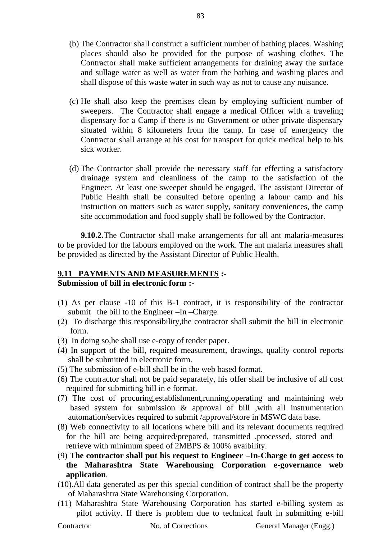- (b) The Contractor shall construct a sufficient number of bathing places. Washing places should also be provided for the purpose of washing clothes. The Contractor shall make sufficient arrangements for draining away the surface and sullage water as well as water from the bathing and washing places and shall dispose of this waste water in such way as not to cause any nuisance.
- (c) He shall also keep the premises clean by employing sufficient number of sweepers. The Contractor shall engage a medical Officer with a traveling dispensary for a Camp if there is no Government or other private dispensary situated within 8 kilometers from the camp. In case of emergency the Contractor shall arrange at his cost for transport for quick medical help to his sick worker.
- (d) The Contractor shall provide the necessary staff for effecting a satisfactory drainage system and cleanliness of the camp to the satisfaction of the Engineer. At least one sweeper should be engaged. The assistant Director of Public Health shall be consulted before opening a labour camp and his instruction on matters such as water supply, sanitary conveniences, the camp site accommodation and food supply shall be followed by the Contractor.

**9.10.2.**The Contractor shall make arrangements for all ant malaria-measures to be provided for the labours employed on the work. The ant malaria measures shall be provided as directed by the Assistant Director of Public Health.

#### **9.11 PAYMENTS AND MEASUREMENTS :- Submission of bill in electronic form :-**

- (1) As per clause -10 of this B-1 contract, it is responsibility of the contractor submit the bill to the Engineer –In –Charge.
- (2) To discharge this responsibility,the contractor shall submit the bill in electronic form.
- (3) In doing so,he shall use e-copy of tender paper.
- (4) In support of the bill, required measurement, drawings, quality control reports shall be submitted in electronic form.
- (5) The submission of e-bill shall be in the web based format.
- (6) The contractor shall not be paid separately, his offer shall be inclusive of all cost required for submitting bill in e format.
- (7) The cost of procuring,establishment,running,operating and maintaining web based system for submission & approval of bill ,with all instrumentation automation/services required to submit /approval/store in MSWC data base.
- (8) Web connectivity to all locations where bill and its relevant documents required for the bill are being acquired/prepared, transmitted ,processed, stored and retrieve with minimum speed of 2MBPS & 100% avaibility.
- (9) **The contractor shall put his request to Engineer –In-Charge to get access to the Maharashtra State Warehousing Corporation e-governance web application**.
- (10).All data generated as per this special condition of contract shall be the property of Maharashtra State Warehousing Corporation.
- (11) Maharashtra State Warehousing Corporation has started e-billing system as pilot activity. If there is problem due to technical fault in submitting e-bill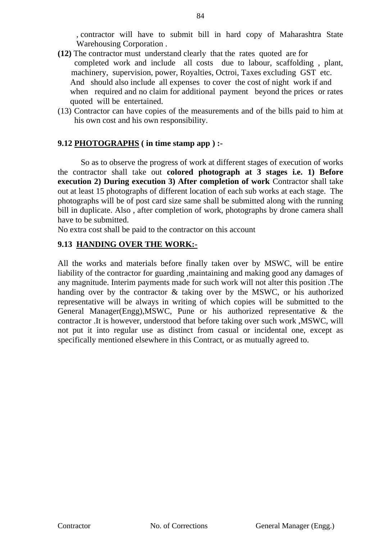, contractor will have to submit bill in hard copy of Maharashtra State Warehousing Corporation .

- **(12)** The contractor must understand clearly that the rates quoted are for completed work and include all costs due to labour, scaffolding , plant, machinery, supervision, power, Royalties, Octroi, Taxes excluding GST etc. And should also include all expenses to cover the cost of night work if and when required and no claim for additional payment beyond the prices or rates quoted will be entertained.
- (13) Contractor can have copies of the measurements and of the bills paid to him at his own cost and his own responsibility.

# **9.12 PHOTOGRAPHS ( in time stamp app ) :-**

So as to observe the progress of work at different stages of execution of works the contractor shall take out **colored photograph at 3 stages i.e. 1) Before execution 2) During execution 3) After completion of work** Contractor shall take out at least 15 photographs of different location of each sub works at each stage. The photographs will be of post card size same shall be submitted along with the running bill in duplicate. Also , after completion of work, photographs by drone camera shall have to be submitted.

No extra cost shall be paid to the contractor on this account

# **9.13 HANDING OVER THE WORK:-**

All the works and materials before finally taken over by MSWC, will be entire liability of the contractor for guarding ,maintaining and making good any damages of any magnitude. Interim payments made for such work will not alter this position .The handing over by the contractor & taking over by the MSWC, or his authorized representative will be always in writing of which copies will be submitted to the General Manager(Engg),MSWC, Pune or his authorized representative & the contractor .It is however, understood that before taking over such work ,MSWC, will not put it into regular use as distinct from casual or incidental one, except as specifically mentioned elsewhere in this Contract, or as mutually agreed to.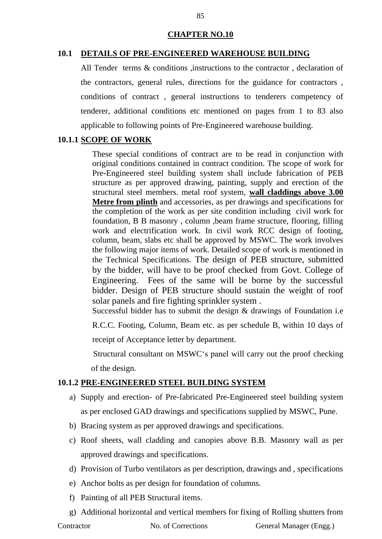#### **CHAPTER NO.10**

#### **10.1 DETAILS OF PRE-ENGINEERED WAREHOUSE BUILDING**

All Tender terms & conditions , instructions to the contractor , declaration of the contractors, general rules, directions for the guidance for contractors , conditions of contract , general instructions to tenderers competency of tenderer, additional conditions etc mentioned on pages from 1 to 83 also applicable to following points of Pre-Engineered warehouse building.

#### **10.1.1 SCOPE OF WORK**

These special conditions of contract are to be read in conjunction with original conditions contained in contract condition. The scope of work for Pre-Engineered steel building system shall include fabrication of PEB structure as per approved drawing, painting, supply and erection of the structural steel members. metal roof system, **wall claddings above 3.00 Metre from plinth** and accessories, as per drawings and specifications for the completion of the work as per site condition including civil work for foundation, B B masonry , column ,beam frame structure, flooring, filling work and electrification work. In civil work RCC design of footing, column, beam, slabs etc shall be approved by MSWC. The work involves the following major items of work. Detailed scope of work is mentioned in the Technical Specifications. The design of PEB structure, submitted by the bidder, will have to be proof checked from Govt. College of Engineering. Fees of the same will be borne by the successful bidder. Design of PEB structure should sustain the weight of roof solar panels and fire fighting sprinkler system .

Successful bidder has to submit the design  $&$  drawings of Foundation i.e.

R.C.C. Footing, Column, Beam etc. as per schedule B, within 10 days of

receipt of Acceptance letter by department.

 Structural consultant on MSWC's panel will carry out the proof checking of the design.

#### **10.1.2 PRE-ENGINEERED STEEL BUILDING SYSTEM**

- a) Supply and erection- of Pre-fabricated Pre-Engineered steel building system as per enclosed GAD drawings and specifications supplied by MSWC, Pune.
- b) Bracing system as per approved drawings and specifications.
- c) Roof sheets, wall cladding and canopies above B.B. Masonry wall as per approved drawings and specifications.
- d) Provision of Turbo ventilators as per description, drawings and , specifications
- e) Anchor bolts as per design for foundation of columns.
- f) Painting of all PEB Structural items.
- g) Additional horizontal and vertical members for fixing of Rolling shutters from

Contractor No. of Corrections General Manager (Engg.)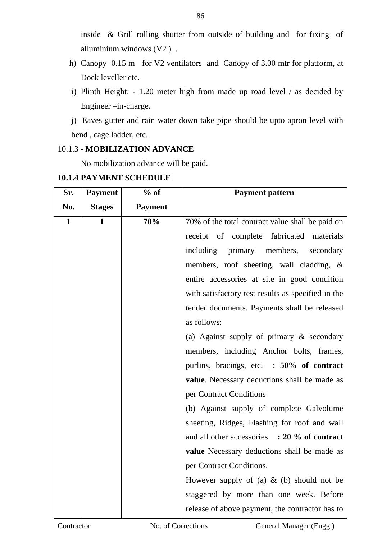inside & Grill rolling shutter from outside of building and for fixing of alluminium windows (V2 ) .

- h) Canopy 0.15 m for V2 ventilators and Canopy of 3.00 mtr for platform, at Dock leveller etc.
- i) Plinth Height: 1.20 meter high from made up road level / as decided by Engineer –in-charge.
- j) Eaves gutter and rain water down take pipe should be upto apron level with bend , cage ladder, etc.

# 10.1.3 **- MOBILIZATION ADVANCE**

No mobilization advance will be paid.

| <b>10.1.4 PAYMENT SCHEDULE</b> |  |
|--------------------------------|--|
|                                |  |

| Sr.          | <b>Payment</b> | $%$ of         | <b>Payment pattern</b>                             |
|--------------|----------------|----------------|----------------------------------------------------|
| No.          | <b>Stages</b>  | <b>Payment</b> |                                                    |
| $\mathbf{1}$ | $\mathbf{I}$   | 70%            | 70% of the total contract value shall be paid on   |
|              |                |                | receipt of complete fabricated materials           |
|              |                |                | including<br>primary members,<br>secondary         |
|              |                |                | members, roof sheeting, wall cladding, &           |
|              |                |                | entire accessories at site in good condition       |
|              |                |                | with satisfactory test results as specified in the |
|              |                |                | tender documents. Payments shall be released       |
|              |                |                | as follows:                                        |
|              |                |                | (a) Against supply of primary $\&$ secondary       |
|              |                |                | members, including Anchor bolts, frames,           |
|              |                |                | purlins, bracings, etc. : 50% of contract          |
|              |                |                | value. Necessary deductions shall be made as       |
|              |                |                | per Contract Conditions                            |
|              |                |                | (b) Against supply of complete Galvolume           |
|              |                |                | sheeting, Ridges, Flashing for roof and wall       |
|              |                |                | and all other accessories : 20 % of contract       |
|              |                |                | value Necessary deductions shall be made as        |
|              |                |                | per Contract Conditions.                           |
|              |                |                | However supply of (a) $\&$ (b) should not be       |
|              |                |                | staggered by more than one week. Before            |
|              |                |                | release of above payment, the contractor has to    |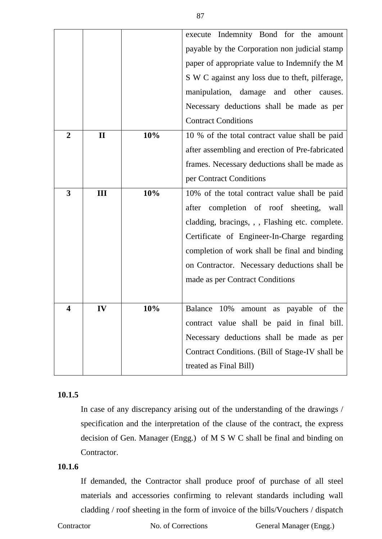|                |              |     | execute Indemnity Bond for the amount           |
|----------------|--------------|-----|-------------------------------------------------|
|                |              |     | payable by the Corporation non judicial stamp   |
|                |              |     | paper of appropriate value to Indemnify the M   |
|                |              |     | S W C against any loss due to theft, pilferage, |
|                |              |     | manipulation, damage and other causes.          |
|                |              |     | Necessary deductions shall be made as per       |
|                |              |     | <b>Contract Conditions</b>                      |
| $\overline{2}$ | $\mathbf{I}$ | 10% | 10 % of the total contract value shall be paid  |
|                |              |     | after assembling and erection of Pre-fabricated |
|                |              |     | frames. Necessary deductions shall be made as   |
|                |              |     | per Contract Conditions                         |
| 3              | III          | 10% | 10% of the total contract value shall be paid   |
|                |              |     | after completion of roof sheeting, wall         |
|                |              |     | cladding, bracings, , , Flashing etc. complete. |
|                |              |     | Certificate of Engineer-In-Charge regarding     |
|                |              |     | completion of work shall be final and binding   |
|                |              |     | on Contractor. Necessary deductions shall be    |
|                |              |     | made as per Contract Conditions                 |
|                |              |     |                                                 |
| 4              | IV           | 10% | Balance 10%<br>amount as payable of the         |
|                |              |     | contract value shall be paid in final bill.     |
|                |              |     | Necessary deductions shall be made as per       |
|                |              |     | Contract Conditions. (Bill of Stage-IV shall be |
|                |              |     | treated as Final Bill)                          |
|                |              |     |                                                 |

### **10.1.5**

In case of any discrepancy arising out of the understanding of the drawings / specification and the interpretation of the clause of the contract, the express decision of Gen. Manager (Engg.) of M S W C shall be final and binding on Contractor.

# **10.1.6**

If demanded, the Contractor shall produce proof of purchase of all steel materials and accessories confirming to relevant standards including wall cladding / roof sheeting in the form of invoice of the bills/Vouchers / dispatch

Contractor No. of Corrections General Manager (Engg.)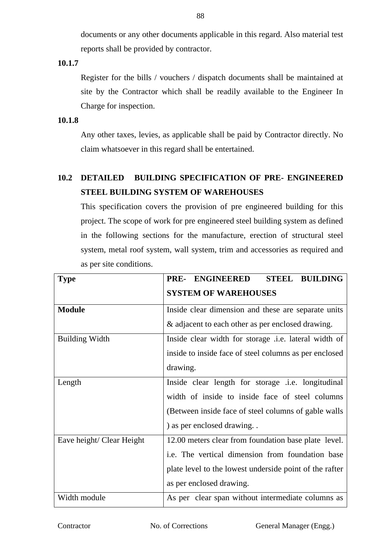documents or any other documents applicable in this regard. Also material test reports shall be provided by contractor.

**10.1.7**

Register for the bills / vouchers / dispatch documents shall be maintained at site by the Contractor which shall be readily available to the Engineer In Charge for inspection.

# **10.1.8**

Any other taxes, levies, as applicable shall be paid by Contractor directly. No claim whatsoever in this regard shall be entertained.

# **10.2 DETAILED BUILDING SPECIFICATION OF PRE- ENGINEERED STEEL BUILDING SYSTEM OF WAREHOUSES**

This specification covers the provision of pre engineered building for this project. The scope of work for pre engineered steel building system as defined in the following sections for the manufacture, erection of structural steel system, metal roof system, wall system, trim and accessories as required and as per site conditions.

| <b>Type</b>               | <b>STEEL BUILDING</b><br>ENGINEERED<br>PRE-             |
|---------------------------|---------------------------------------------------------|
|                           | <b>SYSTEM OF WAREHOUSES</b>                             |
| <b>Module</b>             | Inside clear dimension and these are separate units     |
|                           | & adjacent to each other as per enclosed drawing.       |
| <b>Building Width</b>     | Inside clear width for storage .i.e. lateral width of   |
|                           | inside to inside face of steel columns as per enclosed  |
|                           | drawing.                                                |
| Length                    | Inside clear length for storage .i.e. longitudinal      |
|                           | width of inside to inside face of steel columns         |
|                           | (Between inside face of steel columns of gable walls)   |
|                           | ) as per enclosed drawing. .                            |
| Eave height/ Clear Height | 12.00 meters clear from foundation base plate level.    |
|                           | i.e. The vertical dimension from foundation base        |
|                           | plate level to the lowest underside point of the rafter |
|                           | as per enclosed drawing.                                |
| Width module              | As per clear span without intermediate columns as       |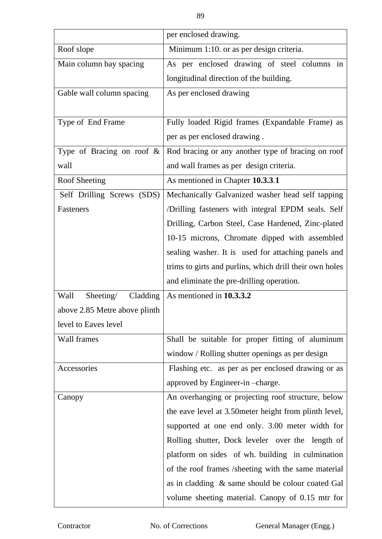|                               | per enclosed drawing.                                   |
|-------------------------------|---------------------------------------------------------|
| Roof slope                    | Minimum 1:10. or as per design criteria.                |
| Main column bay spacing       | As per enclosed drawing of steel columns in             |
|                               | longitudinal direction of the building.                 |
| Gable wall column spacing     | As per enclosed drawing                                 |
|                               |                                                         |
| Type of End Frame             | Fully loaded Rigid frames (Expandable Frame) as         |
|                               | per as per enclosed drawing.                            |
| Type of Bracing on roof $\&$  | Rod bracing or any another type of bracing on roof      |
| wall                          | and wall frames as per design criteria.                 |
| Roof Sheeting                 | As mentioned in Chapter 10.3.3.1                        |
| Self Drilling Screws (SDS)    | Mechanically Galvanized washer head self tapping        |
| Fasteners                     | /Drilling fasteners with integral EPDM seals. Self      |
|                               | Drilling, Carbon Steel, Case Hardened, Zinc-plated      |
|                               | 10-15 microns, Chromate dipped with assembled           |
|                               | sealing washer. It is used for attaching panels and     |
|                               | trims to girts and purlins, which drill their own holes |
|                               | and eliminate the pre-drilling operation.               |
| Wall<br>Sheeting/<br>Cladding | As mentioned in 10.3.3.2                                |
| above 2.85 Metre above plinth |                                                         |
| level to Eaves level          |                                                         |
| Wall frames                   | Shall be suitable for proper fitting of aluminum        |
|                               | window / Rolling shutter openings as per design         |
| Accessories                   | Flashing etc. as per as per enclosed drawing or as      |
|                               | approved by Engineer-in-charge.                         |
| Canopy                        | An overhanging or projecting roof structure, below      |
|                               | the eave level at 3.50 meter height from plinth level,  |
|                               | supported at one end only. 3.00 meter width for         |
|                               | Rolling shutter, Dock leveler over the length of        |
|                               | platform on sides of wh. building in culmination        |
|                               | of the roof frames /sheeting with the same material     |
|                               | as in cladding & same should be colour coated Gal       |
|                               | volume sheeting material. Canopy of 0.15 mtr for        |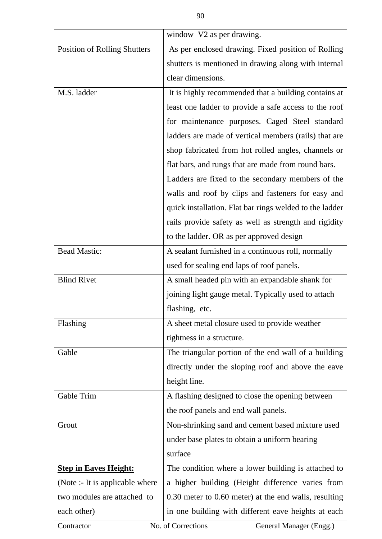|                                     | window V2 as per drawing.                               |
|-------------------------------------|---------------------------------------------------------|
| <b>Position of Rolling Shutters</b> | As per enclosed drawing. Fixed position of Rolling      |
|                                     | shutters is mentioned in drawing along with internal    |
|                                     | clear dimensions.                                       |
| M.S. ladder                         | It is highly recommended that a building contains at    |
|                                     | least one ladder to provide a safe access to the roof   |
|                                     | for maintenance purposes. Caged Steel standard          |
|                                     | ladders are made of vertical members (rails) that are   |
|                                     | shop fabricated from hot rolled angles, channels or     |
|                                     | flat bars, and rungs that are made from round bars.     |
|                                     | Ladders are fixed to the secondary members of the       |
|                                     | walls and roof by clips and fasteners for easy and      |
|                                     | quick installation. Flat bar rings welded to the ladder |
|                                     | rails provide safety as well as strength and rigidity   |
|                                     | to the ladder. OR as per approved design                |
| <b>Bead Mastic:</b>                 | A sealant furnished in a continuous roll, normally      |
|                                     | used for sealing end laps of roof panels.               |
| <b>Blind Rivet</b>                  | A small headed pin with an expandable shank for         |
|                                     | joining light gauge metal. Typically used to attach     |
|                                     | flashing, etc.                                          |
| Flashing                            | A sheet metal closure used to provide weather           |
|                                     | tightness in a structure.                               |
| Gable                               | The triangular portion of the end wall of a building    |
|                                     | directly under the sloping roof and above the eave      |
|                                     | height line.                                            |
| Gable Trim                          | A flashing designed to close the opening between        |
|                                     | the roof panels and end wall panels.                    |
| Grout                               | Non-shrinking sand and cement based mixture used        |
|                                     | under base plates to obtain a uniform bearing           |
|                                     | surface                                                 |
| <b>Step in Eaves Height:</b>        | The condition where a lower building is attached to     |
| (Note :- It is applicable where     | a higher building (Height difference varies from        |
| two modules are attached to         | 0.30 meter to 0.60 meter) at the end walls, resulting   |
| each other)                         | in one building with different eave heights at each     |
| Contractor                          | No. of Corrections<br>General Manager (Engg.)           |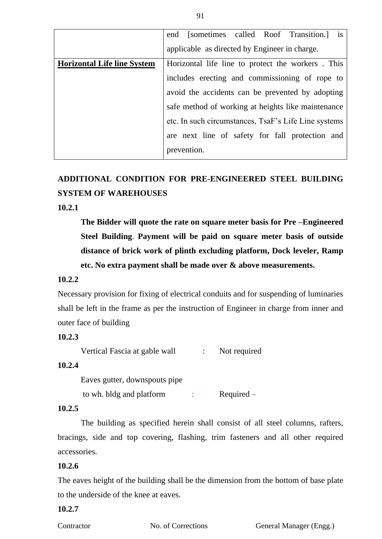|                                    | end [sometimes called Roof Transition.] is           |
|------------------------------------|------------------------------------------------------|
|                                    | applicable as directed by Engineer in charge.        |
| <b>Horizontal Life line System</b> | Horizontal life line to protect the workers. This    |
|                                    | includes erecting and commissioning of rope to       |
|                                    | avoid the accidents can be prevented by adopting     |
|                                    | safe method of working at heights like maintenance   |
|                                    | etc. In such circumstances, TsaF's Life Line systems |
|                                    | are next line of safety for fall protection and      |
|                                    | prevention.                                          |

# **ADDITIONAL CONDITION FOR PRE-ENGINEERED STEEL BUILDING SYSTEM OF WAREHOUSES**

## **10.2.1**

**The Bidder will quote the rate on square meter basis for Pre –Engineered Steel Building**. **Payment will be paid on square meter basis of outside distance of brick work of plinth excluding platform, Dock leveler, Ramp etc. No extra payment shall be made over & above measurements.**

#### **10.2.2**

Necessary provision for fixing of electrical conduits and for suspending of luminaries shall be left in the frame as per the instruction of Engineer in charge from inner and outer face of building

# **10.2.3**

Vertical Fascia at gable wall : Not required

#### **10.2.4**

Eaves gutter, downspouts pipe

to wh. bldg and platform : Required –

#### **10.2.5**

The building as specified herein shall consist of all steel columns, rafters, bracings, side and top covering, flashing, trim fasteners and all other required accessories.

# **10.2.6**

The eaves height of the building shall be the dimension from the bottom of base plate to the underside of the knee at eaves.

# **10.2.7**

Contractor No. of Corrections General Manager (Engg.)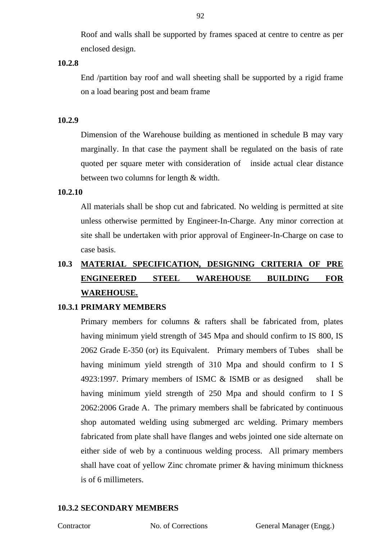Roof and walls shall be supported by frames spaced at centre to centre as per enclosed design.

## **10.2.8**

End /partition bay roof and wall sheeting shall be supported by a rigid frame on a load bearing post and beam frame

#### **10.2.9**

Dimension of the Warehouse building as mentioned in schedule B may vary marginally. In that case the payment shall be regulated on the basis of rate quoted per square meter with consideration of inside actual clear distance between two columns for length & width.

#### **10.2.10**

All materials shall be shop cut and fabricated. No welding is permitted at site unless otherwise permitted by Engineer-In-Charge. Any minor correction at site shall be undertaken with prior approval of Engineer-In-Charge on case to case basis.

# **10.3 MATERIAL SPECIFICATION, DESIGNING CRITERIA OF PRE ENGINEERED STEEL WAREHOUSE BUILDING FOR WAREHOUSE.**

#### **10.3.1 PRIMARY MEMBERS**

Primary members for columns & rafters shall be fabricated from, plates having minimum yield strength of 345 Mpa and should confirm to IS 800, IS 2062 Grade E-350 (or) its Equivalent. Primary members of Tubes shall be having minimum yield strength of 310 Mpa and should confirm to I S 4923:1997. Primary members of ISMC & ISMB or as designed shall be having minimum yield strength of 250 Mpa and should confirm to I S 2062:2006 Grade A. The primary members shall be fabricated by continuous shop automated welding using submerged arc welding. Primary members fabricated from plate shall have flanges and webs jointed one side alternate on either side of web by a continuous welding process. All primary members shall have coat of yellow Zinc chromate primer & having minimum thickness is of 6 millimeters.

# **10.3.2 SECONDARY MEMBERS**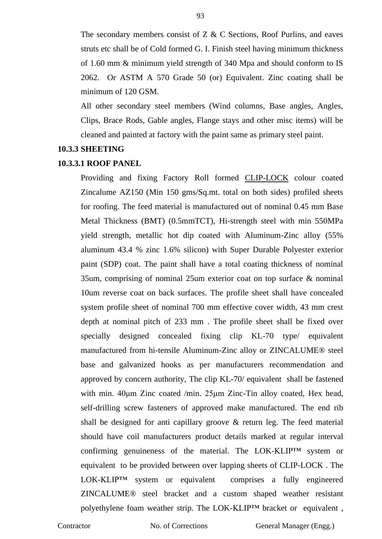The secondary members consist of Z & C Sections, Roof Purlins, and eaves struts etc shall be of Cold formed G. I. Finish steel having minimum thickness of 1.60 mm & minimum yield strength of 340 Mpa and should conform to IS 2062. Or ASTM A 570 Grade 50 (or) Equivalent. Zinc coating shall be minimum of 120 GSM.

All other secondary steel members (Wind columns, Base angles, Angles, Clips, Brace Rods, Gable angles, Flange stays and other misc items) will be cleaned and painted at factory with the paint same as primary steel paint.

#### **10.3.3 SHEETING**

#### **10.3.3.1 ROOF PANEL**

Providing and fixing Factory Roll formed CLIP-LOCK colour coated Zincalume AZ150 (Min 150 gms/Sq.mt. total on both sides) profiled sheets for roofing. The feed material is manufactured out of nominal 0.45 mm Base Metal Thickness (BMT) (0.5mmTCT), Hi-strength steel with min 550MPa yield strength, metallic hot dip coated with Aluminum-Zinc alloy (55% aluminum 43.4 % zinc 1.6% silicon) with Super Durable Polyester exterior paint (SDP) coat. The paint shall have a total coating thickness of nominal 35um, comprising of nominal 25um exterior coat on top surface & nominal 10um reverse coat on back surfaces. The profile sheet shall have concealed system profile sheet of nominal 700 mm effective cover width, 43 mm crest depth at nominal pitch of 233 mm . The profile sheet shall be fixed over specially designed concealed fixing clip KL-70 type/ equivalent manufactured from hi-tensile Aluminum-Zinc alloy or ZINCALUME® steel base and galvanized hooks as per manufacturers recommendation and approved by concern authority, The clip KL-70/ equivalent shall be fastened with min. 40μm Zinc coated /min. 25μm Zinc-Tin alloy coated, Hex head, self-drilling screw fasteners of approved make manufactured. The end rib shall be designed for anti capillary groove & return leg. The feed material should have coil manufacturers product details marked at regular interval confirming genuineness of the material. The LOK-KLIP™ system or equivalent to be provided between over lapping sheets of CLIP-LOCK . The LOK-KLIP™ system or equivalent comprises a fully engineered ZINCALUME® steel bracket and a custom shaped weather resistant polyethylene foam weather strip. The LOK-KLIP™ bracket or equivalent,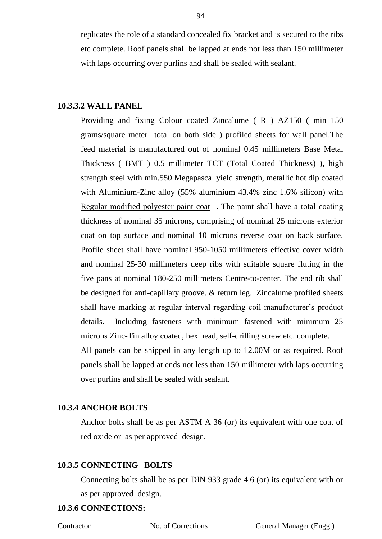replicates the role of a standard concealed fix bracket and is secured to the ribs etc complete. Roof panels shall be lapped at ends not less than 150 millimeter with laps occurring over purlins and shall be sealed with sealant.

#### **10.3.3.2 WALL PANEL**

Providing and fixing Colour coated Zincalume ( R ) AZ150 ( min 150 grams/square meter total on both side ) profiled sheets for wall panel.The feed material is manufactured out of nominal 0.45 millimeters Base Metal Thickness ( BMT ) 0.5 millimeter TCT (Total Coated Thickness) ), high strength steel with min.550 Megapascal yield strength, metallic hot dip coated with Aluminium-Zinc alloy (55% aluminium 43.4% zinc 1.6% silicon) with Regular modified polyester paint coat . The paint shall have a total coating thickness of nominal 35 microns, comprising of nominal 25 microns exterior coat on top surface and nominal 10 microns reverse coat on back surface. Profile sheet shall have nominal 950-1050 millimeters effective cover width and nominal 25-30 millimeters deep ribs with suitable square fluting in the five pans at nominal 180-250 millimeters Centre-to-center. The end rib shall be designed for anti-capillary groove. & return leg. Zincalume profiled sheets shall have marking at regular interval regarding coil manufacturer's product details. Including fasteners with minimum fastened with minimum 25 microns Zinc-Tin alloy coated, hex head, self-drilling screw etc. complete. All panels can be shipped in any length up to 12.00M or as required. Roof panels shall be lapped at ends not less than 150 millimeter with laps occurring over purlins and shall be sealed with sealant.

#### **10.3.4 ANCHOR BOLTS**

Anchor bolts shall be as per ASTM A 36 (or) its equivalent with one coat of red oxide or as per approved design.

#### **10.3.5 CONNECTING BOLTS**

Connecting bolts shall be as per DIN 933 grade 4.6 (or) its equivalent with or as per approved design.

#### **10.3.6 CONNECTIONS:**

Contractor No. of Corrections General Manager (Engg.)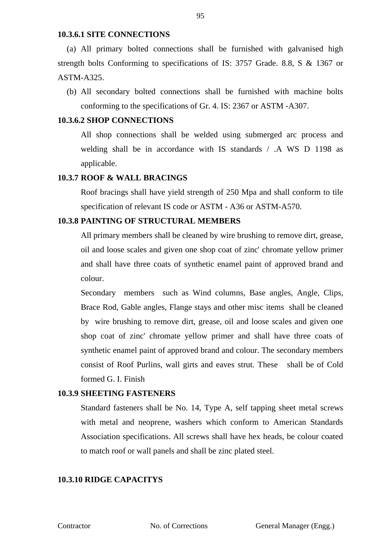#### **10.3.6.1 SITE CONNECTIONS**

(a) All primary bolted connections shall be furnished with galvanised high strength bolts Conforming to specifications of IS: 3757 Grade. 8.8, S & 1367 or ASTM-A325.

(b) All secondary bolted connections shall be furnished with machine bolts conforming to the specifications of Gr. 4. IS: 2367 or ASTM -A307.

#### **10.3.6.2 SHOP CONNECTIONS**

All shop connections shall be welded using submerged arc process and welding shall be in accordance with IS standards / .A WS D 1198 as applicable.

#### **10.3.7 ROOF & WALL BRACINGS**

Roof bracings shall have yield strength of 250 Mpa and shall conform to tile specification of relevant IS code or ASTM - A36 or ASTM-A570.

### **10.3.8 PAINTING OF STRUCTURAL MEMBERS**

All primary members shall be cleaned by wire brushing to remove dirt, grease, oil and loose scales and given one shop coat of zinc' chromate yellow primer and shall have three coats of synthetic enamel paint of approved brand and colour.

Secondary members such as Wind columns, Base angles, Angle, Clips, Brace Rod, Gable angles, Flange stays and other misc items shall be cleaned by wire brushing to remove dirt, grease, oil and loose scales and given one shop coat of zinc' chromate yellow primer and shall have three coats of synthetic enamel paint of approved brand and colour. The secondary members consist of Roof Purlins, wall girts and eaves strut. These shall be of Cold formed G. I. Finish

#### **10.3.9 SHEETING FASTENERS**

Standard fasteners shall be No. 14, Type A, self tapping sheet metal screws with metal and neoprene, washers which conform to American Standards Association specifications. All screws shall have hex heads, be colour coated to match roof or wall panels and shall be zinc plated steel.

### **10.3.10 RIDGE CAPACITYS**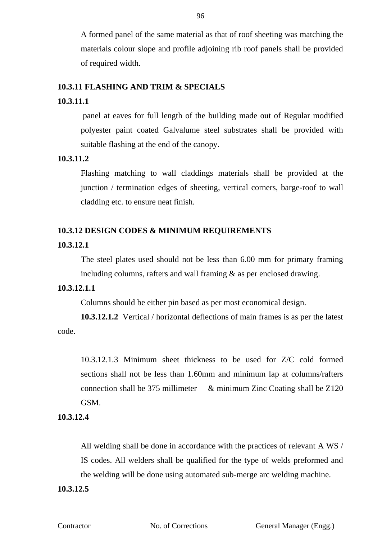A formed panel of the same material as that of roof sheeting was matching the materials colour slope and profile adjoining rib roof panels shall be provided of required width.

#### **10.3.11 FLASHING AND TRIM & SPECIALS**

#### **10.3.11.1**

panel at eaves for full length of the building made out of Regular modified polyester paint coated Galvalume steel substrates shall be provided with suitable flashing at the end of the canopy.

# **10.3.11.2**

Flashing matching to wall claddings materials shall be provided at the junction / termination edges of sheeting, vertical corners, barge-roof to wall cladding etc. to ensure neat finish.

# **10.3.12 DESIGN CODES & MINIMUM REQUIREMENTS**

#### **10.3.12.1**

The steel plates used should not be less than 6.00 mm for primary framing including columns, rafters and wall framing & as per enclosed drawing.

#### **10.3.12.1.1**

Columns should be either pin based as per most economical design.

**10.3.12.1.2** Vertical / horizontal deflections of main frames is as per the latest code.

10.3.12.1.3 Minimum sheet thickness to be used for Z/C cold formed sections shall not be less than 1.60mm and minimum lap at columns/rafters connection shall be 375 millimeter & minimum Zinc Coating shall be Z120 GSM.

# **10.3.12.4**

All welding shall be done in accordance with the practices of relevant A WS / IS codes. All welders shall be qualified for the type of welds preformed and the welding will be done using automated sub-merge arc welding machine.

# **10.3.12.5**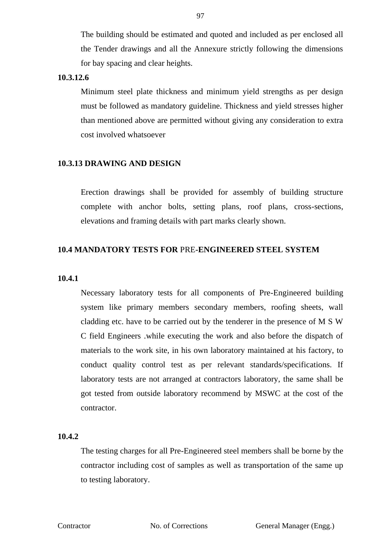The building should be estimated and quoted and included as per enclosed all the Tender drawings and all the Annexure strictly following the dimensions for bay spacing and clear heights.

#### **10.3.12.6**

Minimum steel plate thickness and minimum yield strengths as per design must be followed as mandatory guideline. Thickness and yield stresses higher than mentioned above are permitted without giving any consideration to extra cost involved whatsoever

#### **10.3.13 DRAWING AND DESIGN**

Erection drawings shall be provided for assembly of building structure complete with anchor bolts, setting plans, roof plans, cross-sections, elevations and framing details with part marks clearly shown.

# **10.4 MANDATORY TESTS FOR** PRE**-ENGINEERED STEEL SYSTEM**

#### **10.4.1**

Necessary laboratory tests for all components of Pre-Engineered building system like primary members secondary members, roofing sheets, wall cladding etc. have to be carried out by the tenderer in the presence of M S W C field Engineers .while executing the work and also before the dispatch of materials to the work site, in his own laboratory maintained at his factory, to conduct quality control test as per relevant standards/specifications. If laboratory tests are not arranged at contractors laboratory, the same shall be got tested from outside laboratory recommend by MSWC at the cost of the contractor.

#### **10.4.2**

The testing charges for all Pre-Engineered steel members shall be borne by the contractor including cost of samples as well as transportation of the same up to testing laboratory.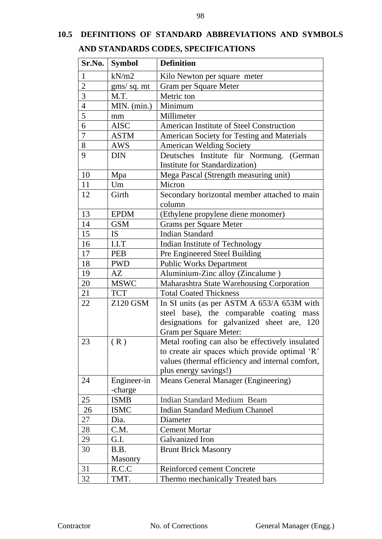# **10.5 DEFINITIONS OF STANDARD ABBREVIATIONS AND SYMBOLS AND STANDARDS CODES, SPECIFICATIONS**

| Sr.No.           | <b>Symbol</b> | <b>Definition</b>                                |
|------------------|---------------|--------------------------------------------------|
| $\mathbf{1}$     | kN/m2         | Kilo Newton per square meter                     |
| $\overline{2}$   | gms/ sq. mt   | Gram per Square Meter                            |
| $\overline{3}$   | M.T.          | Metric ton                                       |
| $\overline{4}$   | MIN. (min.)   | Minimum                                          |
| $\overline{5}$   | mm            | Millimeter                                       |
| 6                | <b>AISC</b>   | American Institute of Steel Construction         |
| $\boldsymbol{7}$ | <b>ASTM</b>   | American Society for Testing and Materials       |
| 8                | AWS           | <b>American Welding Society</b>                  |
| 9                | <b>DIN</b>    | Deutsches Institute für Normung. (German         |
|                  |               | Institute for Standardization)                   |
| 10               | Mpa           | Mega Pascal (Strength measuring unit)            |
| 11               | Um            | Micron                                           |
| 12               | Girth         | Secondary horizontal member attached to main     |
|                  |               | column                                           |
| 13               | <b>EPDM</b>   | (Ethylene propylene diene monomer)               |
| 14               | <b>GSM</b>    | Grams per Square Meter                           |
| 15               | <b>IS</b>     | <b>Indian Standard</b>                           |
| 16               | I.I.T         | Indian Institute of Technology                   |
| 17               | <b>PEB</b>    | Pre Engineered Steel Building                    |
| 18               | <b>PWD</b>    | <b>Public Works Department</b>                   |
| 19               | AZ            | Aluminium-Zinc alloy (Zincalume)                 |
| 20               | <b>MSWC</b>   | Maharashtra State Warehousing Corporation        |
| 21               | <b>TCT</b>    | <b>Total Coated Thickness</b>                    |
| 22               | Z120 GSM      | In SI units (as per ASTM A 653/A 653M with       |
|                  |               | steel base), the comparable coating mass         |
|                  |               | designations for galvanized sheet are, 120       |
|                  |               | Gram per Square Meter:                           |
| 23               | (R)           | Metal roofing can also be effectively insulated  |
|                  |               | to create air spaces which provide optimal 'R'   |
|                  |               | values (thermal efficiency and internal comfort, |
|                  |               | plus energy savings!)                            |
| 24               | Engineer-in   | <b>Means General Manager (Engineering)</b>       |
|                  | -charge       |                                                  |
| 25               | <b>ISMB</b>   | <b>Indian Standard Medium Beam</b>               |
| 26               | <b>ISMC</b>   | <b>Indian Standard Medium Channel</b>            |
| 27               | Dia.          | Diameter                                         |
| 28               | C.M.          | <b>Cement Mortar</b>                             |
| 29               | G.I.          | Galvanized Iron                                  |
| 30               | B.B.          | <b>Brunt Brick Masonry</b>                       |
|                  | Masonry       |                                                  |
| 31               | R.C.C         | <b>Reinforced cement Concrete</b>                |
| 32               | TMT.          | Thermo mechanically Treated bars                 |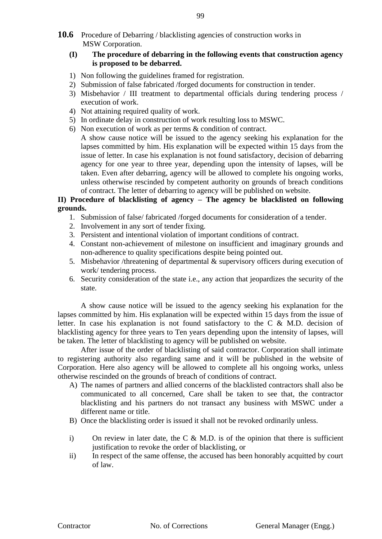#### **(I) The procedure of debarring in the following events that construction agency is proposed to be debarred.**

- 1) Non following the guidelines framed for registration.
- 2) Submission of false fabricated /forged documents for construction in tender.
- 3) Misbehavior / III treatment to departmental officials during tendering process / execution of work.
- 4) Not attaining required quality of work.
- 5) In ordinate delay in construction of work resulting loss to MSWC.
- 6) Non execution of work as per terms & condition of contract.
- A show cause notice will be issued to the agency seeking his explanation for the lapses committed by him. His explanation will be expected within 15 days from the issue of letter. In case his explanation is not found satisfactory, decision of debarring agency for one year to three year, depending upon the intensity of lapses, will be taken. Even after debarring, agency will be allowed to complete his ongoing works, unless otherwise rescinded by competent authority on grounds of breach conditions of contract. The letter of debarring to agency will be published on website.

### **II) Procedure of blacklisting of agency – The agency be blacklisted on following grounds.**

- 1. Submission of false/ fabricated /forged documents for consideration of a tender.
- 2. Involvement in any sort of tender fixing.
- 3. Persistent and intentional violation of important conditions of contract.
- 4. Constant non-achievement of milestone on insufficient and imaginary grounds and non-adherence to quality specifications despite being pointed out.
- 5. Misbehavior /threatening of departmental & supervisory officers during execution of work/ tendering process.
- 6. Security consideration of the state i.e., any action that jeopardizes the security of the state.

A show cause notice will be issued to the agency seeking his explanation for the lapses committed by him. His explanation will be expected within 15 days from the issue of letter. In case his explanation is not found satisfactory to the C & M.D. decision of blacklisting agency for three years to Ten years depending upon the intensity of lapses, will be taken. The letter of blacklisting to agency will be published on website.

After issue of the order of blacklisting of said contractor. Corporation shall intimate to registering authority also regarding same and it will be published in the website of Corporation. Here also agency will be allowed to complete all his ongoing works, unless otherwise rescinded on the grounds of breach of conditions of contract.

- A) The names of partners and allied concerns of the blacklisted contractors shall also be communicated to all concerned, Care shall be taken to see that, the contractor blacklisting and his partners do not transact any business with MSWC under a different name or title.
- B) Once the blacklisting order is issued it shall not be revoked ordinarily unless.
- i) On review in later date, the C  $\&$  M.D. is of the opinion that there is sufficient justification to revoke the order of blacklisting, or
- ii) In respect of the same offense, the accused has been honorably acquitted by court of law.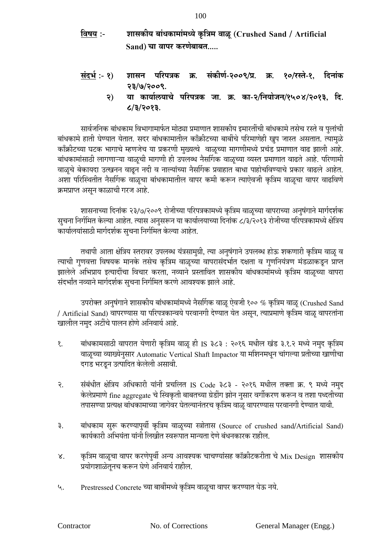- **निषय :- िासकीय बांधकामांमध्ये कृ नत्रम िाळू (Crushed Sand / Artificial Sand) चा िापर करणेबाबत.....**
- **संदर्भ :- 1) िासि पनरपत्रक क्र. संकीणभ-2009/प्र. क्र. 10/रस्ते-1, नदिांक 23/7/2009.**
	- **2) या कायालयाचे पनरपत्रक जा. क्र. का-2/नियोजि/1504/2013, नद. 8/3/2013.**

सार्वजनिक बांधकाम विभागामार्फत मोठ्या प्रमाणात शासकीय इमारतींची बांधकामे तसेच रस्ते व पुलांची बांधकामे हाती घेण्यात येतात. सदर बांधकामातील काँक्रीटच्या बाबींचे परिमाणेही खुप जास्त असतात. त्यामुळे काँक्रीटच्या घटक भागाचे म्हणजेच या प्रकरणी मुख्यत्वे वाळूच्या मागणीमध्ये प्रचंड प्रमाणात वाढ झाली आहे. बांधकामांसाठी लागणाऱ्या वाळूची मागणी ही उपलब्ध नैर्सागक वाळूच्या व्यस्त प्रमाणात वाढते आहे. परिणामी वाळूचे बेकायदा उत्खनन वाढून नदी व नाल्यांच्या नैर्सागक प्रवाहात बाधा पाहोचविण्याचे प्रकार वाढले आहेत. अशा परिस्थितीत नैर्सागक वाळूचा बांधकामातील वापर कमी करून त्याऐवजी कृत्रिम वाळूचा वापर वाढविणे क्रमप्राप्त असुन काळाची गरज आहे.

शासनाच्या दिनांक २३/७/२००९ रोजीच्या परिपत्रकामध्ये कृत्रिम वाळूच्या वापराच्या अनुषंगाने मार्गदर्शक सुचना निर्गमित केल्या आहेत. त्यास अनुसरून या कार्यालयाच्या दिनांक ८/३/२०१३ रोजीच्या परिपत्रकामध्ये क्षेत्रिय कार्यालयांसाठी मार्गदर्शक सूचना निर्गमित केल्या आहेत.

तथापी आता क्षेत्रिय स्तरावर उपलब्ध यंत्रसामुग्री, त्या अनुषंगाने उपलब्ध होऊ शकणारी कृत्रिम वाळू व त्याची गुणवत्ता विषयक मानके तसेच कृत्रिम वाळूच्या वापरासंदर्भात दक्षता व गुणनियंत्रण मंडळाकडून प्राप्त झालेले अभिप्राय इत्यादींचा विचार करता, नव्याने प्रस्तावित शासकीय बांधकामांमध्ये कृत्रिम वाळूच्या वापरा संदर्भांत नव्याने मार्गदर्शक सुचना निर्गमित करणे आवश्यक झाले आहे.

उपरोक्त अनुषंगाने शासकीय बांधकामांमध्ये नैसर्गिक वाळू ऐवजी १०० % कृत्रिम वाळू (Crushed Sand / Artificial Sand) वापरण्यास या परिपत्रकान्वये परवानगी देण्यात येत असून, त्याप्रमाणे कृत्रिम वाळू वापरतांना खालील नमुद अटींचे पालन होणे अनिवार्य आहे.

- १. बांधकामसाठी वापरात येणारी कृत्रिम वाळू ही IS ३८३ : २०१६ मधील खंड ३.१.२ मध्ये नमुद कृत्रिम वाळूच्या व्याख्येनुसार Automatic Vertical Shaft Impactor या मतशनमधून चांगल्या प्रिीच्या खाणीचा दगड भरडून उत्पातदि के लेली असावी.
- २. संबंधीत क्षेत्रिय अधिकारी यांनी प्रचलित IS Code ३८३ २०१६ मधील तक्ता क्र. ९ मध्ये नमुद केलेप्रमाणे fine aggregate चे स्विकृती बाबतच्या ग्रेडींग झोन नुसार वर्गीकरण करून व तशा पध्दतीच्या तपासण्या प्रत्यक्ष बांधकामाच्या जागेवर घेतल्यानंतरच कृत्रिम वाळू वापरण्यास परवानगी देण्यात यावी.
- ३. बांधकाम सुरू करण्यापुर्वी कृत्रिम वाळूच्या स्त्रोतास (Source of crushed sand/Artificial Sand) कार्यकारी अभियंता यांनी लिखीत स्वरूपात मान्यता देणे बंधनकारक राहील.
- ४. कृत्रिम वाळूचा वापर करणेपुर्वी अन्य आवश्यक चाचण्यांसह कॉक्रीटकरीता चे Mix Design शासकीय प्रयोगशाळेतनच करून घेणे अनिवार्य राहील.
- ५. Prestressed Concrete च्या बाबींमध्ये कृत्रिम वाळूचा वापर करण्यात येऊ नये.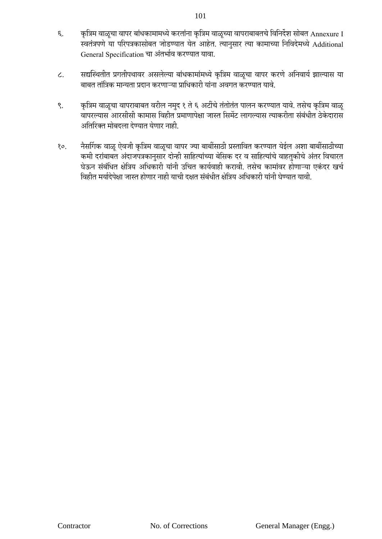- ६. कृत्रिम वाळूचा वापर बांधकामामध्ये करतांना कृत्रिम वाळूच्या वापराबाबतचे विनिर्देश सोबत Annexure I स्वतंत्रपणे या परिपत्रकासोबत जोडण्यात येत आहेत. त्यानुसार त्या कामाच्या निविदेमध्ये Additional General Specification चा अंतर्भाव करण्यात यावा.
- ८. सद्यस्थितीत प्रगतीपथावर असलेल्या बांधकामांमध्ये कृत्रिम वाळूचा वापर करणे अनिवार्य झाल्यास या बाबत तांत्रिक मान्यता प्रदान करणाऱ्या प्राधिकारी यांना अवगत करण्यात यावे.
- ९. कृत्रिम वाळूचा वापराबाबत वरील नमुद १ ते ६ अटींचे तंतोतंत पालन करण्यात यावे. तसेच कृत्रिम वाळू वापरल्यास आरसीसी कामास विहीत प्रमाणापेक्षा जास्त सिमेंट लागल्यास त्याकरीता संबंधीत ठेकेदारास अतिरिक्त मोबदला देण्यात येणार नाही.
- १०. नैर्सागक वाळू ऐवजी कृत्रिम वाळूचा वापर ज्या बाबींसाठी प्रस्तावित करण्यात येईल अशा बाबींसाठीच्या कमी दरांबाबत अंदाजपत्रकानुसार दोन्ही साहित्यांच्या बेसिक दर व साहित्यांचे वाहतुकीचे अंतर विचारत घेऊन संबंधित क्षेत्रिय अधिकारी यांनी उचित कार्यवाही करावी. तसेच कामांवर होणाऱ्या एकंदर खर्च विहीत मर्यादेपेक्षा जास्त होणार नाही याची दक्षत संबंधीत क्षेत्रिय अधिकारी यांनी घेण्यात यावी.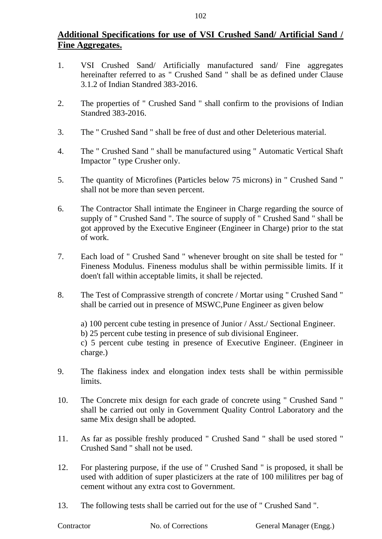# **Additional Specifications for use of VSI Crushed Sand/ Artificial Sand / Fine Aggregates.**

- 1. VSI Crushed Sand/ Artificially manufactured sand/ Fine aggregates hereinafter referred to as " Crushed Sand " shall be as defined under Clause 3.1.2 of Indian Standred 383-2016.
- 2. The properties of " Crushed Sand " shall confirm to the provisions of Indian Standred 383-2016.
- 3. The " Crushed Sand " shall be free of dust and other Deleterious material.
- 4. The " Crushed Sand " shall be manufactured using " Automatic Vertical Shaft Impactor " type Crusher only.
- 5. The quantity of Microfines (Particles below 75 microns) in " Crushed Sand " shall not be more than seven percent.
- 6. The Contractor Shall intimate the Engineer in Charge regarding the source of supply of " Crushed Sand ". The source of supply of " Crushed Sand " shall be got approved by the Executive Engineer (Engineer in Charge) prior to the stat of work.
- 7. Each load of " Crushed Sand " whenever brought on site shall be tested for " Fineness Modulus. Fineness modulus shall be within permissible limits. If it doen't fall within acceptable limits, it shall be rejected.
- 8. The Test of Comprassive strength of concrete / Mortar using " Crushed Sand " shall be carried out in presence of MSWC,Pune Engineer as given below

a) 100 percent cube testing in presence of Junior / Asst./ Sectional Engineer.

b) 25 percent cube testing in presence of sub divisional Engineer.

c) 5 percent cube testing in presence of Executive Engineer. (Engineer in charge.)

- 9. The flakiness index and elongation index tests shall be within permissible limits.
- 10. The Concrete mix design for each grade of concrete using " Crushed Sand " shall be carried out only in Government Quality Control Laboratory and the same Mix design shall be adopted.
- 11. As far as possible freshly produced " Crushed Sand " shall be used stored " Crushed Sand " shall not be used.
- 12. For plastering purpose, if the use of " Crushed Sand " is proposed, it shall be used with addition of super plasticizers at the rate of 100 mililitres per bag of cement without any extra cost to Government.
- 13. The following tests shall be carried out for the use of " Crushed Sand ".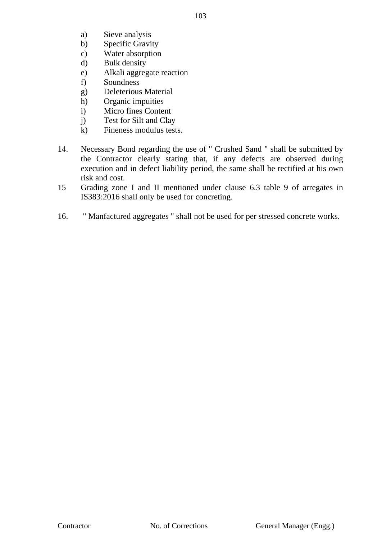- 103
- a) Sieve analysis
- b) Specific Gravity
- c) Water absorption
- d) Bulk density
- e) Alkali aggregate reaction
- f) Soundness
- g) Deleterious Material
- h) Organic impuities
- i) Micro fines Content
- j) Test for Silt and Clay
- k) Fineness modulus tests.
- 14. Necessary Bond regarding the use of " Crushed Sand " shall be submitted by the Contractor clearly stating that, if any defects are observed during execution and in defect liability period, the same shall be rectified at his own risk and cost.
- 15 Grading zone I and II mentioned under clause 6.3 table 9 of arregates in IS383:2016 shall only be used for concreting.
- 16. " Manfactured aggregates " shall not be used for per stressed concrete works.